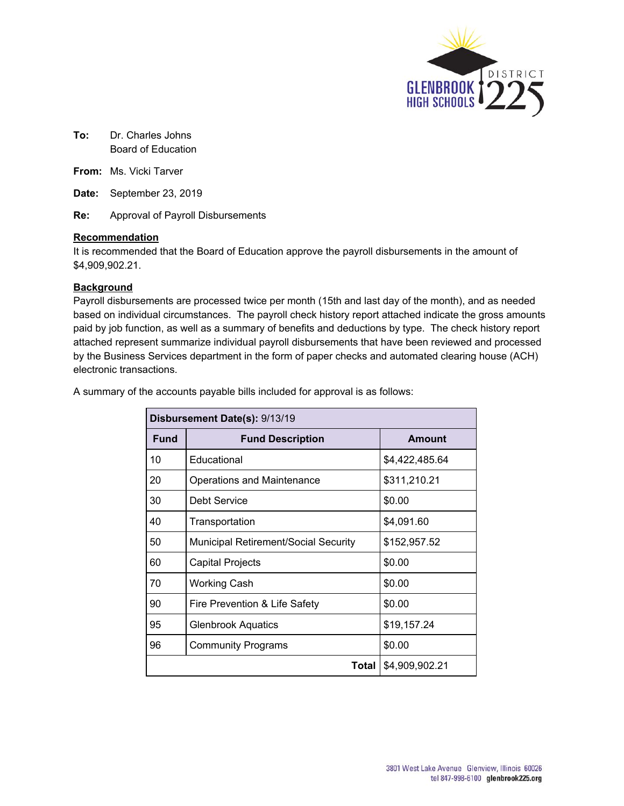

**To:** Dr. Charles Johns Board of Education

**From:** Ms. Vicki Tarver

**Date:** September 23, 2019

**Re:** Approval of Payroll Disbursements

### **Recommendation**

It is recommended that the Board of Education approve the payroll disbursements in the amount of \$4,909,902.21.

### **Background**

Payroll disbursements are processed twice per month (15th and last day of the month), and as needed based on individual circumstances. The payroll check history report attached indicate the gross amounts paid by job function, as well as a summary of benefits and deductions by type. The check history report attached represent summarize individual payroll disbursements that have been reviewed and processed by the Business Services department in the form of paper checks and automated clearing house (ACH) electronic transactions.

| Disbursement Date(s): 9/13/19 |                                             |                |  |  |  |
|-------------------------------|---------------------------------------------|----------------|--|--|--|
| <b>Fund</b>                   | <b>Fund Description</b>                     | <b>Amount</b>  |  |  |  |
| 10                            | Educational                                 | \$4,422,485.64 |  |  |  |
| 20                            | Operations and Maintenance                  | \$311,210.21   |  |  |  |
| 30                            | Debt Service                                | \$0.00         |  |  |  |
| 40                            | Transportation                              | \$4,091.60     |  |  |  |
| 50                            | <b>Municipal Retirement/Social Security</b> | \$152,957.52   |  |  |  |
| 60                            | Capital Projects                            | \$0.00         |  |  |  |
| 70                            | <b>Working Cash</b>                         | \$0.00         |  |  |  |
| 90                            | Fire Prevention & Life Safety               | \$0.00         |  |  |  |
| 95                            | <b>Glenbrook Aquatics</b>                   | \$19,157.24    |  |  |  |
| 96                            | <b>Community Programs</b>                   | \$0.00         |  |  |  |
|                               | <b>Total</b><br>\$4,909,902.21              |                |  |  |  |

A summary of the accounts payable bills included for approval is as follows: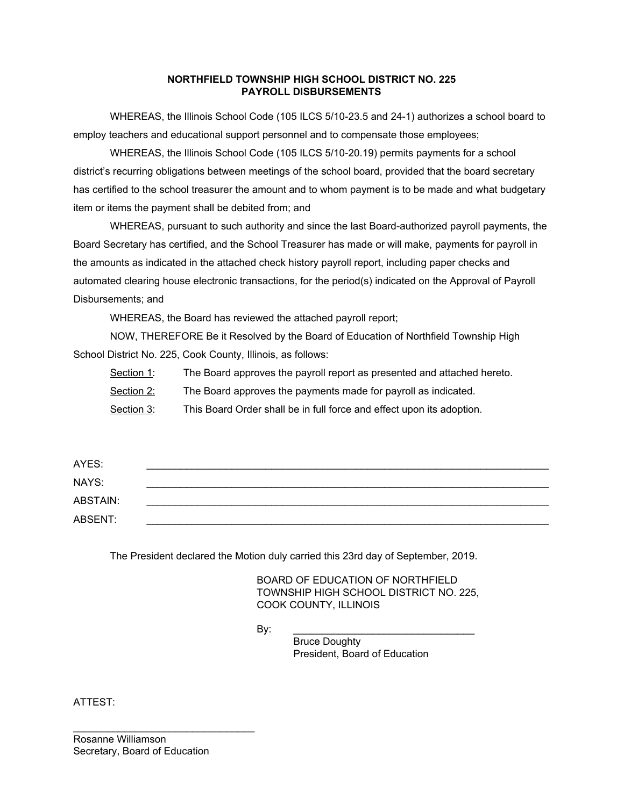### **NORTHFIELD TOWNSHIP HIGH SCHOOL DISTRICT NO. 225 PAYROLL DISBURSEMENTS**

WHEREAS, the Illinois School Code (105 ILCS 5/10-23.5 and 24-1) authorizes a school board to employ teachers and educational support personnel and to compensate those employees;

WHEREAS, the Illinois School Code (105 ILCS 5/10-20.19) permits payments for a school district's recurring obligations between meetings of the school board, provided that the board secretary has certified to the school treasurer the amount and to whom payment is to be made and what budgetary item or items the payment shall be debited from; and

WHEREAS, pursuant to such authority and since the last Board-authorized payroll payments, the Board Secretary has certified, and the School Treasurer has made or will make, payments for payroll in the amounts as indicated in the attached check history payroll report, including paper checks and automated clearing house electronic transactions, for the period(s) indicated on the Approval of Payroll Disbursements; and

WHEREAS, the Board has reviewed the attached payroll report;

NOW, THEREFORE Be it Resolved by the Board of Education of Northfield Township High School District No. 225, Cook County, Illinois, as follows:

Section 1: The Board approves the payroll report as presented and attached hereto.

Section 2: The Board approves the payments made for payroll as indicated.

Section 3: This Board Order shall be in full force and effect upon its adoption.

| AYES:    |  |
|----------|--|
| NAYS:    |  |
| ABSTAIN: |  |
| ABSENT:  |  |

The President declared the Motion duly carried this 23rd day of September, 2019.

BOARD OF EDUCATION OF NORTHFIELD TOWNSHIP HIGH SCHOOL DISTRICT NO. 225, COOK COUNTY, ILLINOIS

By: \_\_\_\_\_\_\_\_\_\_\_\_\_\_\_\_\_\_\_\_\_\_\_\_\_\_\_\_\_\_\_\_

Bruce Doughty President, Board of Education

ATTEST:

\_\_\_\_\_\_\_\_\_\_\_\_\_\_\_\_\_\_\_\_\_\_\_\_\_\_\_\_\_\_\_\_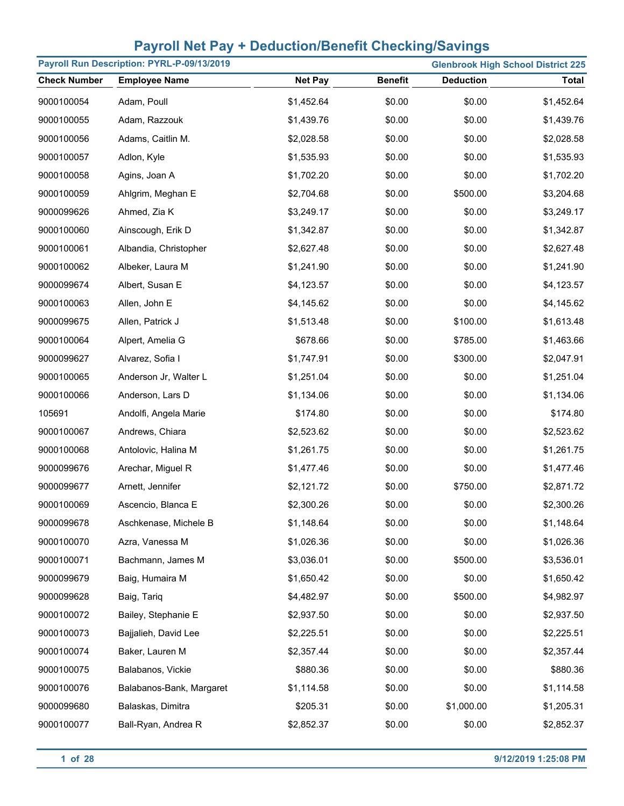| Payroll Run Description: PYRL-P-09/13/2019<br><b>Glenbrook High School District 225</b> |                          |                |                |                  |              |
|-----------------------------------------------------------------------------------------|--------------------------|----------------|----------------|------------------|--------------|
| <b>Check Number</b>                                                                     | <b>Employee Name</b>     | <b>Net Pay</b> | <b>Benefit</b> | <b>Deduction</b> | <b>Total</b> |
| 9000100054                                                                              | Adam, Poull              | \$1,452.64     | \$0.00         | \$0.00           | \$1,452.64   |
| 9000100055                                                                              | Adam, Razzouk            | \$1,439.76     | \$0.00         | \$0.00           | \$1,439.76   |
| 9000100056                                                                              | Adams, Caitlin M.        | \$2,028.58     | \$0.00         | \$0.00           | \$2,028.58   |
| 9000100057                                                                              | Adlon, Kyle              | \$1,535.93     | \$0.00         | \$0.00           | \$1,535.93   |
| 9000100058                                                                              | Agins, Joan A            | \$1,702.20     | \$0.00         | \$0.00           | \$1,702.20   |
| 9000100059                                                                              | Ahlgrim, Meghan E        | \$2,704.68     | \$0.00         | \$500.00         | \$3,204.68   |
| 9000099626                                                                              | Ahmed, Zia K             | \$3,249.17     | \$0.00         | \$0.00           | \$3,249.17   |
| 9000100060                                                                              | Ainscough, Erik D        | \$1,342.87     | \$0.00         | \$0.00           | \$1,342.87   |
| 9000100061                                                                              | Albandia, Christopher    | \$2,627.48     | \$0.00         | \$0.00           | \$2,627.48   |
| 9000100062                                                                              | Albeker, Laura M         | \$1,241.90     | \$0.00         | \$0.00           | \$1,241.90   |
| 9000099674                                                                              | Albert, Susan E          | \$4,123.57     | \$0.00         | \$0.00           | \$4,123.57   |
| 9000100063                                                                              | Allen, John E            | \$4,145.62     | \$0.00         | \$0.00           | \$4,145.62   |
| 9000099675                                                                              | Allen, Patrick J         | \$1,513.48     | \$0.00         | \$100.00         | \$1,613.48   |
| 9000100064                                                                              | Alpert, Amelia G         | \$678.66       | \$0.00         | \$785.00         | \$1,463.66   |
| 9000099627                                                                              | Alvarez, Sofia I         | \$1,747.91     | \$0.00         | \$300.00         | \$2,047.91   |
| 9000100065                                                                              | Anderson Jr, Walter L    | \$1,251.04     | \$0.00         | \$0.00           | \$1,251.04   |
| 9000100066                                                                              | Anderson, Lars D         | \$1,134.06     | \$0.00         | \$0.00           | \$1,134.06   |
| 105691                                                                                  | Andolfi, Angela Marie    | \$174.80       | \$0.00         | \$0.00           | \$174.80     |
| 9000100067                                                                              | Andrews, Chiara          | \$2,523.62     | \$0.00         | \$0.00           | \$2,523.62   |
| 9000100068                                                                              | Antolovic, Halina M      | \$1,261.75     | \$0.00         | \$0.00           | \$1,261.75   |
| 9000099676                                                                              | Arechar, Miguel R        | \$1,477.46     | \$0.00         | \$0.00           | \$1,477.46   |
| 9000099677                                                                              | Arnett, Jennifer         | \$2,121.72     | \$0.00         | \$750.00         | \$2,871.72   |
| 9000100069                                                                              | Ascencio, Blanca E       | \$2,300.26     | \$0.00         | \$0.00           | \$2,300.26   |
| 9000099678                                                                              | Aschkenase, Michele B    | \$1,148.64     | \$0.00         | \$0.00           | \$1,148.64   |
| 9000100070                                                                              | Azra, Vanessa M          | \$1,026.36     | \$0.00         | \$0.00           | \$1,026.36   |
| 9000100071                                                                              | Bachmann, James M        | \$3,036.01     | \$0.00         | \$500.00         | \$3,536.01   |
| 9000099679                                                                              | Baig, Humaira M          | \$1,650.42     | \$0.00         | \$0.00           | \$1,650.42   |
| 9000099628                                                                              | Baig, Tariq              | \$4,482.97     | \$0.00         | \$500.00         | \$4,982.97   |
| 9000100072                                                                              | Bailey, Stephanie E      | \$2,937.50     | \$0.00         | \$0.00           | \$2,937.50   |
| 9000100073                                                                              | Bajjalieh, David Lee     | \$2,225.51     | \$0.00         | \$0.00           | \$2,225.51   |
| 9000100074                                                                              | Baker, Lauren M          | \$2,357.44     | \$0.00         | \$0.00           | \$2,357.44   |
| 9000100075                                                                              | Balabanos, Vickie        | \$880.36       | \$0.00         | \$0.00           | \$880.36     |
| 9000100076                                                                              | Balabanos-Bank, Margaret | \$1,114.58     | \$0.00         | \$0.00           | \$1,114.58   |
| 9000099680                                                                              | Balaskas, Dimitra        | \$205.31       | \$0.00         | \$1,000.00       | \$1,205.31   |
| 9000100077                                                                              | Ball-Ryan, Andrea R      | \$2,852.37     | \$0.00         | \$0.00           | \$2,852.37   |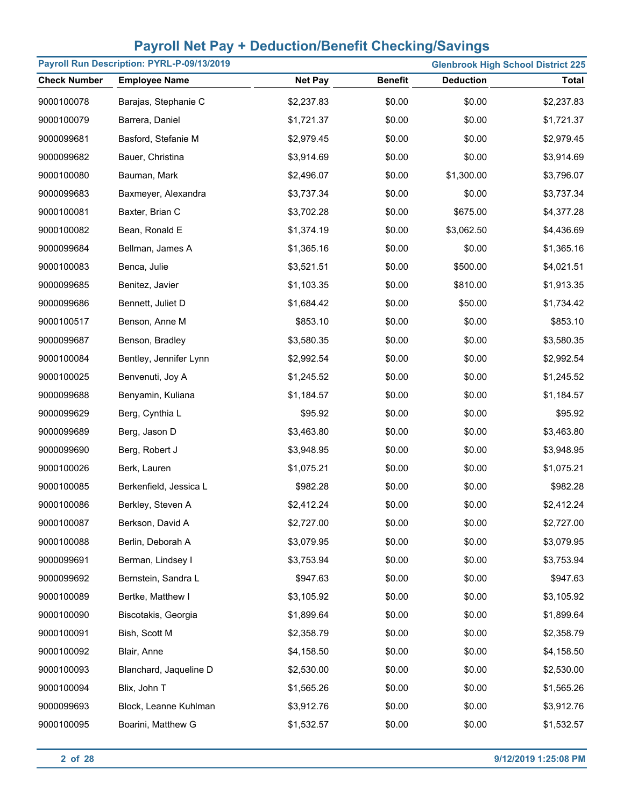| Payroll Run Description: PYRL-P-09/13/2019 |                        |                |                |                  | <b>Glenbrook High School District 225</b> |
|--------------------------------------------|------------------------|----------------|----------------|------------------|-------------------------------------------|
| <b>Check Number</b>                        | <b>Employee Name</b>   | <b>Net Pay</b> | <b>Benefit</b> | <b>Deduction</b> | <b>Total</b>                              |
| 9000100078                                 | Barajas, Stephanie C   | \$2,237.83     | \$0.00         | \$0.00           | \$2,237.83                                |
| 9000100079                                 | Barrera, Daniel        | \$1,721.37     | \$0.00         | \$0.00           | \$1,721.37                                |
| 9000099681                                 | Basford, Stefanie M    | \$2,979.45     | \$0.00         | \$0.00           | \$2,979.45                                |
| 9000099682                                 | Bauer, Christina       | \$3,914.69     | \$0.00         | \$0.00           | \$3,914.69                                |
| 9000100080                                 | Bauman, Mark           | \$2,496.07     | \$0.00         | \$1,300.00       | \$3,796.07                                |
| 9000099683                                 | Baxmeyer, Alexandra    | \$3,737.34     | \$0.00         | \$0.00           | \$3,737.34                                |
| 9000100081                                 | Baxter, Brian C        | \$3,702.28     | \$0.00         | \$675.00         | \$4,377.28                                |
| 9000100082                                 | Bean, Ronald E         | \$1,374.19     | \$0.00         | \$3,062.50       | \$4,436.69                                |
| 9000099684                                 | Bellman, James A       | \$1,365.16     | \$0.00         | \$0.00           | \$1,365.16                                |
| 9000100083                                 | Benca, Julie           | \$3,521.51     | \$0.00         | \$500.00         | \$4,021.51                                |
| 9000099685                                 | Benitez, Javier        | \$1,103.35     | \$0.00         | \$810.00         | \$1,913.35                                |
| 9000099686                                 | Bennett, Juliet D      | \$1,684.42     | \$0.00         | \$50.00          | \$1,734.42                                |
| 9000100517                                 | Benson, Anne M         | \$853.10       | \$0.00         | \$0.00           | \$853.10                                  |
| 9000099687                                 | Benson, Bradley        | \$3,580.35     | \$0.00         | \$0.00           | \$3,580.35                                |
| 9000100084                                 | Bentley, Jennifer Lynn | \$2,992.54     | \$0.00         | \$0.00           | \$2,992.54                                |
| 9000100025                                 | Benvenuti, Joy A       | \$1,245.52     | \$0.00         | \$0.00           | \$1,245.52                                |
| 9000099688                                 | Benyamin, Kuliana      | \$1,184.57     | \$0.00         | \$0.00           | \$1,184.57                                |
| 9000099629                                 | Berg, Cynthia L        | \$95.92        | \$0.00         | \$0.00           | \$95.92                                   |
| 9000099689                                 | Berg, Jason D          | \$3,463.80     | \$0.00         | \$0.00           | \$3,463.80                                |
| 9000099690                                 | Berg, Robert J         | \$3,948.95     | \$0.00         | \$0.00           | \$3,948.95                                |
| 9000100026                                 | Berk, Lauren           | \$1,075.21     | \$0.00         | \$0.00           | \$1,075.21                                |
| 9000100085                                 | Berkenfield, Jessica L | \$982.28       | \$0.00         | \$0.00           | \$982.28                                  |
| 9000100086                                 | Berkley, Steven A      | \$2,412.24     | \$0.00         | \$0.00           | \$2,412.24                                |
| 9000100087                                 | Berkson, David A       | \$2,727.00     | \$0.00         | \$0.00           | \$2,727.00                                |
| 9000100088                                 | Berlin, Deborah A      | \$3,079.95     | \$0.00         | \$0.00           | \$3,079.95                                |
| 9000099691                                 | Berman, Lindsey I      | \$3,753.94     | \$0.00         | \$0.00           | \$3,753.94                                |
| 9000099692                                 | Bernstein, Sandra L    | \$947.63       | \$0.00         | \$0.00           | \$947.63                                  |
| 9000100089                                 | Bertke, Matthew I      | \$3,105.92     | \$0.00         | \$0.00           | \$3,105.92                                |
| 9000100090                                 | Biscotakis, Georgia    | \$1,899.64     | \$0.00         | \$0.00           | \$1,899.64                                |
| 9000100091                                 | Bish, Scott M          | \$2,358.79     | \$0.00         | \$0.00           | \$2,358.79                                |
| 9000100092                                 | Blair, Anne            | \$4,158.50     | \$0.00         | \$0.00           | \$4,158.50                                |
| 9000100093                                 | Blanchard, Jaqueline D | \$2,530.00     | \$0.00         | \$0.00           | \$2,530.00                                |
| 9000100094                                 | Blix, John T           | \$1,565.26     | \$0.00         | \$0.00           | \$1,565.26                                |
| 9000099693                                 | Block, Leanne Kuhlman  | \$3,912.76     | \$0.00         | \$0.00           | \$3,912.76                                |
| 9000100095                                 | Boarini, Matthew G     | \$1,532.57     | \$0.00         | \$0.00           | \$1,532.57                                |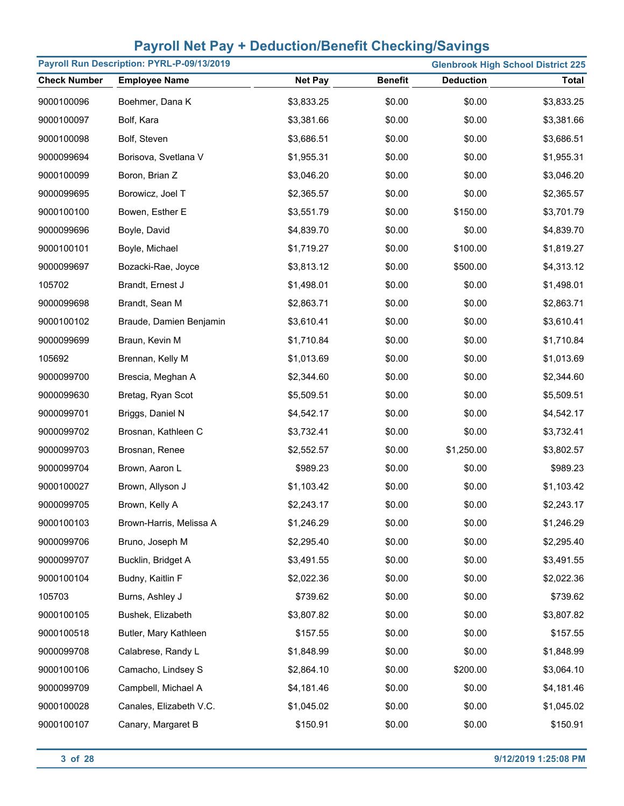| Payroll Run Description: PYRL-P-09/13/2019<br><b>Glenbrook High School District 225</b> |                         |                |                |                  |              |
|-----------------------------------------------------------------------------------------|-------------------------|----------------|----------------|------------------|--------------|
| <b>Check Number</b>                                                                     | <b>Employee Name</b>    | <b>Net Pay</b> | <b>Benefit</b> | <b>Deduction</b> | <b>Total</b> |
| 9000100096                                                                              | Boehmer, Dana K         | \$3,833.25     | \$0.00         | \$0.00           | \$3,833.25   |
| 9000100097                                                                              | Bolf, Kara              | \$3,381.66     | \$0.00         | \$0.00           | \$3,381.66   |
| 9000100098                                                                              | Bolf, Steven            | \$3,686.51     | \$0.00         | \$0.00           | \$3,686.51   |
| 9000099694                                                                              | Borisova, Svetlana V    | \$1,955.31     | \$0.00         | \$0.00           | \$1,955.31   |
| 9000100099                                                                              | Boron, Brian Z          | \$3,046.20     | \$0.00         | \$0.00           | \$3,046.20   |
| 9000099695                                                                              | Borowicz, Joel T        | \$2,365.57     | \$0.00         | \$0.00           | \$2,365.57   |
| 9000100100                                                                              | Bowen, Esther E         | \$3,551.79     | \$0.00         | \$150.00         | \$3,701.79   |
| 9000099696                                                                              | Boyle, David            | \$4,839.70     | \$0.00         | \$0.00           | \$4,839.70   |
| 9000100101                                                                              | Boyle, Michael          | \$1,719.27     | \$0.00         | \$100.00         | \$1,819.27   |
| 9000099697                                                                              | Bozacki-Rae, Joyce      | \$3,813.12     | \$0.00         | \$500.00         | \$4,313.12   |
| 105702                                                                                  | Brandt, Ernest J        | \$1,498.01     | \$0.00         | \$0.00           | \$1,498.01   |
| 9000099698                                                                              | Brandt, Sean M          | \$2,863.71     | \$0.00         | \$0.00           | \$2,863.71   |
| 9000100102                                                                              | Braude, Damien Benjamin | \$3,610.41     | \$0.00         | \$0.00           | \$3,610.41   |
| 9000099699                                                                              | Braun, Kevin M          | \$1,710.84     | \$0.00         | \$0.00           | \$1,710.84   |
| 105692                                                                                  | Brennan, Kelly M        | \$1,013.69     | \$0.00         | \$0.00           | \$1,013.69   |
| 9000099700                                                                              | Brescia, Meghan A       | \$2,344.60     | \$0.00         | \$0.00           | \$2,344.60   |
| 9000099630                                                                              | Bretag, Ryan Scot       | \$5,509.51     | \$0.00         | \$0.00           | \$5,509.51   |
| 9000099701                                                                              | Briggs, Daniel N        | \$4,542.17     | \$0.00         | \$0.00           | \$4,542.17   |
| 9000099702                                                                              | Brosnan, Kathleen C     | \$3,732.41     | \$0.00         | \$0.00           | \$3,732.41   |
| 9000099703                                                                              | Brosnan, Renee          | \$2,552.57     | \$0.00         | \$1,250.00       | \$3,802.57   |
| 9000099704                                                                              | Brown, Aaron L          | \$989.23       | \$0.00         | \$0.00           | \$989.23     |
| 9000100027                                                                              | Brown, Allyson J        | \$1,103.42     | \$0.00         | \$0.00           | \$1,103.42   |
| 9000099705                                                                              | Brown, Kelly A          | \$2,243.17     | \$0.00         | \$0.00           | \$2,243.17   |
| 9000100103                                                                              | Brown-Harris, Melissa A | \$1,246.29     | \$0.00         | \$0.00           | \$1,246.29   |
| 9000099706                                                                              | Bruno, Joseph M         | \$2,295.40     | \$0.00         | \$0.00           | \$2,295.40   |
| 9000099707                                                                              | Bucklin, Bridget A      | \$3,491.55     | \$0.00         | \$0.00           | \$3,491.55   |
| 9000100104                                                                              | Budny, Kaitlin F        | \$2,022.36     | \$0.00         | \$0.00           | \$2,022.36   |
| 105703                                                                                  | Burns, Ashley J         | \$739.62       | \$0.00         | \$0.00           | \$739.62     |
| 9000100105                                                                              | Bushek, Elizabeth       | \$3,807.82     | \$0.00         | \$0.00           | \$3,807.82   |
| 9000100518                                                                              | Butler, Mary Kathleen   | \$157.55       | \$0.00         | \$0.00           | \$157.55     |
| 9000099708                                                                              | Calabrese, Randy L      | \$1,848.99     | \$0.00         | \$0.00           | \$1,848.99   |
| 9000100106                                                                              | Camacho, Lindsey S      | \$2,864.10     | \$0.00         | \$200.00         | \$3,064.10   |
| 9000099709                                                                              | Campbell, Michael A     | \$4,181.46     | \$0.00         | \$0.00           | \$4,181.46   |
| 9000100028                                                                              | Canales, Elizabeth V.C. | \$1,045.02     | \$0.00         | \$0.00           | \$1,045.02   |
| 9000100107                                                                              | Canary, Margaret B      | \$150.91       | \$0.00         | \$0.00           | \$150.91     |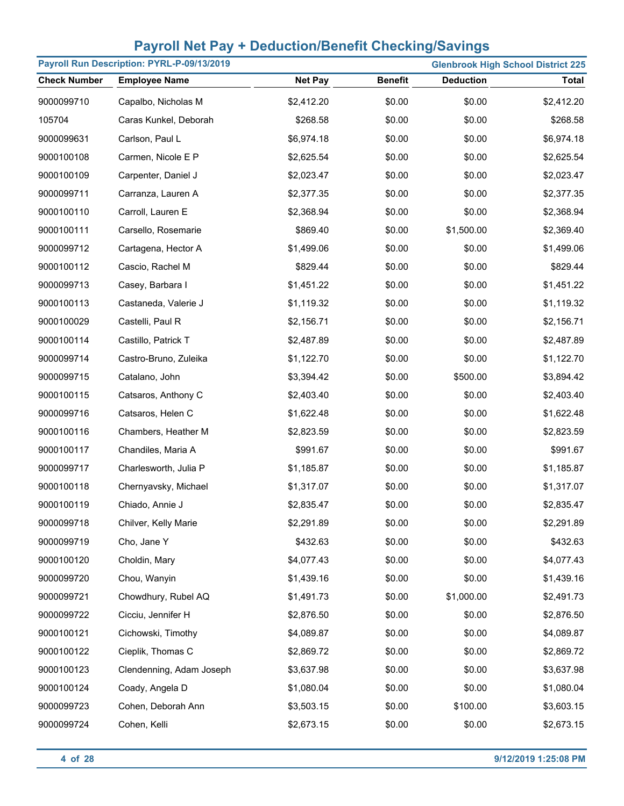|                     | Payroll Run Description: PYRL-P-09/13/2019 |                |                | <b>Glenbrook High School District 225</b> |              |
|---------------------|--------------------------------------------|----------------|----------------|-------------------------------------------|--------------|
| <b>Check Number</b> | <b>Employee Name</b>                       | <b>Net Pay</b> | <b>Benefit</b> | <b>Deduction</b>                          | <b>Total</b> |
| 9000099710          | Capalbo, Nicholas M                        | \$2,412.20     | \$0.00         | \$0.00                                    | \$2,412.20   |
| 105704              | Caras Kunkel, Deborah                      | \$268.58       | \$0.00         | \$0.00                                    | \$268.58     |
| 9000099631          | Carlson, Paul L                            | \$6,974.18     | \$0.00         | \$0.00                                    | \$6,974.18   |
| 9000100108          | Carmen, Nicole E P                         | \$2,625.54     | \$0.00         | \$0.00                                    | \$2,625.54   |
| 9000100109          | Carpenter, Daniel J                        | \$2,023.47     | \$0.00         | \$0.00                                    | \$2,023.47   |
| 9000099711          | Carranza, Lauren A                         | \$2,377.35     | \$0.00         | \$0.00                                    | \$2,377.35   |
| 9000100110          | Carroll, Lauren E                          | \$2,368.94     | \$0.00         | \$0.00                                    | \$2,368.94   |
| 9000100111          | Carsello, Rosemarie                        | \$869.40       | \$0.00         | \$1,500.00                                | \$2,369.40   |
| 9000099712          | Cartagena, Hector A                        | \$1,499.06     | \$0.00         | \$0.00                                    | \$1,499.06   |
| 9000100112          | Cascio, Rachel M                           | \$829.44       | \$0.00         | \$0.00                                    | \$829.44     |
| 9000099713          | Casey, Barbara I                           | \$1,451.22     | \$0.00         | \$0.00                                    | \$1,451.22   |
| 9000100113          | Castaneda, Valerie J                       | \$1,119.32     | \$0.00         | \$0.00                                    | \$1,119.32   |
| 9000100029          | Castelli, Paul R                           | \$2,156.71     | \$0.00         | \$0.00                                    | \$2,156.71   |
| 9000100114          | Castillo, Patrick T                        | \$2,487.89     | \$0.00         | \$0.00                                    | \$2,487.89   |
| 9000099714          | Castro-Bruno, Zuleika                      | \$1,122.70     | \$0.00         | \$0.00                                    | \$1,122.70   |
| 9000099715          | Catalano, John                             | \$3,394.42     | \$0.00         | \$500.00                                  | \$3,894.42   |
| 9000100115          | Catsaros, Anthony C                        | \$2,403.40     | \$0.00         | \$0.00                                    | \$2,403.40   |
| 9000099716          | Catsaros, Helen C                          | \$1,622.48     | \$0.00         | \$0.00                                    | \$1,622.48   |
| 9000100116          | Chambers, Heather M                        | \$2,823.59     | \$0.00         | \$0.00                                    | \$2,823.59   |
| 9000100117          | Chandiles, Maria A                         | \$991.67       | \$0.00         | \$0.00                                    | \$991.67     |
| 9000099717          | Charlesworth, Julia P                      | \$1,185.87     | \$0.00         | \$0.00                                    | \$1,185.87   |
| 9000100118          | Chernyavsky, Michael                       | \$1,317.07     | \$0.00         | \$0.00                                    | \$1,317.07   |
| 9000100119          | Chiado, Annie J                            | \$2,835.47     | \$0.00         | \$0.00                                    | \$2,835.47   |
| 9000099718          | Chilver, Kelly Marie                       | \$2,291.89     | \$0.00         | \$0.00                                    | \$2,291.89   |
| 9000099719          | Cho, Jane Y                                | \$432.63       | \$0.00         | \$0.00                                    | \$432.63     |
| 9000100120          | Choldin, Mary                              | \$4,077.43     | \$0.00         | \$0.00                                    | \$4,077.43   |
| 9000099720          | Chou, Wanyin                               | \$1,439.16     | \$0.00         | \$0.00                                    | \$1,439.16   |
| 9000099721          | Chowdhury, Rubel AQ                        | \$1,491.73     | \$0.00         | \$1,000.00                                | \$2,491.73   |
| 9000099722          | Cicciu, Jennifer H                         | \$2,876.50     | \$0.00         | \$0.00                                    | \$2,876.50   |
| 9000100121          | Cichowski, Timothy                         | \$4,089.87     | \$0.00         | \$0.00                                    | \$4,089.87   |
| 9000100122          | Cieplik, Thomas C                          | \$2,869.72     | \$0.00         | \$0.00                                    | \$2,869.72   |
| 9000100123          | Clendenning, Adam Joseph                   | \$3,637.98     | \$0.00         | \$0.00                                    | \$3,637.98   |
| 9000100124          | Coady, Angela D                            | \$1,080.04     | \$0.00         | \$0.00                                    | \$1,080.04   |
| 9000099723          | Cohen, Deborah Ann                         | \$3,503.15     | \$0.00         | \$100.00                                  | \$3,603.15   |
| 9000099724          | Cohen, Kelli                               | \$2,673.15     | \$0.00         | \$0.00                                    | \$2,673.15   |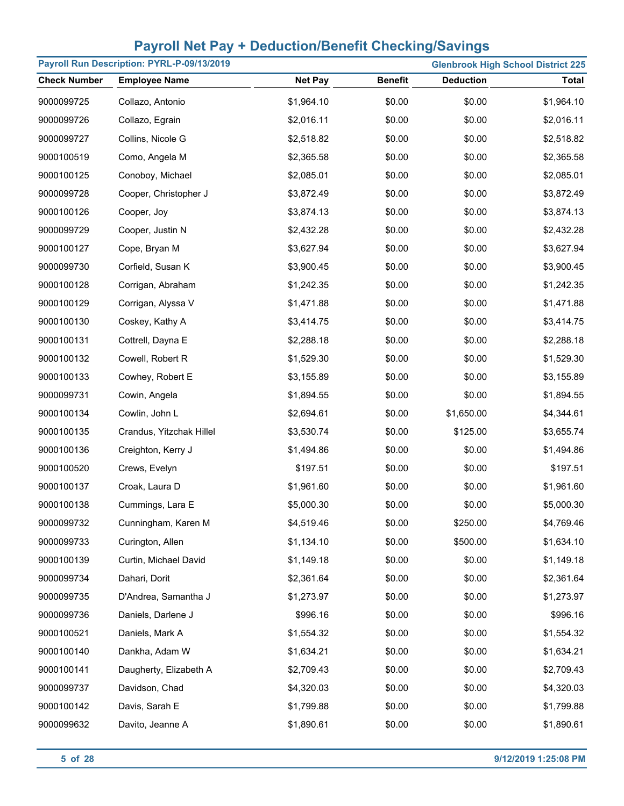|                     | Payroll Run Description: PYRL-P-09/13/2019 |                |                | <b>Glenbrook High School District 225</b> |            |
|---------------------|--------------------------------------------|----------------|----------------|-------------------------------------------|------------|
| <b>Check Number</b> | <b>Employee Name</b>                       | <b>Net Pay</b> | <b>Benefit</b> | <b>Deduction</b>                          | Total      |
| 9000099725          | Collazo, Antonio                           | \$1,964.10     | \$0.00         | \$0.00                                    | \$1,964.10 |
| 9000099726          | Collazo, Egrain                            | \$2,016.11     | \$0.00         | \$0.00                                    | \$2,016.11 |
| 9000099727          | Collins, Nicole G                          | \$2,518.82     | \$0.00         | \$0.00                                    | \$2,518.82 |
| 9000100519          | Como, Angela M                             | \$2,365.58     | \$0.00         | \$0.00                                    | \$2,365.58 |
| 9000100125          | Conoboy, Michael                           | \$2,085.01     | \$0.00         | \$0.00                                    | \$2,085.01 |
| 9000099728          | Cooper, Christopher J                      | \$3,872.49     | \$0.00         | \$0.00                                    | \$3,872.49 |
| 9000100126          | Cooper, Joy                                | \$3,874.13     | \$0.00         | \$0.00                                    | \$3,874.13 |
| 9000099729          | Cooper, Justin N                           | \$2,432.28     | \$0.00         | \$0.00                                    | \$2,432.28 |
| 9000100127          | Cope, Bryan M                              | \$3,627.94     | \$0.00         | \$0.00                                    | \$3,627.94 |
| 9000099730          | Corfield, Susan K                          | \$3,900.45     | \$0.00         | \$0.00                                    | \$3,900.45 |
| 9000100128          | Corrigan, Abraham                          | \$1,242.35     | \$0.00         | \$0.00                                    | \$1,242.35 |
| 9000100129          | Corrigan, Alyssa V                         | \$1,471.88     | \$0.00         | \$0.00                                    | \$1,471.88 |
| 9000100130          | Coskey, Kathy A                            | \$3,414.75     | \$0.00         | \$0.00                                    | \$3,414.75 |
| 9000100131          | Cottrell, Dayna E                          | \$2,288.18     | \$0.00         | \$0.00                                    | \$2,288.18 |
| 9000100132          | Cowell, Robert R                           | \$1,529.30     | \$0.00         | \$0.00                                    | \$1,529.30 |
| 9000100133          | Cowhey, Robert E                           | \$3,155.89     | \$0.00         | \$0.00                                    | \$3,155.89 |
| 9000099731          | Cowin, Angela                              | \$1,894.55     | \$0.00         | \$0.00                                    | \$1,894.55 |
| 9000100134          | Cowlin, John L                             | \$2,694.61     | \$0.00         | \$1,650.00                                | \$4,344.61 |
| 9000100135          | Crandus, Yitzchak Hillel                   | \$3,530.74     | \$0.00         | \$125.00                                  | \$3,655.74 |
| 9000100136          | Creighton, Kerry J                         | \$1,494.86     | \$0.00         | \$0.00                                    | \$1,494.86 |
| 9000100520          | Crews, Evelyn                              | \$197.51       | \$0.00         | \$0.00                                    | \$197.51   |
| 9000100137          | Croak, Laura D                             | \$1,961.60     | \$0.00         | \$0.00                                    | \$1,961.60 |
| 9000100138          | Cummings, Lara E                           | \$5,000.30     | \$0.00         | \$0.00                                    | \$5,000.30 |
| 9000099732          | Cunningham, Karen M                        | \$4,519.46     | \$0.00         | \$250.00                                  | \$4,769.46 |
| 9000099733          | Curington, Allen                           | \$1,134.10     | \$0.00         | \$500.00                                  | \$1,634.10 |
| 9000100139          | Curtin, Michael David                      | \$1,149.18     | \$0.00         | \$0.00                                    | \$1,149.18 |
| 9000099734          | Dahari, Dorit                              | \$2,361.64     | \$0.00         | \$0.00                                    | \$2,361.64 |
| 9000099735          | D'Andrea, Samantha J                       | \$1,273.97     | \$0.00         | \$0.00                                    | \$1,273.97 |
| 9000099736          | Daniels, Darlene J                         | \$996.16       | \$0.00         | \$0.00                                    | \$996.16   |
| 9000100521          | Daniels, Mark A                            | \$1,554.32     | \$0.00         | \$0.00                                    | \$1,554.32 |
| 9000100140          | Dankha, Adam W                             | \$1,634.21     | \$0.00         | \$0.00                                    | \$1,634.21 |
| 9000100141          | Daugherty, Elizabeth A                     | \$2,709.43     | \$0.00         | \$0.00                                    | \$2,709.43 |
| 9000099737          | Davidson, Chad                             | \$4,320.03     | \$0.00         | \$0.00                                    | \$4,320.03 |
| 9000100142          | Davis, Sarah E                             | \$1,799.88     | \$0.00         | \$0.00                                    | \$1,799.88 |
| 9000099632          | Davito, Jeanne A                           | \$1,890.61     | \$0.00         | \$0.00                                    | \$1,890.61 |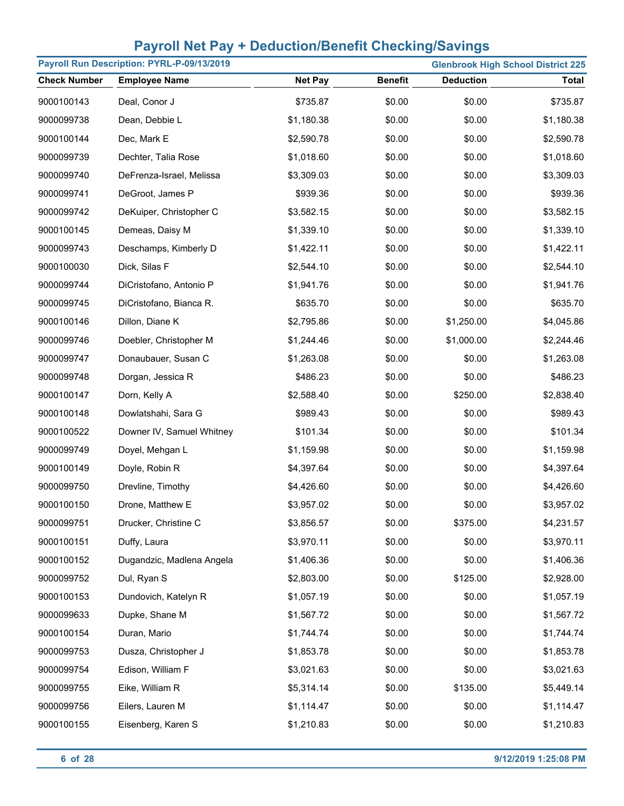| Payroll Run Description: PYRL-P-09/13/2019<br><b>Glenbrook High School District 225</b> |                           |                |                |                  |              |
|-----------------------------------------------------------------------------------------|---------------------------|----------------|----------------|------------------|--------------|
| <b>Check Number</b>                                                                     | <b>Employee Name</b>      | <b>Net Pay</b> | <b>Benefit</b> | <b>Deduction</b> | <b>Total</b> |
| 9000100143                                                                              | Deal, Conor J             | \$735.87       | \$0.00         | \$0.00           | \$735.87     |
| 9000099738                                                                              | Dean, Debbie L            | \$1,180.38     | \$0.00         | \$0.00           | \$1,180.38   |
| 9000100144                                                                              | Dec, Mark E               | \$2,590.78     | \$0.00         | \$0.00           | \$2,590.78   |
| 9000099739                                                                              | Dechter, Talia Rose       | \$1,018.60     | \$0.00         | \$0.00           | \$1,018.60   |
| 9000099740                                                                              | DeFrenza-Israel, Melissa  | \$3,309.03     | \$0.00         | \$0.00           | \$3,309.03   |
| 9000099741                                                                              | DeGroot, James P          | \$939.36       | \$0.00         | \$0.00           | \$939.36     |
| 9000099742                                                                              | DeKuiper, Christopher C   | \$3,582.15     | \$0.00         | \$0.00           | \$3,582.15   |
| 9000100145                                                                              | Demeas, Daisy M           | \$1,339.10     | \$0.00         | \$0.00           | \$1,339.10   |
| 9000099743                                                                              | Deschamps, Kimberly D     | \$1,422.11     | \$0.00         | \$0.00           | \$1,422.11   |
| 9000100030                                                                              | Dick, Silas F             | \$2,544.10     | \$0.00         | \$0.00           | \$2,544.10   |
| 9000099744                                                                              | DiCristofano, Antonio P   | \$1,941.76     | \$0.00         | \$0.00           | \$1,941.76   |
| 9000099745                                                                              | DiCristofano, Bianca R.   | \$635.70       | \$0.00         | \$0.00           | \$635.70     |
| 9000100146                                                                              | Dillon, Diane K           | \$2,795.86     | \$0.00         | \$1,250.00       | \$4,045.86   |
| 9000099746                                                                              | Doebler, Christopher M    | \$1,244.46     | \$0.00         | \$1,000.00       | \$2,244.46   |
| 9000099747                                                                              | Donaubauer, Susan C       | \$1,263.08     | \$0.00         | \$0.00           | \$1,263.08   |
| 9000099748                                                                              | Dorgan, Jessica R         | \$486.23       | \$0.00         | \$0.00           | \$486.23     |
| 9000100147                                                                              | Dorn, Kelly A             | \$2,588.40     | \$0.00         | \$250.00         | \$2,838.40   |
| 9000100148                                                                              | Dowlatshahi, Sara G       | \$989.43       | \$0.00         | \$0.00           | \$989.43     |
| 9000100522                                                                              | Downer IV, Samuel Whitney | \$101.34       | \$0.00         | \$0.00           | \$101.34     |
| 9000099749                                                                              | Doyel, Mehgan L           | \$1,159.98     | \$0.00         | \$0.00           | \$1,159.98   |
| 9000100149                                                                              | Doyle, Robin R            | \$4,397.64     | \$0.00         | \$0.00           | \$4,397.64   |
| 9000099750                                                                              | Drevline, Timothy         | \$4,426.60     | \$0.00         | \$0.00           | \$4,426.60   |
| 9000100150                                                                              | Drone, Matthew E          | \$3,957.02     | \$0.00         | \$0.00           | \$3,957.02   |
| 9000099751                                                                              | Drucker, Christine C      | \$3,856.57     | \$0.00         | \$375.00         | \$4,231.57   |
| 9000100151                                                                              | Duffy, Laura              | \$3,970.11     | \$0.00         | \$0.00           | \$3,970.11   |
| 9000100152                                                                              | Dugandzic, Madlena Angela | \$1,406.36     | \$0.00         | \$0.00           | \$1,406.36   |
| 9000099752                                                                              | Dul, Ryan S               | \$2,803.00     | \$0.00         | \$125.00         | \$2,928.00   |
| 9000100153                                                                              | Dundovich, Katelyn R      | \$1,057.19     | \$0.00         | \$0.00           | \$1,057.19   |
| 9000099633                                                                              | Dupke, Shane M            | \$1,567.72     | \$0.00         | \$0.00           | \$1,567.72   |
| 9000100154                                                                              | Duran, Mario              | \$1,744.74     | \$0.00         | \$0.00           | \$1,744.74   |
| 9000099753                                                                              | Dusza, Christopher J      | \$1,853.78     | \$0.00         | \$0.00           | \$1,853.78   |
| 9000099754                                                                              | Edison, William F         | \$3,021.63     | \$0.00         | \$0.00           | \$3,021.63   |
| 9000099755                                                                              | Eike, William R           | \$5,314.14     | \$0.00         | \$135.00         | \$5,449.14   |
| 9000099756                                                                              | Eilers, Lauren M          | \$1,114.47     | \$0.00         | \$0.00           | \$1,114.47   |
| 9000100155                                                                              | Eisenberg, Karen S        | \$1,210.83     | \$0.00         | \$0.00           | \$1,210.83   |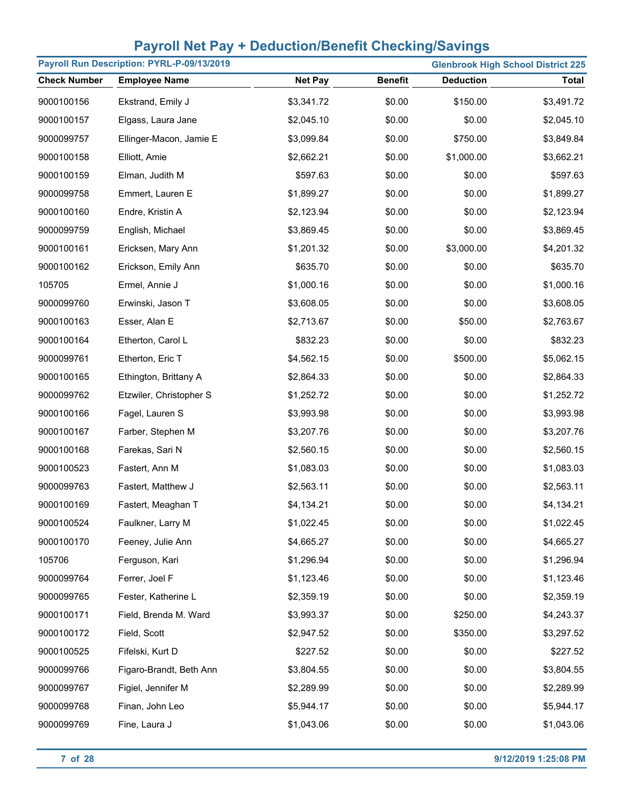|                     | Payroll Run Description: PYRL-P-09/13/2019 |                | <b>Glenbrook High School District 225</b> |                  |              |  |
|---------------------|--------------------------------------------|----------------|-------------------------------------------|------------------|--------------|--|
| <b>Check Number</b> | <b>Employee Name</b>                       | <b>Net Pay</b> | <b>Benefit</b>                            | <b>Deduction</b> | <b>Total</b> |  |
| 9000100156          | Ekstrand, Emily J                          | \$3,341.72     | \$0.00                                    | \$150.00         | \$3,491.72   |  |
| 9000100157          | Elgass, Laura Jane                         | \$2,045.10     | \$0.00                                    | \$0.00           | \$2,045.10   |  |
| 9000099757          | Ellinger-Macon, Jamie E                    | \$3,099.84     | \$0.00                                    | \$750.00         | \$3,849.84   |  |
| 9000100158          | Elliott, Amie                              | \$2,662.21     | \$0.00                                    | \$1,000.00       | \$3,662.21   |  |
| 9000100159          | Elman, Judith M                            | \$597.63       | \$0.00                                    | \$0.00           | \$597.63     |  |
| 9000099758          | Emmert, Lauren E                           | \$1,899.27     | \$0.00                                    | \$0.00           | \$1,899.27   |  |
| 9000100160          | Endre, Kristin A                           | \$2,123.94     | \$0.00                                    | \$0.00           | \$2,123.94   |  |
| 9000099759          | English, Michael                           | \$3,869.45     | \$0.00                                    | \$0.00           | \$3,869.45   |  |
| 9000100161          | Ericksen, Mary Ann                         | \$1,201.32     | \$0.00                                    | \$3,000.00       | \$4,201.32   |  |
| 9000100162          | Erickson, Emily Ann                        | \$635.70       | \$0.00                                    | \$0.00           | \$635.70     |  |
| 105705              | Ermel, Annie J                             | \$1,000.16     | \$0.00                                    | \$0.00           | \$1,000.16   |  |
| 9000099760          | Erwinski, Jason T                          | \$3,608.05     | \$0.00                                    | \$0.00           | \$3,608.05   |  |
| 9000100163          | Esser, Alan E                              | \$2,713.67     | \$0.00                                    | \$50.00          | \$2,763.67   |  |
| 9000100164          | Etherton, Carol L                          | \$832.23       | \$0.00                                    | \$0.00           | \$832.23     |  |
| 9000099761          | Etherton, Eric T                           | \$4,562.15     | \$0.00                                    | \$500.00         | \$5,062.15   |  |
| 9000100165          | Ethington, Brittany A                      | \$2,864.33     | \$0.00                                    | \$0.00           | \$2,864.33   |  |
| 9000099762          | Etzwiler, Christopher S                    | \$1,252.72     | \$0.00                                    | \$0.00           | \$1,252.72   |  |
| 9000100166          | Fagel, Lauren S                            | \$3,993.98     | \$0.00                                    | \$0.00           | \$3,993.98   |  |
| 9000100167          | Farber, Stephen M                          | \$3,207.76     | \$0.00                                    | \$0.00           | \$3,207.76   |  |
| 9000100168          | Farekas, Sari N                            | \$2,560.15     | \$0.00                                    | \$0.00           | \$2,560.15   |  |
| 9000100523          | Fastert, Ann M                             | \$1,083.03     | \$0.00                                    | \$0.00           | \$1,083.03   |  |
| 9000099763          | Fastert, Matthew J                         | \$2,563.11     | \$0.00                                    | \$0.00           | \$2,563.11   |  |
| 9000100169          | Fastert, Meaghan T                         | \$4,134.21     | \$0.00                                    | \$0.00           | \$4,134.21   |  |
| 9000100524          | Faulkner, Larry M                          | \$1,022.45     | \$0.00                                    | \$0.00           | \$1,022.45   |  |
| 9000100170          | Feeney, Julie Ann                          | \$4,665.27     | \$0.00                                    | \$0.00           | \$4,665.27   |  |
| 105706              | Ferguson, Kari                             | \$1,296.94     | \$0.00                                    | \$0.00           | \$1,296.94   |  |
| 9000099764          | Ferrer, Joel F                             | \$1,123.46     | \$0.00                                    | \$0.00           | \$1,123.46   |  |
| 9000099765          | Fester, Katherine L                        | \$2,359.19     | \$0.00                                    | \$0.00           | \$2,359.19   |  |
| 9000100171          | Field, Brenda M. Ward                      | \$3,993.37     | \$0.00                                    | \$250.00         | \$4,243.37   |  |
| 9000100172          | Field, Scott                               | \$2,947.52     | \$0.00                                    | \$350.00         | \$3,297.52   |  |
| 9000100525          | Fifelski, Kurt D                           | \$227.52       | \$0.00                                    | \$0.00           | \$227.52     |  |
| 9000099766          | Figaro-Brandt, Beth Ann                    | \$3,804.55     | \$0.00                                    | \$0.00           | \$3,804.55   |  |
| 9000099767          | Figiel, Jennifer M                         | \$2,289.99     | \$0.00                                    | \$0.00           | \$2,289.99   |  |
| 9000099768          | Finan, John Leo                            | \$5,944.17     | \$0.00                                    | \$0.00           | \$5,944.17   |  |
| 9000099769          | Fine, Laura J                              | \$1,043.06     | \$0.00                                    | \$0.00           | \$1,043.06   |  |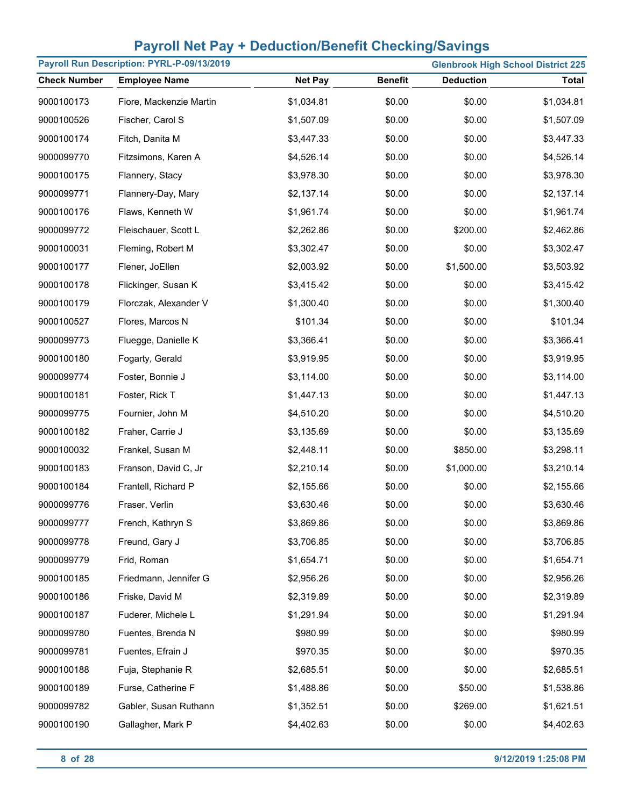|                     | Payroll Run Description: PYRL-P-09/13/2019 |                |                |                  | <b>Glenbrook High School District 225</b> |
|---------------------|--------------------------------------------|----------------|----------------|------------------|-------------------------------------------|
| <b>Check Number</b> | <b>Employee Name</b>                       | <b>Net Pay</b> | <b>Benefit</b> | <b>Deduction</b> | <b>Total</b>                              |
| 9000100173          | Fiore, Mackenzie Martin                    | \$1,034.81     | \$0.00         | \$0.00           | \$1,034.81                                |
| 9000100526          | Fischer, Carol S                           | \$1,507.09     | \$0.00         | \$0.00           | \$1,507.09                                |
| 9000100174          | Fitch, Danita M                            | \$3,447.33     | \$0.00         | \$0.00           | \$3,447.33                                |
| 9000099770          | Fitzsimons, Karen A                        | \$4,526.14     | \$0.00         | \$0.00           | \$4,526.14                                |
| 9000100175          | Flannery, Stacy                            | \$3,978.30     | \$0.00         | \$0.00           | \$3,978.30                                |
| 9000099771          | Flannery-Day, Mary                         | \$2,137.14     | \$0.00         | \$0.00           | \$2,137.14                                |
| 9000100176          | Flaws, Kenneth W                           | \$1,961.74     | \$0.00         | \$0.00           | \$1,961.74                                |
| 9000099772          | Fleischauer, Scott L                       | \$2,262.86     | \$0.00         | \$200.00         | \$2,462.86                                |
| 9000100031          | Fleming, Robert M                          | \$3,302.47     | \$0.00         | \$0.00           | \$3,302.47                                |
| 9000100177          | Flener, JoEllen                            | \$2,003.92     | \$0.00         | \$1,500.00       | \$3,503.92                                |
| 9000100178          | Flickinger, Susan K                        | \$3,415.42     | \$0.00         | \$0.00           | \$3,415.42                                |
| 9000100179          | Florczak, Alexander V                      | \$1,300.40     | \$0.00         | \$0.00           | \$1,300.40                                |
| 9000100527          | Flores, Marcos N                           | \$101.34       | \$0.00         | \$0.00           | \$101.34                                  |
| 9000099773          | Fluegge, Danielle K                        | \$3,366.41     | \$0.00         | \$0.00           | \$3,366.41                                |
| 9000100180          | Fogarty, Gerald                            | \$3,919.95     | \$0.00         | \$0.00           | \$3,919.95                                |
| 9000099774          | Foster, Bonnie J                           | \$3,114.00     | \$0.00         | \$0.00           | \$3,114.00                                |
| 9000100181          | Foster, Rick T                             | \$1,447.13     | \$0.00         | \$0.00           | \$1,447.13                                |
| 9000099775          | Fournier, John M                           | \$4,510.20     | \$0.00         | \$0.00           | \$4,510.20                                |
| 9000100182          | Fraher, Carrie J                           | \$3,135.69     | \$0.00         | \$0.00           | \$3,135.69                                |
| 9000100032          | Frankel, Susan M                           | \$2,448.11     | \$0.00         | \$850.00         | \$3,298.11                                |
| 9000100183          | Franson, David C, Jr                       | \$2,210.14     | \$0.00         | \$1,000.00       | \$3,210.14                                |
| 9000100184          | Frantell, Richard P                        | \$2,155.66     | \$0.00         | \$0.00           | \$2,155.66                                |
| 9000099776          | Fraser, Verlin                             | \$3,630.46     | \$0.00         | \$0.00           | \$3,630.46                                |
| 9000099777          | French, Kathryn S                          | \$3,869.86     | \$0.00         | \$0.00           | \$3,869.86                                |
| 9000099778          | Freund, Gary J                             | \$3,706.85     | \$0.00         | \$0.00           | \$3,706.85                                |
| 9000099779          | Frid, Roman                                | \$1,654.71     | \$0.00         | \$0.00           | \$1,654.71                                |
| 9000100185          | Friedmann, Jennifer G                      | \$2,956.26     | \$0.00         | \$0.00           | \$2,956.26                                |
| 9000100186          | Friske, David M                            | \$2,319.89     | \$0.00         | \$0.00           | \$2,319.89                                |
| 9000100187          | Fuderer, Michele L                         | \$1,291.94     | \$0.00         | \$0.00           | \$1,291.94                                |
| 9000099780          | Fuentes, Brenda N                          | \$980.99       | \$0.00         | \$0.00           | \$980.99                                  |
| 9000099781          | Fuentes, Efrain J                          | \$970.35       | \$0.00         | \$0.00           | \$970.35                                  |
| 9000100188          | Fuja, Stephanie R                          | \$2,685.51     | \$0.00         | \$0.00           | \$2,685.51                                |
| 9000100189          | Furse, Catherine F                         | \$1,488.86     | \$0.00         | \$50.00          | \$1,538.86                                |
| 9000099782          | Gabler, Susan Ruthann                      | \$1,352.51     | \$0.00         | \$269.00         | \$1,621.51                                |
| 9000100190          | Gallagher, Mark P                          | \$4,402.63     | \$0.00         | \$0.00           | \$4,402.63                                |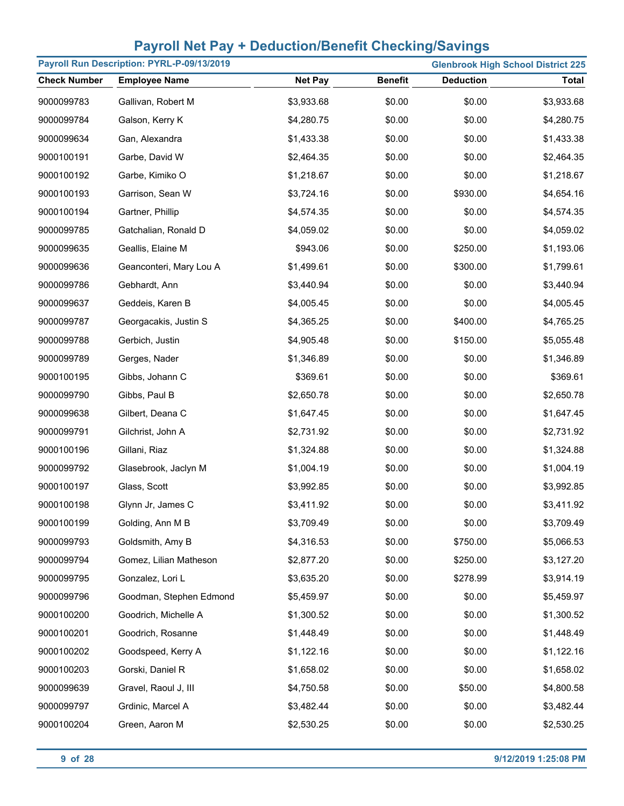| Payroll Run Description: PYRL-P-09/13/2019<br><b>Glenbrook High School District 225</b> |                         |                |                |                  |              |
|-----------------------------------------------------------------------------------------|-------------------------|----------------|----------------|------------------|--------------|
| <b>Check Number</b>                                                                     | <b>Employee Name</b>    | <b>Net Pay</b> | <b>Benefit</b> | <b>Deduction</b> | <b>Total</b> |
| 9000099783                                                                              | Gallivan, Robert M      | \$3,933.68     | \$0.00         | \$0.00           | \$3,933.68   |
| 9000099784                                                                              | Galson, Kerry K         | \$4,280.75     | \$0.00         | \$0.00           | \$4,280.75   |
| 9000099634                                                                              | Gan, Alexandra          | \$1,433.38     | \$0.00         | \$0.00           | \$1,433.38   |
| 9000100191                                                                              | Garbe, David W          | \$2,464.35     | \$0.00         | \$0.00           | \$2,464.35   |
| 9000100192                                                                              | Garbe, Kimiko O         | \$1,218.67     | \$0.00         | \$0.00           | \$1,218.67   |
| 9000100193                                                                              | Garrison, Sean W        | \$3,724.16     | \$0.00         | \$930.00         | \$4,654.16   |
| 9000100194                                                                              | Gartner, Phillip        | \$4,574.35     | \$0.00         | \$0.00           | \$4,574.35   |
| 9000099785                                                                              | Gatchalian, Ronald D    | \$4,059.02     | \$0.00         | \$0.00           | \$4,059.02   |
| 9000099635                                                                              | Geallis, Elaine M       | \$943.06       | \$0.00         | \$250.00         | \$1,193.06   |
| 9000099636                                                                              | Geanconteri, Mary Lou A | \$1,499.61     | \$0.00         | \$300.00         | \$1,799.61   |
| 9000099786                                                                              | Gebhardt, Ann           | \$3,440.94     | \$0.00         | \$0.00           | \$3,440.94   |
| 9000099637                                                                              | Geddeis, Karen B        | \$4,005.45     | \$0.00         | \$0.00           | \$4,005.45   |
| 9000099787                                                                              | Georgacakis, Justin S   | \$4,365.25     | \$0.00         | \$400.00         | \$4,765.25   |
| 9000099788                                                                              | Gerbich, Justin         | \$4,905.48     | \$0.00         | \$150.00         | \$5,055.48   |
| 9000099789                                                                              | Gerges, Nader           | \$1,346.89     | \$0.00         | \$0.00           | \$1,346.89   |
| 9000100195                                                                              | Gibbs, Johann C         | \$369.61       | \$0.00         | \$0.00           | \$369.61     |
| 9000099790                                                                              | Gibbs, Paul B           | \$2,650.78     | \$0.00         | \$0.00           | \$2,650.78   |
| 9000099638                                                                              | Gilbert, Deana C        | \$1,647.45     | \$0.00         | \$0.00           | \$1,647.45   |
| 9000099791                                                                              | Gilchrist, John A       | \$2,731.92     | \$0.00         | \$0.00           | \$2,731.92   |
| 9000100196                                                                              | Gillani, Riaz           | \$1,324.88     | \$0.00         | \$0.00           | \$1,324.88   |
| 9000099792                                                                              | Glasebrook, Jaclyn M    | \$1,004.19     | \$0.00         | \$0.00           | \$1,004.19   |
| 9000100197                                                                              | Glass, Scott            | \$3,992.85     | \$0.00         | \$0.00           | \$3,992.85   |
| 9000100198                                                                              | Glynn Jr, James C       | \$3,411.92     | \$0.00         | \$0.00           | \$3,411.92   |
| 9000100199                                                                              | Golding, Ann M B        | \$3,709.49     | \$0.00         | \$0.00           | \$3,709.49   |
| 9000099793                                                                              | Goldsmith, Amy B        | \$4,316.53     | \$0.00         | \$750.00         | \$5,066.53   |
| 9000099794                                                                              | Gomez, Lilian Matheson  | \$2,877.20     | \$0.00         | \$250.00         | \$3,127.20   |
| 9000099795                                                                              | Gonzalez, Lori L        | \$3,635.20     | \$0.00         | \$278.99         | \$3,914.19   |
| 9000099796                                                                              | Goodman, Stephen Edmond | \$5,459.97     | \$0.00         | \$0.00           | \$5,459.97   |
| 9000100200                                                                              | Goodrich, Michelle A    | \$1,300.52     | \$0.00         | \$0.00           | \$1,300.52   |
| 9000100201                                                                              | Goodrich, Rosanne       | \$1,448.49     | \$0.00         | \$0.00           | \$1,448.49   |
| 9000100202                                                                              | Goodspeed, Kerry A      | \$1,122.16     | \$0.00         | \$0.00           | \$1,122.16   |
| 9000100203                                                                              | Gorski, Daniel R        | \$1,658.02     | \$0.00         | \$0.00           | \$1,658.02   |
| 9000099639                                                                              | Gravel, Raoul J, III    | \$4,750.58     | \$0.00         | \$50.00          | \$4,800.58   |
| 9000099797                                                                              | Grdinic, Marcel A       | \$3,482.44     | \$0.00         | \$0.00           | \$3,482.44   |
| 9000100204                                                                              | Green, Aaron M          | \$2,530.25     | \$0.00         | \$0.00           | \$2,530.25   |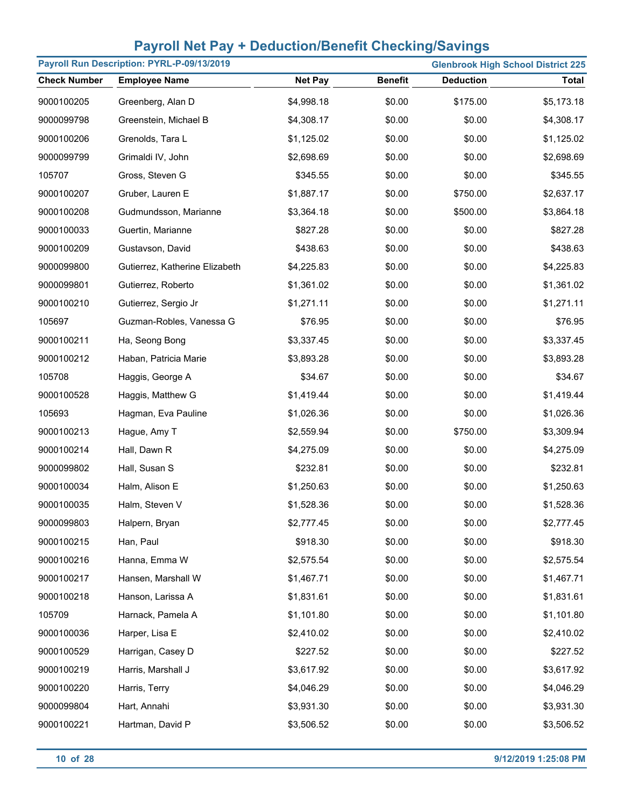| Payroll Run Description: PYRL-P-09/13/2019<br><b>Glenbrook High School District 225</b> |                                |                |                |                  |            |
|-----------------------------------------------------------------------------------------|--------------------------------|----------------|----------------|------------------|------------|
| <b>Check Number</b>                                                                     | <b>Employee Name</b>           | <b>Net Pay</b> | <b>Benefit</b> | <b>Deduction</b> | Total      |
| 9000100205                                                                              | Greenberg, Alan D              | \$4,998.18     | \$0.00         | \$175.00         | \$5,173.18 |
| 9000099798                                                                              | Greenstein, Michael B          | \$4,308.17     | \$0.00         | \$0.00           | \$4,308.17 |
| 9000100206                                                                              | Grenolds, Tara L               | \$1,125.02     | \$0.00         | \$0.00           | \$1,125.02 |
| 9000099799                                                                              | Grimaldi IV, John              | \$2,698.69     | \$0.00         | \$0.00           | \$2,698.69 |
| 105707                                                                                  | Gross, Steven G                | \$345.55       | \$0.00         | \$0.00           | \$345.55   |
| 9000100207                                                                              | Gruber, Lauren E               | \$1,887.17     | \$0.00         | \$750.00         | \$2,637.17 |
| 9000100208                                                                              | Gudmundsson, Marianne          | \$3,364.18     | \$0.00         | \$500.00         | \$3,864.18 |
| 9000100033                                                                              | Guertin, Marianne              | \$827.28       | \$0.00         | \$0.00           | \$827.28   |
| 9000100209                                                                              | Gustavson, David               | \$438.63       | \$0.00         | \$0.00           | \$438.63   |
| 9000099800                                                                              | Gutierrez, Katherine Elizabeth | \$4,225.83     | \$0.00         | \$0.00           | \$4,225.83 |
| 9000099801                                                                              | Gutierrez, Roberto             | \$1,361.02     | \$0.00         | \$0.00           | \$1,361.02 |
| 9000100210                                                                              | Gutierrez, Sergio Jr           | \$1,271.11     | \$0.00         | \$0.00           | \$1,271.11 |
| 105697                                                                                  | Guzman-Robles, Vanessa G       | \$76.95        | \$0.00         | \$0.00           | \$76.95    |
| 9000100211                                                                              | Ha, Seong Bong                 | \$3,337.45     | \$0.00         | \$0.00           | \$3,337.45 |
| 9000100212                                                                              | Haban, Patricia Marie          | \$3,893.28     | \$0.00         | \$0.00           | \$3,893.28 |
| 105708                                                                                  | Haggis, George A               | \$34.67        | \$0.00         | \$0.00           | \$34.67    |
| 9000100528                                                                              | Haggis, Matthew G              | \$1,419.44     | \$0.00         | \$0.00           | \$1,419.44 |
| 105693                                                                                  | Hagman, Eva Pauline            | \$1,026.36     | \$0.00         | \$0.00           | \$1,026.36 |
| 9000100213                                                                              | Hague, Amy T                   | \$2,559.94     | \$0.00         | \$750.00         | \$3,309.94 |
| 9000100214                                                                              | Hall, Dawn R                   | \$4,275.09     | \$0.00         | \$0.00           | \$4,275.09 |
| 9000099802                                                                              | Hall, Susan S                  | \$232.81       | \$0.00         | \$0.00           | \$232.81   |
| 9000100034                                                                              | Halm, Alison E                 | \$1,250.63     | \$0.00         | \$0.00           | \$1,250.63 |
| 9000100035                                                                              | Halm, Steven V                 | \$1,528.36     | \$0.00         | \$0.00           | \$1,528.36 |
| 9000099803                                                                              | Halpern, Bryan                 | \$2,777.45     | \$0.00         | \$0.00           | \$2,777.45 |
| 9000100215                                                                              | Han, Paul                      | \$918.30       | \$0.00         | \$0.00           | \$918.30   |
| 9000100216                                                                              | Hanna, Emma W                  | \$2,575.54     | \$0.00         | \$0.00           | \$2,575.54 |
| 9000100217                                                                              | Hansen, Marshall W             | \$1,467.71     | \$0.00         | \$0.00           | \$1,467.71 |
| 9000100218                                                                              | Hanson, Larissa A              | \$1,831.61     | \$0.00         | \$0.00           | \$1,831.61 |
| 105709                                                                                  | Harnack, Pamela A              | \$1,101.80     | \$0.00         | \$0.00           | \$1,101.80 |
| 9000100036                                                                              | Harper, Lisa E                 | \$2,410.02     | \$0.00         | \$0.00           | \$2,410.02 |
| 9000100529                                                                              | Harrigan, Casey D              | \$227.52       | \$0.00         | \$0.00           | \$227.52   |
| 9000100219                                                                              | Harris, Marshall J             | \$3,617.92     | \$0.00         | \$0.00           | \$3,617.92 |
| 9000100220                                                                              | Harris, Terry                  | \$4,046.29     | \$0.00         | \$0.00           | \$4,046.29 |
| 9000099804                                                                              | Hart, Annahi                   | \$3,931.30     | \$0.00         | \$0.00           | \$3,931.30 |
| 9000100221                                                                              | Hartman, David P               | \$3,506.52     | \$0.00         | \$0.00           | \$3,506.52 |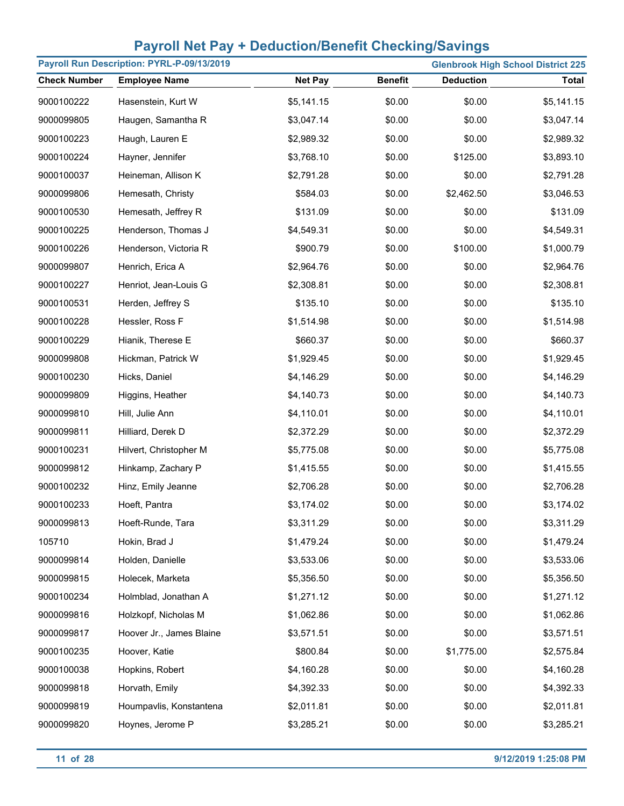| Payroll Run Description: PYRL-P-09/13/2019 |                          |                |                | <b>Glenbrook High School District 225</b> |              |
|--------------------------------------------|--------------------------|----------------|----------------|-------------------------------------------|--------------|
| <b>Check Number</b>                        | <b>Employee Name</b>     | <b>Net Pay</b> | <b>Benefit</b> | <b>Deduction</b>                          | <b>Total</b> |
| 9000100222                                 | Hasenstein, Kurt W       | \$5,141.15     | \$0.00         | \$0.00                                    | \$5,141.15   |
| 9000099805                                 | Haugen, Samantha R       | \$3,047.14     | \$0.00         | \$0.00                                    | \$3,047.14   |
| 9000100223                                 | Haugh, Lauren E          | \$2,989.32     | \$0.00         | \$0.00                                    | \$2,989.32   |
| 9000100224                                 | Hayner, Jennifer         | \$3,768.10     | \$0.00         | \$125.00                                  | \$3,893.10   |
| 9000100037                                 | Heineman, Allison K      | \$2,791.28     | \$0.00         | \$0.00                                    | \$2,791.28   |
| 9000099806                                 | Hemesath, Christy        | \$584.03       | \$0.00         | \$2,462.50                                | \$3,046.53   |
| 9000100530                                 | Hemesath, Jeffrey R      | \$131.09       | \$0.00         | \$0.00                                    | \$131.09     |
| 9000100225                                 | Henderson, Thomas J      | \$4,549.31     | \$0.00         | \$0.00                                    | \$4,549.31   |
| 9000100226                                 | Henderson, Victoria R    | \$900.79       | \$0.00         | \$100.00                                  | \$1,000.79   |
| 9000099807                                 | Henrich, Erica A         | \$2,964.76     | \$0.00         | \$0.00                                    | \$2,964.76   |
| 9000100227                                 | Henriot, Jean-Louis G    | \$2,308.81     | \$0.00         | \$0.00                                    | \$2,308.81   |
| 9000100531                                 | Herden, Jeffrey S        | \$135.10       | \$0.00         | \$0.00                                    | \$135.10     |
| 9000100228                                 | Hessler, Ross F          | \$1,514.98     | \$0.00         | \$0.00                                    | \$1,514.98   |
| 9000100229                                 | Hianik, Therese E        | \$660.37       | \$0.00         | \$0.00                                    | \$660.37     |
| 9000099808                                 | Hickman, Patrick W       | \$1,929.45     | \$0.00         | \$0.00                                    | \$1,929.45   |
| 9000100230                                 | Hicks, Daniel            | \$4,146.29     | \$0.00         | \$0.00                                    | \$4,146.29   |
| 9000099809                                 | Higgins, Heather         | \$4,140.73     | \$0.00         | \$0.00                                    | \$4,140.73   |
| 9000099810                                 | Hill, Julie Ann          | \$4,110.01     | \$0.00         | \$0.00                                    | \$4,110.01   |
| 9000099811                                 | Hilliard, Derek D        | \$2,372.29     | \$0.00         | \$0.00                                    | \$2,372.29   |
| 9000100231                                 | Hilvert, Christopher M   | \$5,775.08     | \$0.00         | \$0.00                                    | \$5,775.08   |
| 9000099812                                 | Hinkamp, Zachary P       | \$1,415.55     | \$0.00         | \$0.00                                    | \$1,415.55   |
| 9000100232                                 | Hinz, Emily Jeanne       | \$2,706.28     | \$0.00         | \$0.00                                    | \$2,706.28   |
| 9000100233                                 | Hoeft, Pantra            | \$3,174.02     | \$0.00         | \$0.00                                    | \$3,174.02   |
| 9000099813                                 | Hoeft-Runde, Tara        | \$3,311.29     | \$0.00         | \$0.00                                    | \$3,311.29   |
| 105710                                     | Hokin, Brad J            | \$1,479.24     | \$0.00         | \$0.00                                    | \$1,479.24   |
| 9000099814                                 | Holden, Danielle         | \$3,533.06     | \$0.00         | \$0.00                                    | \$3,533.06   |
| 9000099815                                 | Holecek, Marketa         | \$5,356.50     | \$0.00         | \$0.00                                    | \$5,356.50   |
| 9000100234                                 | Holmblad, Jonathan A     | \$1,271.12     | \$0.00         | \$0.00                                    | \$1,271.12   |
| 9000099816                                 | Holzkopf, Nicholas M     | \$1,062.86     | \$0.00         | \$0.00                                    | \$1,062.86   |
| 9000099817                                 | Hoover Jr., James Blaine | \$3,571.51     | \$0.00         | \$0.00                                    | \$3,571.51   |
| 9000100235                                 | Hoover, Katie            | \$800.84       | \$0.00         | \$1,775.00                                | \$2,575.84   |
| 9000100038                                 | Hopkins, Robert          | \$4,160.28     | \$0.00         | \$0.00                                    | \$4,160.28   |
| 9000099818                                 | Horvath, Emily           | \$4,392.33     | \$0.00         | \$0.00                                    | \$4,392.33   |
| 9000099819                                 | Houmpavlis, Konstantena  | \$2,011.81     | \$0.00         | \$0.00                                    | \$2,011.81   |
| 9000099820                                 | Hoynes, Jerome P         | \$3,285.21     | \$0.00         | \$0.00                                    | \$3,285.21   |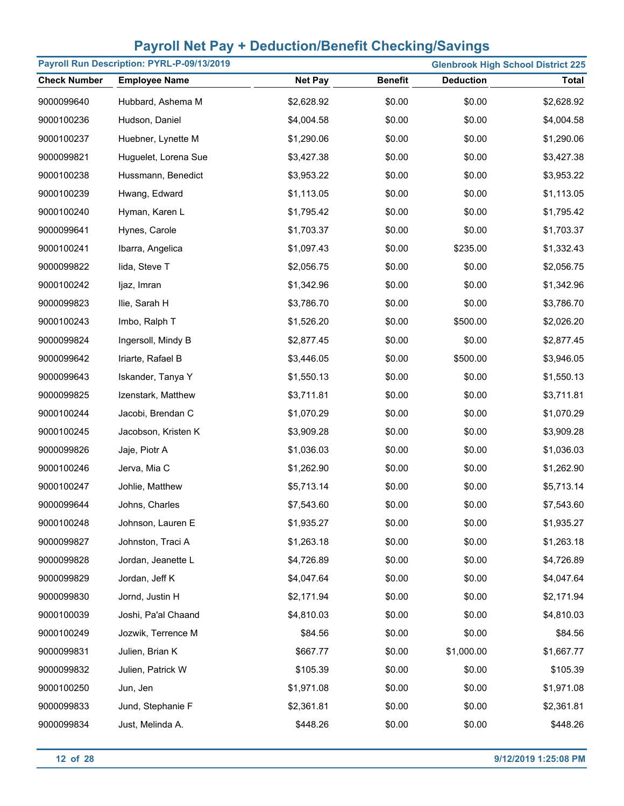| Payroll Run Description: PYRL-P-09/13/2019 |                      |                |                |                  | <b>Glenbrook High School District 225</b> |
|--------------------------------------------|----------------------|----------------|----------------|------------------|-------------------------------------------|
| <b>Check Number</b>                        | <b>Employee Name</b> | <b>Net Pay</b> | <b>Benefit</b> | <b>Deduction</b> | <b>Total</b>                              |
| 9000099640                                 | Hubbard, Ashema M    | \$2,628.92     | \$0.00         | \$0.00           | \$2,628.92                                |
| 9000100236                                 | Hudson, Daniel       | \$4,004.58     | \$0.00         | \$0.00           | \$4,004.58                                |
| 9000100237                                 | Huebner, Lynette M   | \$1,290.06     | \$0.00         | \$0.00           | \$1,290.06                                |
| 9000099821                                 | Huguelet, Lorena Sue | \$3,427.38     | \$0.00         | \$0.00           | \$3,427.38                                |
| 9000100238                                 | Hussmann, Benedict   | \$3,953.22     | \$0.00         | \$0.00           | \$3,953.22                                |
| 9000100239                                 | Hwang, Edward        | \$1,113.05     | \$0.00         | \$0.00           | \$1,113.05                                |
| 9000100240                                 | Hyman, Karen L       | \$1,795.42     | \$0.00         | \$0.00           | \$1,795.42                                |
| 9000099641                                 | Hynes, Carole        | \$1,703.37     | \$0.00         | \$0.00           | \$1,703.37                                |
| 9000100241                                 | Ibarra, Angelica     | \$1,097.43     | \$0.00         | \$235.00         | \$1,332.43                                |
| 9000099822                                 | lida, Steve T        | \$2,056.75     | \$0.00         | \$0.00           | \$2,056.75                                |
| 9000100242                                 | ljaz, Imran          | \$1,342.96     | \$0.00         | \$0.00           | \$1,342.96                                |
| 9000099823                                 | Ilie, Sarah H        | \$3,786.70     | \$0.00         | \$0.00           | \$3,786.70                                |
| 9000100243                                 | Imbo, Ralph T        | \$1,526.20     | \$0.00         | \$500.00         | \$2,026.20                                |
| 9000099824                                 | Ingersoll, Mindy B   | \$2,877.45     | \$0.00         | \$0.00           | \$2,877.45                                |
| 9000099642                                 | Iriarte, Rafael B    | \$3,446.05     | \$0.00         | \$500.00         | \$3,946.05                                |
| 9000099643                                 | Iskander, Tanya Y    | \$1,550.13     | \$0.00         | \$0.00           | \$1,550.13                                |
| 9000099825                                 | Izenstark, Matthew   | \$3,711.81     | \$0.00         | \$0.00           | \$3,711.81                                |
| 9000100244                                 | Jacobi, Brendan C    | \$1,070.29     | \$0.00         | \$0.00           | \$1,070.29                                |
| 9000100245                                 | Jacobson, Kristen K  | \$3,909.28     | \$0.00         | \$0.00           | \$3,909.28                                |
| 9000099826                                 | Jaje, Piotr A        | \$1,036.03     | \$0.00         | \$0.00           | \$1,036.03                                |
| 9000100246                                 | Jerva, Mia C         | \$1,262.90     | \$0.00         | \$0.00           | \$1,262.90                                |
| 9000100247                                 | Johlie, Matthew      | \$5,713.14     | \$0.00         | \$0.00           | \$5,713.14                                |
| 9000099644                                 | Johns, Charles       | \$7,543.60     | \$0.00         | \$0.00           | \$7,543.60                                |
| 9000100248                                 | Johnson, Lauren E    | \$1,935.27     | \$0.00         | \$0.00           | \$1,935.27                                |
| 9000099827                                 | Johnston, Traci A    | \$1,263.18     | \$0.00         | \$0.00           | \$1,263.18                                |
| 9000099828                                 | Jordan, Jeanette L   | \$4,726.89     | \$0.00         | \$0.00           | \$4,726.89                                |
| 9000099829                                 | Jordan, Jeff K       | \$4,047.64     | \$0.00         | \$0.00           | \$4,047.64                                |
| 9000099830                                 | Jornd, Justin H      | \$2,171.94     | \$0.00         | \$0.00           | \$2,171.94                                |
| 9000100039                                 | Joshi, Pa'al Chaand  | \$4,810.03     | \$0.00         | \$0.00           | \$4,810.03                                |
| 9000100249                                 | Jozwik, Terrence M   | \$84.56        | \$0.00         | \$0.00           | \$84.56                                   |
| 9000099831                                 | Julien, Brian K      | \$667.77       | \$0.00         | \$1,000.00       | \$1,667.77                                |
| 9000099832                                 | Julien, Patrick W    | \$105.39       | \$0.00         | \$0.00           | \$105.39                                  |
| 9000100250                                 | Jun, Jen             | \$1,971.08     | \$0.00         | \$0.00           | \$1,971.08                                |
| 9000099833                                 | Jund, Stephanie F    | \$2,361.81     | \$0.00         | \$0.00           | \$2,361.81                                |
| 9000099834                                 | Just, Melinda A.     | \$448.26       | \$0.00         | \$0.00           | \$448.26                                  |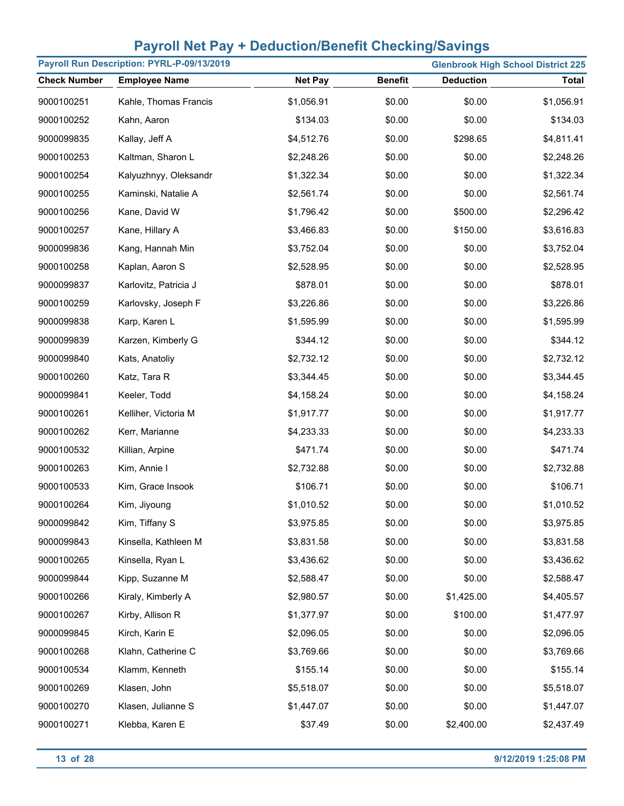| Payroll Run Description: PYRL-P-09/13/2019 |                       |                |                |                  | <b>Glenbrook High School District 225</b> |
|--------------------------------------------|-----------------------|----------------|----------------|------------------|-------------------------------------------|
| <b>Check Number</b>                        | <b>Employee Name</b>  | <b>Net Pay</b> | <b>Benefit</b> | <b>Deduction</b> | <b>Total</b>                              |
| 9000100251                                 | Kahle, Thomas Francis | \$1,056.91     | \$0.00         | \$0.00           | \$1,056.91                                |
| 9000100252                                 | Kahn, Aaron           | \$134.03       | \$0.00         | \$0.00           | \$134.03                                  |
| 9000099835                                 | Kallay, Jeff A        | \$4,512.76     | \$0.00         | \$298.65         | \$4,811.41                                |
| 9000100253                                 | Kaltman, Sharon L     | \$2,248.26     | \$0.00         | \$0.00           | \$2,248.26                                |
| 9000100254                                 | Kalyuzhnyy, Oleksandr | \$1,322.34     | \$0.00         | \$0.00           | \$1,322.34                                |
| 9000100255                                 | Kaminski, Natalie A   | \$2,561.74     | \$0.00         | \$0.00           | \$2,561.74                                |
| 9000100256                                 | Kane, David W         | \$1,796.42     | \$0.00         | \$500.00         | \$2,296.42                                |
| 9000100257                                 | Kane, Hillary A       | \$3,466.83     | \$0.00         | \$150.00         | \$3,616.83                                |
| 9000099836                                 | Kang, Hannah Min      | \$3,752.04     | \$0.00         | \$0.00           | \$3,752.04                                |
| 9000100258                                 | Kaplan, Aaron S       | \$2,528.95     | \$0.00         | \$0.00           | \$2,528.95                                |
| 9000099837                                 | Karlovitz, Patricia J | \$878.01       | \$0.00         | \$0.00           | \$878.01                                  |
| 9000100259                                 | Karlovsky, Joseph F   | \$3,226.86     | \$0.00         | \$0.00           | \$3,226.86                                |
| 9000099838                                 | Karp, Karen L         | \$1,595.99     | \$0.00         | \$0.00           | \$1,595.99                                |
| 9000099839                                 | Karzen, Kimberly G    | \$344.12       | \$0.00         | \$0.00           | \$344.12                                  |
| 9000099840                                 | Kats, Anatoliy        | \$2,732.12     | \$0.00         | \$0.00           | \$2,732.12                                |
| 9000100260                                 | Katz, Tara R          | \$3,344.45     | \$0.00         | \$0.00           | \$3,344.45                                |
| 9000099841                                 | Keeler, Todd          | \$4,158.24     | \$0.00         | \$0.00           | \$4,158.24                                |
| 9000100261                                 | Kelliher, Victoria M  | \$1,917.77     | \$0.00         | \$0.00           | \$1,917.77                                |
| 9000100262                                 | Kerr, Marianne        | \$4,233.33     | \$0.00         | \$0.00           | \$4,233.33                                |
| 9000100532                                 | Killian, Arpine       | \$471.74       | \$0.00         | \$0.00           | \$471.74                                  |
| 9000100263                                 | Kim, Annie I          | \$2,732.88     | \$0.00         | \$0.00           | \$2,732.88                                |
| 9000100533                                 | Kim, Grace Insook     | \$106.71       | \$0.00         | \$0.00           | \$106.71                                  |
| 9000100264                                 | Kim, Jiyoung          | \$1,010.52     | \$0.00         | \$0.00           | \$1,010.52                                |
| 9000099842                                 | Kim, Tiffany S        | \$3,975.85     | \$0.00         | \$0.00           | \$3,975.85                                |
| 9000099843                                 | Kinsella, Kathleen M  | \$3,831.58     | \$0.00         | \$0.00           | \$3,831.58                                |
| 9000100265                                 | Kinsella, Ryan L      | \$3,436.62     | \$0.00         | \$0.00           | \$3,436.62                                |
| 9000099844                                 | Kipp, Suzanne M       | \$2,588.47     | \$0.00         | \$0.00           | \$2,588.47                                |
| 9000100266                                 | Kiraly, Kimberly A    | \$2,980.57     | \$0.00         | \$1,425.00       | \$4,405.57                                |
| 9000100267                                 | Kirby, Allison R      | \$1,377.97     | \$0.00         | \$100.00         | \$1,477.97                                |
| 9000099845                                 | Kirch, Karin E        | \$2,096.05     | \$0.00         | \$0.00           | \$2,096.05                                |
| 9000100268                                 | Klahn, Catherine C    | \$3,769.66     | \$0.00         | \$0.00           | \$3,769.66                                |
| 9000100534                                 | Klamm, Kenneth        | \$155.14       | \$0.00         | \$0.00           | \$155.14                                  |
| 9000100269                                 | Klasen, John          | \$5,518.07     | \$0.00         | \$0.00           | \$5,518.07                                |
| 9000100270                                 | Klasen, Julianne S    | \$1,447.07     | \$0.00         | \$0.00           | \$1,447.07                                |
| 9000100271                                 | Klebba, Karen E       | \$37.49        | \$0.00         | \$2,400.00       | \$2,437.49                                |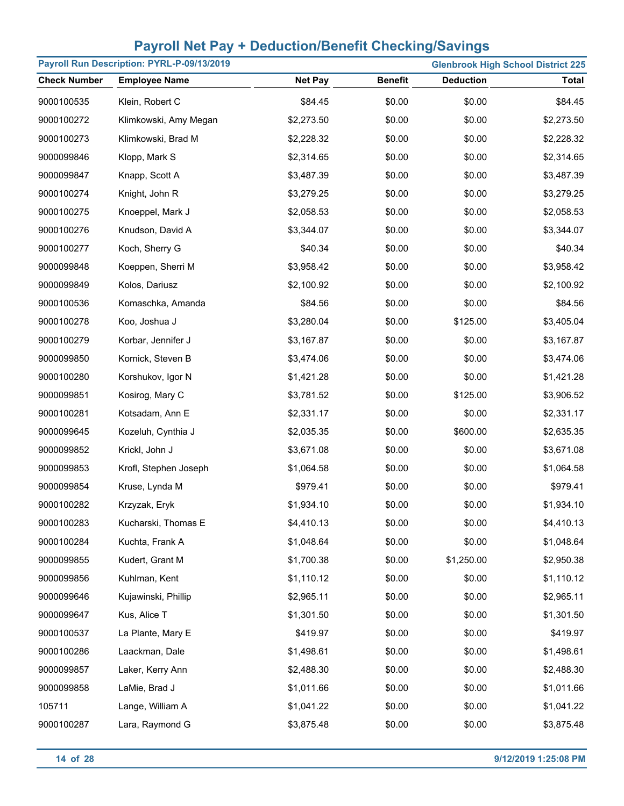| Payroll Run Description: PYRL-P-09/13/2019 |                       |                |                |                  | <b>Glenbrook High School District 225</b> |
|--------------------------------------------|-----------------------|----------------|----------------|------------------|-------------------------------------------|
| <b>Check Number</b>                        | <b>Employee Name</b>  | <b>Net Pay</b> | <b>Benefit</b> | <b>Deduction</b> | <b>Total</b>                              |
| 9000100535                                 | Klein, Robert C       | \$84.45        | \$0.00         | \$0.00           | \$84.45                                   |
| 9000100272                                 | Klimkowski, Amy Megan | \$2,273.50     | \$0.00         | \$0.00           | \$2,273.50                                |
| 9000100273                                 | Klimkowski, Brad M    | \$2,228.32     | \$0.00         | \$0.00           | \$2,228.32                                |
| 9000099846                                 | Klopp, Mark S         | \$2,314.65     | \$0.00         | \$0.00           | \$2,314.65                                |
| 9000099847                                 | Knapp, Scott A        | \$3,487.39     | \$0.00         | \$0.00           | \$3,487.39                                |
| 9000100274                                 | Knight, John R        | \$3,279.25     | \$0.00         | \$0.00           | \$3,279.25                                |
| 9000100275                                 | Knoeppel, Mark J      | \$2,058.53     | \$0.00         | \$0.00           | \$2,058.53                                |
| 9000100276                                 | Knudson, David A      | \$3,344.07     | \$0.00         | \$0.00           | \$3,344.07                                |
| 9000100277                                 | Koch, Sherry G        | \$40.34        | \$0.00         | \$0.00           | \$40.34                                   |
| 9000099848                                 | Koeppen, Sherri M     | \$3,958.42     | \$0.00         | \$0.00           | \$3,958.42                                |
| 9000099849                                 | Kolos, Dariusz        | \$2,100.92     | \$0.00         | \$0.00           | \$2,100.92                                |
| 9000100536                                 | Komaschka, Amanda     | \$84.56        | \$0.00         | \$0.00           | \$84.56                                   |
| 9000100278                                 | Koo, Joshua J         | \$3,280.04     | \$0.00         | \$125.00         | \$3,405.04                                |
| 9000100279                                 | Korbar, Jennifer J    | \$3,167.87     | \$0.00         | \$0.00           | \$3,167.87                                |
| 9000099850                                 | Kornick, Steven B     | \$3,474.06     | \$0.00         | \$0.00           | \$3,474.06                                |
| 9000100280                                 | Korshukov, Igor N     | \$1,421.28     | \$0.00         | \$0.00           | \$1,421.28                                |
| 9000099851                                 | Kosirog, Mary C       | \$3,781.52     | \$0.00         | \$125.00         | \$3,906.52                                |
| 9000100281                                 | Kotsadam, Ann E       | \$2,331.17     | \$0.00         | \$0.00           | \$2,331.17                                |
| 9000099645                                 | Kozeluh, Cynthia J    | \$2,035.35     | \$0.00         | \$600.00         | \$2,635.35                                |
| 9000099852                                 | Krickl, John J        | \$3,671.08     | \$0.00         | \$0.00           | \$3,671.08                                |
| 9000099853                                 | Krofl, Stephen Joseph | \$1,064.58     | \$0.00         | \$0.00           | \$1,064.58                                |
| 9000099854                                 | Kruse, Lynda M        | \$979.41       | \$0.00         | \$0.00           | \$979.41                                  |
| 9000100282                                 | Krzyzak, Eryk         | \$1,934.10     | \$0.00         | \$0.00           | \$1,934.10                                |
| 9000100283                                 | Kucharski, Thomas E   | \$4,410.13     | \$0.00         | \$0.00           | \$4,410.13                                |
| 9000100284                                 | Kuchta, Frank A       | \$1,048.64     | \$0.00         | \$0.00           | \$1,048.64                                |
| 9000099855                                 | Kudert, Grant M       | \$1,700.38     | \$0.00         | \$1,250.00       | \$2,950.38                                |
| 9000099856                                 | Kuhlman, Kent         | \$1,110.12     | \$0.00         | \$0.00           | \$1,110.12                                |
| 9000099646                                 | Kujawinski, Phillip   | \$2,965.11     | \$0.00         | \$0.00           | \$2,965.11                                |
| 9000099647                                 | Kus, Alice T          | \$1,301.50     | \$0.00         | \$0.00           | \$1,301.50                                |
| 9000100537                                 | La Plante, Mary E     | \$419.97       | \$0.00         | \$0.00           | \$419.97                                  |
| 9000100286                                 | Laackman, Dale        | \$1,498.61     | \$0.00         | \$0.00           | \$1,498.61                                |
| 9000099857                                 | Laker, Kerry Ann      | \$2,488.30     | \$0.00         | \$0.00           | \$2,488.30                                |
| 9000099858                                 | LaMie, Brad J         | \$1,011.66     | \$0.00         | \$0.00           | \$1,011.66                                |
| 105711                                     | Lange, William A      | \$1,041.22     | \$0.00         | \$0.00           | \$1,041.22                                |
| 9000100287                                 | Lara, Raymond G       | \$3,875.48     | \$0.00         | \$0.00           | \$3,875.48                                |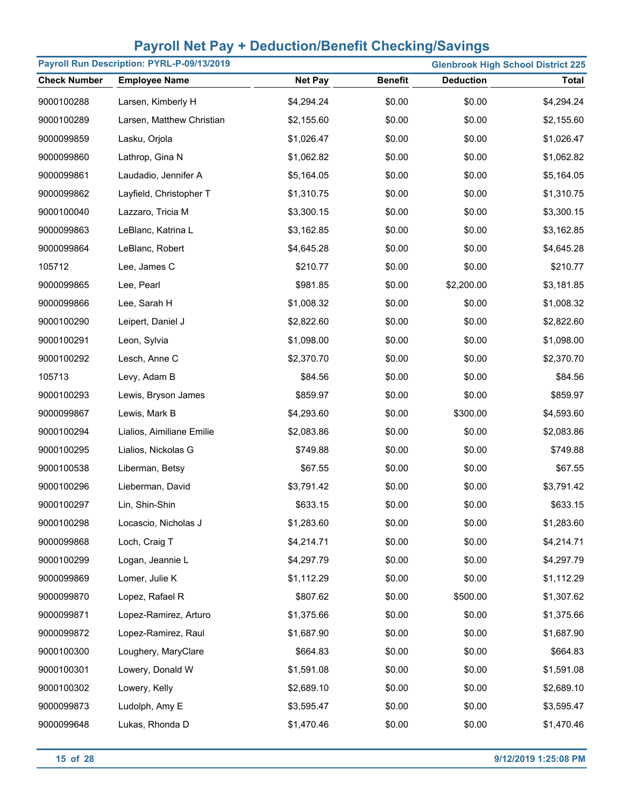| Payroll Run Description: PYRL-P-09/13/2019<br><b>Glenbrook High School District 225</b> |                           |                |                |                  |              |
|-----------------------------------------------------------------------------------------|---------------------------|----------------|----------------|------------------|--------------|
| <b>Check Number</b>                                                                     | <b>Employee Name</b>      | <b>Net Pay</b> | <b>Benefit</b> | <b>Deduction</b> | <b>Total</b> |
| 9000100288                                                                              | Larsen, Kimberly H        | \$4,294.24     | \$0.00         | \$0.00           | \$4,294.24   |
| 9000100289                                                                              | Larsen, Matthew Christian | \$2,155.60     | \$0.00         | \$0.00           | \$2,155.60   |
| 9000099859                                                                              | Lasku, Orjola             | \$1,026.47     | \$0.00         | \$0.00           | \$1,026.47   |
| 9000099860                                                                              | Lathrop, Gina N           | \$1,062.82     | \$0.00         | \$0.00           | \$1,062.82   |
| 9000099861                                                                              | Laudadio, Jennifer A      | \$5,164.05     | \$0.00         | \$0.00           | \$5,164.05   |
| 9000099862                                                                              | Layfield, Christopher T   | \$1,310.75     | \$0.00         | \$0.00           | \$1,310.75   |
| 9000100040                                                                              | Lazzaro, Tricia M         | \$3,300.15     | \$0.00         | \$0.00           | \$3,300.15   |
| 9000099863                                                                              | LeBlanc, Katrina L        | \$3,162.85     | \$0.00         | \$0.00           | \$3,162.85   |
| 9000099864                                                                              | LeBlanc, Robert           | \$4,645.28     | \$0.00         | \$0.00           | \$4,645.28   |
| 105712                                                                                  | Lee, James C              | \$210.77       | \$0.00         | \$0.00           | \$210.77     |
| 9000099865                                                                              | Lee, Pearl                | \$981.85       | \$0.00         | \$2,200.00       | \$3,181.85   |
| 9000099866                                                                              | Lee, Sarah H              | \$1,008.32     | \$0.00         | \$0.00           | \$1,008.32   |
| 9000100290                                                                              | Leipert, Daniel J         | \$2,822.60     | \$0.00         | \$0.00           | \$2,822.60   |
| 9000100291                                                                              | Leon, Sylvia              | \$1,098.00     | \$0.00         | \$0.00           | \$1,098.00   |
| 9000100292                                                                              | Lesch, Anne C             | \$2,370.70     | \$0.00         | \$0.00           | \$2,370.70   |
| 105713                                                                                  | Levy, Adam B              | \$84.56        | \$0.00         | \$0.00           | \$84.56      |
| 9000100293                                                                              | Lewis, Bryson James       | \$859.97       | \$0.00         | \$0.00           | \$859.97     |
| 9000099867                                                                              | Lewis, Mark B             | \$4,293.60     | \$0.00         | \$300.00         | \$4,593.60   |
| 9000100294                                                                              | Lialios, Aimiliane Emilie | \$2,083.86     | \$0.00         | \$0.00           | \$2,083.86   |
| 9000100295                                                                              | Lialios, Nickolas G       | \$749.88       | \$0.00         | \$0.00           | \$749.88     |
| 9000100538                                                                              | Liberman, Betsy           | \$67.55        | \$0.00         | \$0.00           | \$67.55      |
| 9000100296                                                                              | Lieberman, David          | \$3,791.42     | \$0.00         | \$0.00           | \$3,791.42   |
| 9000100297                                                                              | Lin, Shin-Shin            | \$633.15       | \$0.00         | \$0.00           | \$633.15     |
| 9000100298                                                                              | Locascio, Nicholas J      | \$1,283.60     | \$0.00         | \$0.00           | \$1,283.60   |
| 9000099868                                                                              | Loch, Craig T             | \$4,214.71     | \$0.00         | \$0.00           | \$4,214.71   |
| 9000100299                                                                              | Logan, Jeannie L          | \$4,297.79     | \$0.00         | \$0.00           | \$4,297.79   |
| 9000099869                                                                              | Lomer, Julie K            | \$1,112.29     | \$0.00         | \$0.00           | \$1,112.29   |
| 9000099870                                                                              | Lopez, Rafael R           | \$807.62       | \$0.00         | \$500.00         | \$1,307.62   |
| 9000099871                                                                              | Lopez-Ramirez, Arturo     | \$1,375.66     | \$0.00         | \$0.00           | \$1,375.66   |
| 9000099872                                                                              | Lopez-Ramirez, Raul       | \$1,687.90     | \$0.00         | \$0.00           | \$1,687.90   |
| 9000100300                                                                              | Loughery, MaryClare       | \$664.83       | \$0.00         | \$0.00           | \$664.83     |
| 9000100301                                                                              | Lowery, Donald W          | \$1,591.08     | \$0.00         | \$0.00           | \$1,591.08   |
| 9000100302                                                                              | Lowery, Kelly             | \$2,689.10     | \$0.00         | \$0.00           | \$2,689.10   |
| 9000099873                                                                              | Ludolph, Amy E            | \$3,595.47     | \$0.00         | \$0.00           | \$3,595.47   |
| 9000099648                                                                              | Lukas, Rhonda D           | \$1,470.46     | \$0.00         | \$0.00           | \$1,470.46   |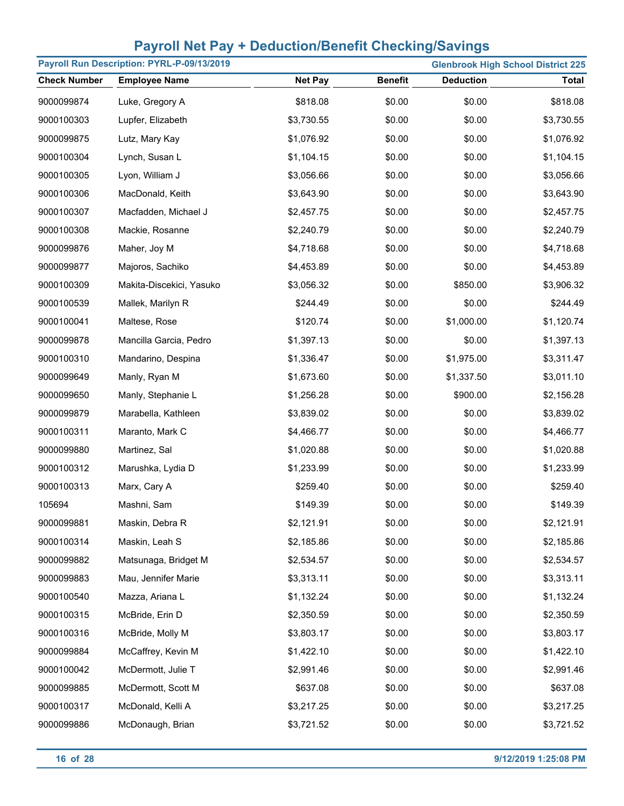| Payroll Run Description: PYRL-P-09/13/2019 |                          |                |                |                  | <b>Glenbrook High School District 225</b> |
|--------------------------------------------|--------------------------|----------------|----------------|------------------|-------------------------------------------|
| <b>Check Number</b>                        | <b>Employee Name</b>     | <b>Net Pay</b> | <b>Benefit</b> | <b>Deduction</b> | <b>Total</b>                              |
| 9000099874                                 | Luke, Gregory A          | \$818.08       | \$0.00         | \$0.00           | \$818.08                                  |
| 9000100303                                 | Lupfer, Elizabeth        | \$3,730.55     | \$0.00         | \$0.00           | \$3,730.55                                |
| 9000099875                                 | Lutz, Mary Kay           | \$1,076.92     | \$0.00         | \$0.00           | \$1,076.92                                |
| 9000100304                                 | Lynch, Susan L           | \$1,104.15     | \$0.00         | \$0.00           | \$1,104.15                                |
| 9000100305                                 | Lyon, William J          | \$3,056.66     | \$0.00         | \$0.00           | \$3,056.66                                |
| 9000100306                                 | MacDonald, Keith         | \$3,643.90     | \$0.00         | \$0.00           | \$3,643.90                                |
| 9000100307                                 | Macfadden, Michael J     | \$2,457.75     | \$0.00         | \$0.00           | \$2,457.75                                |
| 9000100308                                 | Mackie, Rosanne          | \$2,240.79     | \$0.00         | \$0.00           | \$2,240.79                                |
| 9000099876                                 | Maher, Joy M             | \$4,718.68     | \$0.00         | \$0.00           | \$4,718.68                                |
| 9000099877                                 | Majoros, Sachiko         | \$4,453.89     | \$0.00         | \$0.00           | \$4,453.89                                |
| 9000100309                                 | Makita-Discekici, Yasuko | \$3,056.32     | \$0.00         | \$850.00         | \$3,906.32                                |
| 9000100539                                 | Mallek, Marilyn R        | \$244.49       | \$0.00         | \$0.00           | \$244.49                                  |
| 9000100041                                 | Maltese, Rose            | \$120.74       | \$0.00         | \$1,000.00       | \$1,120.74                                |
| 9000099878                                 | Mancilla Garcia, Pedro   | \$1,397.13     | \$0.00         | \$0.00           | \$1,397.13                                |
| 9000100310                                 | Mandarino, Despina       | \$1,336.47     | \$0.00         | \$1,975.00       | \$3,311.47                                |
| 9000099649                                 | Manly, Ryan M            | \$1,673.60     | \$0.00         | \$1,337.50       | \$3,011.10                                |
| 9000099650                                 | Manly, Stephanie L       | \$1,256.28     | \$0.00         | \$900.00         | \$2,156.28                                |
| 9000099879                                 | Marabella, Kathleen      | \$3,839.02     | \$0.00         | \$0.00           | \$3,839.02                                |
| 9000100311                                 | Maranto, Mark C          | \$4,466.77     | \$0.00         | \$0.00           | \$4,466.77                                |
| 9000099880                                 | Martinez, Sal            | \$1,020.88     | \$0.00         | \$0.00           | \$1,020.88                                |
| 9000100312                                 | Marushka, Lydia D        | \$1,233.99     | \$0.00         | \$0.00           | \$1,233.99                                |
| 9000100313                                 | Marx, Cary A             | \$259.40       | \$0.00         | \$0.00           | \$259.40                                  |
| 105694                                     | Mashni, Sam              | \$149.39       | \$0.00         | \$0.00           | \$149.39                                  |
| 9000099881                                 | Maskin, Debra R          | \$2,121.91     | \$0.00         | \$0.00           | \$2,121.91                                |
| 9000100314                                 | Maskin, Leah S           | \$2,185.86     | \$0.00         | \$0.00           | \$2,185.86                                |
| 9000099882                                 | Matsunaga, Bridget M     | \$2,534.57     | \$0.00         | \$0.00           | \$2,534.57                                |
| 9000099883                                 | Mau, Jennifer Marie      | \$3,313.11     | \$0.00         | \$0.00           | \$3,313.11                                |
| 9000100540                                 | Mazza, Ariana L          | \$1,132.24     | \$0.00         | \$0.00           | \$1,132.24                                |
| 9000100315                                 | McBride, Erin D          | \$2,350.59     | \$0.00         | \$0.00           | \$2,350.59                                |
| 9000100316                                 | McBride, Molly M         | \$3,803.17     | \$0.00         | \$0.00           | \$3,803.17                                |
| 9000099884                                 | McCaffrey, Kevin M       | \$1,422.10     | \$0.00         | \$0.00           | \$1,422.10                                |
| 9000100042                                 | McDermott, Julie T       | \$2,991.46     | \$0.00         | \$0.00           | \$2,991.46                                |
| 9000099885                                 | McDermott, Scott M       | \$637.08       | \$0.00         | \$0.00           | \$637.08                                  |
| 9000100317                                 | McDonald, Kelli A        | \$3,217.25     | \$0.00         | \$0.00           | \$3,217.25                                |
| 9000099886                                 | McDonaugh, Brian         | \$3,721.52     | \$0.00         | \$0.00           | \$3,721.52                                |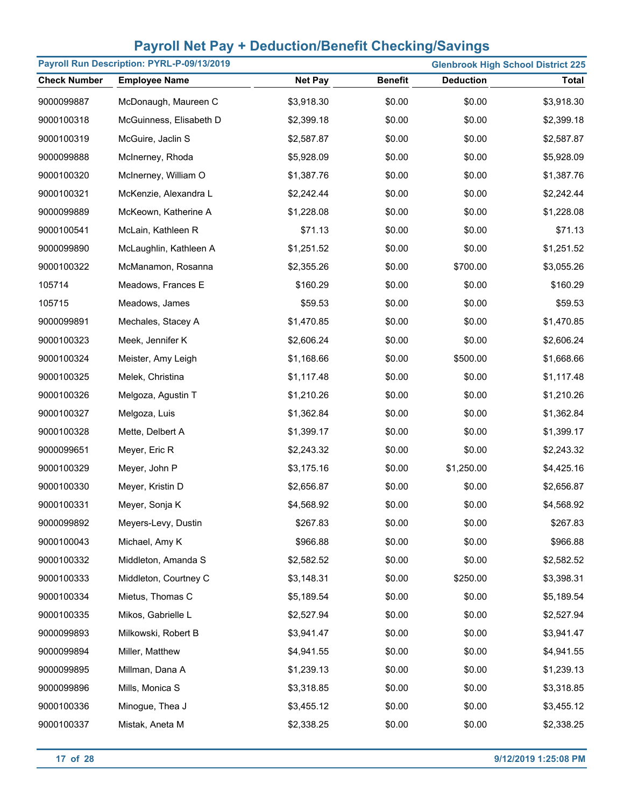|                     | Payroll Run Description: PYRL-P-09/13/2019 |                |                |                  | <b>Glenbrook High School District 225</b> |
|---------------------|--------------------------------------------|----------------|----------------|------------------|-------------------------------------------|
| <b>Check Number</b> | <b>Employee Name</b>                       | <b>Net Pay</b> | <b>Benefit</b> | <b>Deduction</b> | <b>Total</b>                              |
| 9000099887          | McDonaugh, Maureen C                       | \$3,918.30     | \$0.00         | \$0.00           | \$3,918.30                                |
| 9000100318          | McGuinness, Elisabeth D                    | \$2,399.18     | \$0.00         | \$0.00           | \$2,399.18                                |
| 9000100319          | McGuire, Jaclin S                          | \$2,587.87     | \$0.00         | \$0.00           | \$2,587.87                                |
| 9000099888          | McInerney, Rhoda                           | \$5,928.09     | \$0.00         | \$0.00           | \$5,928.09                                |
| 9000100320          | McInerney, William O                       | \$1,387.76     | \$0.00         | \$0.00           | \$1,387.76                                |
| 9000100321          | McKenzie, Alexandra L                      | \$2,242.44     | \$0.00         | \$0.00           | \$2,242.44                                |
| 9000099889          | McKeown, Katherine A                       | \$1,228.08     | \$0.00         | \$0.00           | \$1,228.08                                |
| 9000100541          | McLain, Kathleen R                         | \$71.13        | \$0.00         | \$0.00           | \$71.13                                   |
| 9000099890          | McLaughlin, Kathleen A                     | \$1,251.52     | \$0.00         | \$0.00           | \$1,251.52                                |
| 9000100322          | McManamon, Rosanna                         | \$2,355.26     | \$0.00         | \$700.00         | \$3,055.26                                |
| 105714              | Meadows, Frances E                         | \$160.29       | \$0.00         | \$0.00           | \$160.29                                  |
| 105715              | Meadows, James                             | \$59.53        | \$0.00         | \$0.00           | \$59.53                                   |
| 9000099891          | Mechales, Stacey A                         | \$1,470.85     | \$0.00         | \$0.00           | \$1,470.85                                |
| 9000100323          | Meek, Jennifer K                           | \$2,606.24     | \$0.00         | \$0.00           | \$2,606.24                                |
| 9000100324          | Meister, Amy Leigh                         | \$1,168.66     | \$0.00         | \$500.00         | \$1,668.66                                |
| 9000100325          | Melek, Christina                           | \$1,117.48     | \$0.00         | \$0.00           | \$1,117.48                                |
| 9000100326          | Melgoza, Agustin T                         | \$1,210.26     | \$0.00         | \$0.00           | \$1,210.26                                |
| 9000100327          | Melgoza, Luis                              | \$1,362.84     | \$0.00         | \$0.00           | \$1,362.84                                |
| 9000100328          | Mette, Delbert A                           | \$1,399.17     | \$0.00         | \$0.00           | \$1,399.17                                |
| 9000099651          | Meyer, Eric R                              | \$2,243.32     | \$0.00         | \$0.00           | \$2,243.32                                |
| 9000100329          | Meyer, John P                              | \$3,175.16     | \$0.00         | \$1,250.00       | \$4,425.16                                |
| 9000100330          | Meyer, Kristin D                           | \$2,656.87     | \$0.00         | \$0.00           | \$2,656.87                                |
| 9000100331          | Meyer, Sonja K                             | \$4,568.92     | \$0.00         | \$0.00           | \$4,568.92                                |
| 9000099892          | Meyers-Levy, Dustin                        | \$267.83       | \$0.00         | \$0.00           | \$267.83                                  |
| 9000100043          | Michael, Amy K                             | \$966.88       | \$0.00         | \$0.00           | \$966.88                                  |
| 9000100332          | Middleton, Amanda S                        | \$2,582.52     | \$0.00         | \$0.00           | \$2,582.52                                |
| 9000100333          | Middleton, Courtney C                      | \$3,148.31     | \$0.00         | \$250.00         | \$3,398.31                                |
| 9000100334          | Mietus, Thomas C                           | \$5,189.54     | \$0.00         | \$0.00           | \$5,189.54                                |
| 9000100335          | Mikos, Gabrielle L                         | \$2,527.94     | \$0.00         | \$0.00           | \$2,527.94                                |
| 9000099893          | Milkowski, Robert B                        | \$3,941.47     | \$0.00         | \$0.00           | \$3,941.47                                |
| 9000099894          | Miller, Matthew                            | \$4,941.55     | \$0.00         | \$0.00           | \$4,941.55                                |
| 9000099895          | Millman, Dana A                            | \$1,239.13     | \$0.00         | \$0.00           | \$1,239.13                                |
| 9000099896          | Mills, Monica S                            | \$3,318.85     | \$0.00         | \$0.00           | \$3,318.85                                |
| 9000100336          | Minogue, Thea J                            | \$3,455.12     | \$0.00         | \$0.00           | \$3,455.12                                |
| 9000100337          | Mistak, Aneta M                            | \$2,338.25     | \$0.00         | \$0.00           | \$2,338.25                                |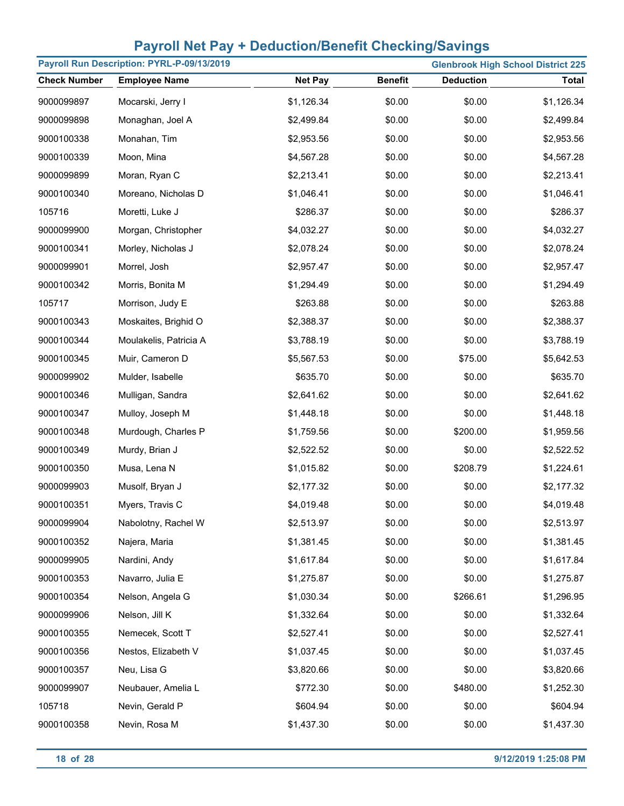|                     | Payroll Run Description: PYRL-P-09/13/2019 | <b>Glenbrook High School District 225</b> |                |                  |              |
|---------------------|--------------------------------------------|-------------------------------------------|----------------|------------------|--------------|
| <b>Check Number</b> | <b>Employee Name</b>                       | <b>Net Pay</b>                            | <b>Benefit</b> | <b>Deduction</b> | <b>Total</b> |
| 9000099897          | Mocarski, Jerry I                          | \$1,126.34                                | \$0.00         | \$0.00           | \$1,126.34   |
| 9000099898          | Monaghan, Joel A                           | \$2,499.84                                | \$0.00         | \$0.00           | \$2,499.84   |
| 9000100338          | Monahan, Tim                               | \$2,953.56                                | \$0.00         | \$0.00           | \$2,953.56   |
| 9000100339          | Moon, Mina                                 | \$4,567.28                                | \$0.00         | \$0.00           | \$4,567.28   |
| 9000099899          | Moran, Ryan C                              | \$2,213.41                                | \$0.00         | \$0.00           | \$2,213.41   |
| 9000100340          | Moreano, Nicholas D                        | \$1,046.41                                | \$0.00         | \$0.00           | \$1,046.41   |
| 105716              | Moretti, Luke J                            | \$286.37                                  | \$0.00         | \$0.00           | \$286.37     |
| 9000099900          | Morgan, Christopher                        | \$4,032.27                                | \$0.00         | \$0.00           | \$4,032.27   |
| 9000100341          | Morley, Nicholas J                         | \$2,078.24                                | \$0.00         | \$0.00           | \$2,078.24   |
| 9000099901          | Morrel, Josh                               | \$2,957.47                                | \$0.00         | \$0.00           | \$2,957.47   |
| 9000100342          | Morris, Bonita M                           | \$1,294.49                                | \$0.00         | \$0.00           | \$1,294.49   |
| 105717              | Morrison, Judy E                           | \$263.88                                  | \$0.00         | \$0.00           | \$263.88     |
| 9000100343          | Moskaites, Brighid O                       | \$2,388.37                                | \$0.00         | \$0.00           | \$2,388.37   |
| 9000100344          | Moulakelis, Patricia A                     | \$3,788.19                                | \$0.00         | \$0.00           | \$3,788.19   |
| 9000100345          | Muir, Cameron D                            | \$5,567.53                                | \$0.00         | \$75.00          | \$5,642.53   |
| 9000099902          | Mulder, Isabelle                           | \$635.70                                  | \$0.00         | \$0.00           | \$635.70     |
| 9000100346          | Mulligan, Sandra                           | \$2,641.62                                | \$0.00         | \$0.00           | \$2,641.62   |
| 9000100347          | Mulloy, Joseph M                           | \$1,448.18                                | \$0.00         | \$0.00           | \$1,448.18   |
| 9000100348          | Murdough, Charles P                        | \$1,759.56                                | \$0.00         | \$200.00         | \$1,959.56   |
| 9000100349          | Murdy, Brian J                             | \$2,522.52                                | \$0.00         | \$0.00           | \$2,522.52   |
| 9000100350          | Musa, Lena N                               | \$1,015.82                                | \$0.00         | \$208.79         | \$1,224.61   |
| 9000099903          | Musolf, Bryan J                            | \$2,177.32                                | \$0.00         | \$0.00           | \$2,177.32   |
| 9000100351          | Myers, Travis C                            | \$4,019.48                                | \$0.00         | \$0.00           | \$4,019.48   |
| 9000099904          | Nabolotny, Rachel W                        | \$2,513.97                                | \$0.00         | \$0.00           | \$2,513.97   |
| 9000100352          | Najera, Maria                              | \$1,381.45                                | \$0.00         | \$0.00           | \$1,381.45   |
| 9000099905          | Nardini, Andy                              | \$1,617.84                                | \$0.00         | \$0.00           | \$1,617.84   |
| 9000100353          | Navarro, Julia E                           | \$1,275.87                                | \$0.00         | \$0.00           | \$1,275.87   |
| 9000100354          | Nelson, Angela G                           | \$1,030.34                                | \$0.00         | \$266.61         | \$1,296.95   |
| 9000099906          | Nelson, Jill K                             | \$1,332.64                                | \$0.00         | \$0.00           | \$1,332.64   |
| 9000100355          | Nemecek, Scott T                           | \$2,527.41                                | \$0.00         | \$0.00           | \$2,527.41   |
| 9000100356          | Nestos, Elizabeth V                        | \$1,037.45                                | \$0.00         | \$0.00           | \$1,037.45   |
| 9000100357          | Neu, Lisa G                                | \$3,820.66                                | \$0.00         | \$0.00           | \$3,820.66   |
| 9000099907          | Neubauer, Amelia L                         | \$772.30                                  | \$0.00         | \$480.00         | \$1,252.30   |
| 105718              | Nevin, Gerald P                            | \$604.94                                  | \$0.00         | \$0.00           | \$604.94     |
| 9000100358          | Nevin, Rosa M                              | \$1,437.30                                | \$0.00         | \$0.00           | \$1,437.30   |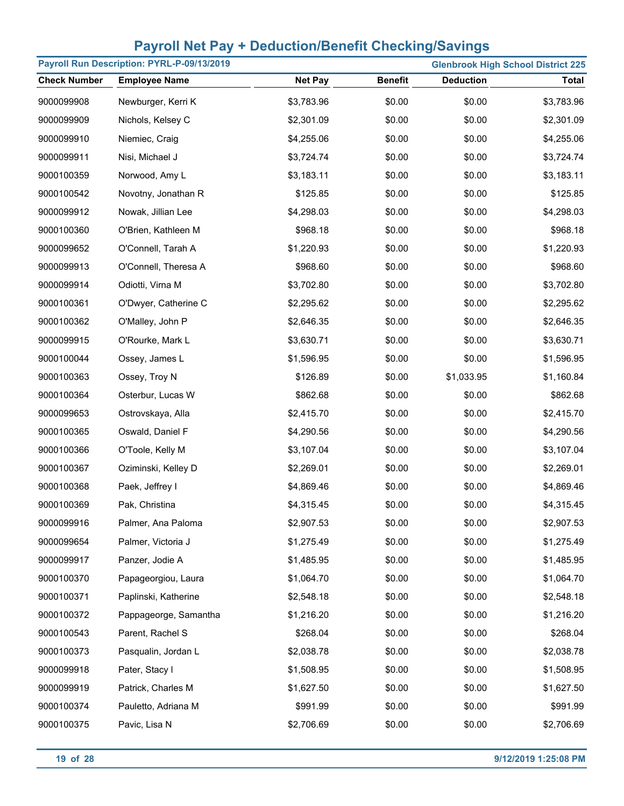| Payroll Run Description: PYRL-P-09/13/2019 |                       |                |                |                  | <b>Glenbrook High School District 225</b> |
|--------------------------------------------|-----------------------|----------------|----------------|------------------|-------------------------------------------|
| <b>Check Number</b>                        | <b>Employee Name</b>  | <b>Net Pay</b> | <b>Benefit</b> | <b>Deduction</b> | <b>Total</b>                              |
| 9000099908                                 | Newburger, Kerri K    | \$3,783.96     | \$0.00         | \$0.00           | \$3,783.96                                |
| 9000099909                                 | Nichols, Kelsey C     | \$2,301.09     | \$0.00         | \$0.00           | \$2,301.09                                |
| 9000099910                                 | Niemiec, Craig        | \$4,255.06     | \$0.00         | \$0.00           | \$4,255.06                                |
| 9000099911                                 | Nisi, Michael J       | \$3,724.74     | \$0.00         | \$0.00           | \$3,724.74                                |
| 9000100359                                 | Norwood, Amy L        | \$3,183.11     | \$0.00         | \$0.00           | \$3,183.11                                |
| 9000100542                                 | Novotny, Jonathan R   | \$125.85       | \$0.00         | \$0.00           | \$125.85                                  |
| 9000099912                                 | Nowak, Jillian Lee    | \$4,298.03     | \$0.00         | \$0.00           | \$4,298.03                                |
| 9000100360                                 | O'Brien, Kathleen M   | \$968.18       | \$0.00         | \$0.00           | \$968.18                                  |
| 9000099652                                 | O'Connell, Tarah A    | \$1,220.93     | \$0.00         | \$0.00           | \$1,220.93                                |
| 9000099913                                 | O'Connell, Theresa A  | \$968.60       | \$0.00         | \$0.00           | \$968.60                                  |
| 9000099914                                 | Odiotti, Virna M      | \$3,702.80     | \$0.00         | \$0.00           | \$3,702.80                                |
| 9000100361                                 | O'Dwyer, Catherine C  | \$2,295.62     | \$0.00         | \$0.00           | \$2,295.62                                |
| 9000100362                                 | O'Malley, John P      | \$2,646.35     | \$0.00         | \$0.00           | \$2,646.35                                |
| 9000099915                                 | O'Rourke, Mark L      | \$3,630.71     | \$0.00         | \$0.00           | \$3,630.71                                |
| 9000100044                                 | Ossey, James L        | \$1,596.95     | \$0.00         | \$0.00           | \$1,596.95                                |
| 9000100363                                 | Ossey, Troy N         | \$126.89       | \$0.00         | \$1,033.95       | \$1,160.84                                |
| 9000100364                                 | Osterbur, Lucas W     | \$862.68       | \$0.00         | \$0.00           | \$862.68                                  |
| 9000099653                                 | Ostrovskaya, Alla     | \$2,415.70     | \$0.00         | \$0.00           | \$2,415.70                                |
| 9000100365                                 | Oswald, Daniel F      | \$4,290.56     | \$0.00         | \$0.00           | \$4,290.56                                |
| 9000100366                                 | O'Toole, Kelly M      | \$3,107.04     | \$0.00         | \$0.00           | \$3,107.04                                |
| 9000100367                                 | Oziminski, Kelley D   | \$2,269.01     | \$0.00         | \$0.00           | \$2,269.01                                |
| 9000100368                                 | Paek, Jeffrey I       | \$4,869.46     | \$0.00         | \$0.00           | \$4,869.46                                |
| 9000100369                                 | Pak, Christina        | \$4,315.45     | \$0.00         | \$0.00           | \$4,315.45                                |
| 9000099916                                 | Palmer, Ana Paloma    | \$2,907.53     | \$0.00         | \$0.00           | \$2,907.53                                |
| 9000099654                                 | Palmer, Victoria J    | \$1,275.49     | \$0.00         | \$0.00           | \$1,275.49                                |
| 9000099917                                 | Panzer, Jodie A       | \$1,485.95     | \$0.00         | \$0.00           | \$1,485.95                                |
| 9000100370                                 | Papageorgiou, Laura   | \$1,064.70     | \$0.00         | \$0.00           | \$1,064.70                                |
| 9000100371                                 | Paplinski, Katherine  | \$2,548.18     | \$0.00         | \$0.00           | \$2,548.18                                |
| 9000100372                                 | Pappageorge, Samantha | \$1,216.20     | \$0.00         | \$0.00           | \$1,216.20                                |
| 9000100543                                 | Parent, Rachel S      | \$268.04       | \$0.00         | \$0.00           | \$268.04                                  |
| 9000100373                                 | Pasqualin, Jordan L   | \$2,038.78     | \$0.00         | \$0.00           | \$2,038.78                                |
| 9000099918                                 | Pater, Stacy I        | \$1,508.95     | \$0.00         | \$0.00           | \$1,508.95                                |
| 9000099919                                 | Patrick, Charles M    | \$1,627.50     | \$0.00         | \$0.00           | \$1,627.50                                |
| 9000100374                                 | Pauletto, Adriana M   | \$991.99       | \$0.00         | \$0.00           | \$991.99                                  |
| 9000100375                                 | Pavic, Lisa N         | \$2,706.69     | \$0.00         | \$0.00           | \$2,706.69                                |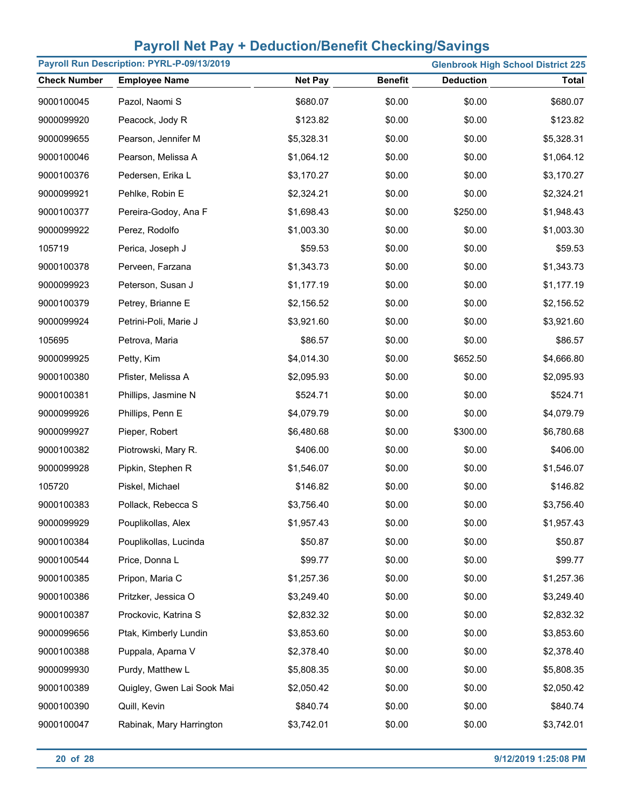| Payroll Run Description: PYRL-P-09/13/2019 |                            |                |                |                  | <b>Glenbrook High School District 225</b> |
|--------------------------------------------|----------------------------|----------------|----------------|------------------|-------------------------------------------|
| <b>Check Number</b>                        | <b>Employee Name</b>       | <b>Net Pay</b> | <b>Benefit</b> | <b>Deduction</b> | <b>Total</b>                              |
| 9000100045                                 | Pazol, Naomi S             | \$680.07       | \$0.00         | \$0.00           | \$680.07                                  |
| 9000099920                                 | Peacock, Jody R            | \$123.82       | \$0.00         | \$0.00           | \$123.82                                  |
| 9000099655                                 | Pearson, Jennifer M        | \$5,328.31     | \$0.00         | \$0.00           | \$5,328.31                                |
| 9000100046                                 | Pearson, Melissa A         | \$1,064.12     | \$0.00         | \$0.00           | \$1,064.12                                |
| 9000100376                                 | Pedersen, Erika L          | \$3,170.27     | \$0.00         | \$0.00           | \$3,170.27                                |
| 9000099921                                 | Pehlke, Robin E            | \$2,324.21     | \$0.00         | \$0.00           | \$2,324.21                                |
| 9000100377                                 | Pereira-Godoy, Ana F       | \$1,698.43     | \$0.00         | \$250.00         | \$1,948.43                                |
| 9000099922                                 | Perez, Rodolfo             | \$1,003.30     | \$0.00         | \$0.00           | \$1,003.30                                |
| 105719                                     | Perica, Joseph J           | \$59.53        | \$0.00         | \$0.00           | \$59.53                                   |
| 9000100378                                 | Perveen, Farzana           | \$1,343.73     | \$0.00         | \$0.00           | \$1,343.73                                |
| 9000099923                                 | Peterson, Susan J          | \$1,177.19     | \$0.00         | \$0.00           | \$1,177.19                                |
| 9000100379                                 | Petrey, Brianne E          | \$2,156.52     | \$0.00         | \$0.00           | \$2,156.52                                |
| 9000099924                                 | Petrini-Poli, Marie J      | \$3,921.60     | \$0.00         | \$0.00           | \$3,921.60                                |
| 105695                                     | Petrova, Maria             | \$86.57        | \$0.00         | \$0.00           | \$86.57                                   |
| 9000099925                                 | Petty, Kim                 | \$4,014.30     | \$0.00         | \$652.50         | \$4,666.80                                |
| 9000100380                                 | Pfister, Melissa A         | \$2,095.93     | \$0.00         | \$0.00           | \$2,095.93                                |
| 9000100381                                 | Phillips, Jasmine N        | \$524.71       | \$0.00         | \$0.00           | \$524.71                                  |
| 9000099926                                 | Phillips, Penn E           | \$4,079.79     | \$0.00         | \$0.00           | \$4,079.79                                |
| 9000099927                                 | Pieper, Robert             | \$6,480.68     | \$0.00         | \$300.00         | \$6,780.68                                |
| 9000100382                                 | Piotrowski, Mary R.        | \$406.00       | \$0.00         | \$0.00           | \$406.00                                  |
| 9000099928                                 | Pipkin, Stephen R          | \$1,546.07     | \$0.00         | \$0.00           | \$1,546.07                                |
| 105720                                     | Piskel, Michael            | \$146.82       | \$0.00         | \$0.00           | \$146.82                                  |
| 9000100383                                 | Pollack, Rebecca S         | \$3,756.40     | \$0.00         | \$0.00           | \$3,756.40                                |
| 9000099929                                 | Pouplikollas, Alex         | \$1,957.43     | \$0.00         | \$0.00           | \$1,957.43                                |
| 9000100384                                 | Pouplikollas, Lucinda      | \$50.87        | \$0.00         | \$0.00           | \$50.87                                   |
| 9000100544                                 | Price, Donna L             | \$99.77        | \$0.00         | \$0.00           | \$99.77                                   |
| 9000100385                                 | Pripon, Maria C            | \$1,257.36     | \$0.00         | \$0.00           | \$1,257.36                                |
| 9000100386                                 | Pritzker, Jessica O        | \$3,249.40     | \$0.00         | \$0.00           | \$3,249.40                                |
| 9000100387                                 | Prockovic, Katrina S       | \$2,832.32     | \$0.00         | \$0.00           | \$2,832.32                                |
| 9000099656                                 | Ptak, Kimberly Lundin      | \$3,853.60     | \$0.00         | \$0.00           | \$3,853.60                                |
| 9000100388                                 | Puppala, Aparna V          | \$2,378.40     | \$0.00         | \$0.00           | \$2,378.40                                |
| 9000099930                                 | Purdy, Matthew L           | \$5,808.35     | \$0.00         | \$0.00           | \$5,808.35                                |
| 9000100389                                 | Quigley, Gwen Lai Sook Mai | \$2,050.42     | \$0.00         | \$0.00           | \$2,050.42                                |
| 9000100390                                 | Quill, Kevin               | \$840.74       | \$0.00         | \$0.00           | \$840.74                                  |
| 9000100047                                 | Rabinak, Mary Harrington   | \$3,742.01     | \$0.00         | \$0.00           | \$3,742.01                                |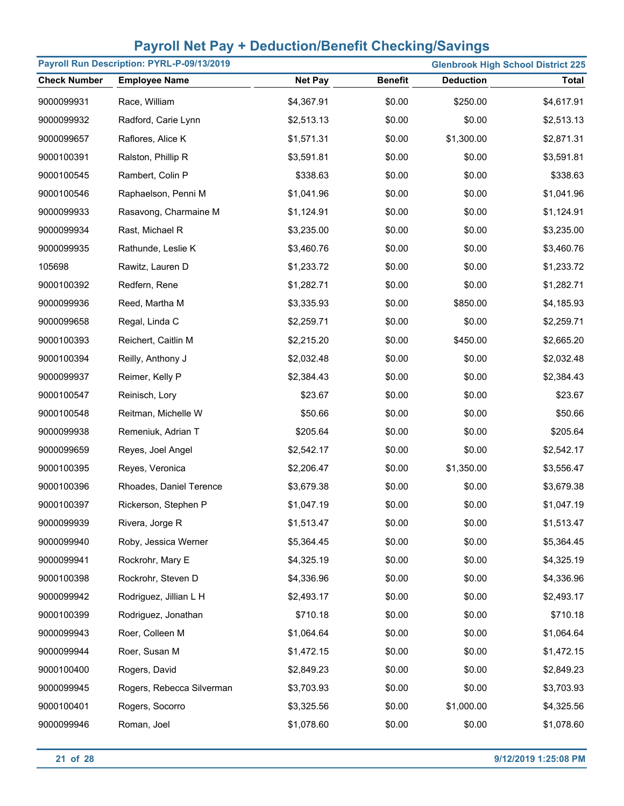| Payroll Run Description: PYRL-P-09/13/2019 |                           |                |                | <b>Glenbrook High School District 225</b> |              |
|--------------------------------------------|---------------------------|----------------|----------------|-------------------------------------------|--------------|
| <b>Check Number</b>                        | <b>Employee Name</b>      | <b>Net Pay</b> | <b>Benefit</b> | <b>Deduction</b>                          | <b>Total</b> |
| 9000099931                                 | Race, William             | \$4,367.91     | \$0.00         | \$250.00                                  | \$4,617.91   |
| 9000099932                                 | Radford, Carie Lynn       | \$2,513.13     | \$0.00         | \$0.00                                    | \$2,513.13   |
| 9000099657                                 | Raflores, Alice K         | \$1,571.31     | \$0.00         | \$1,300.00                                | \$2,871.31   |
| 9000100391                                 | Ralston, Phillip R        | \$3,591.81     | \$0.00         | \$0.00                                    | \$3,591.81   |
| 9000100545                                 | Rambert, Colin P          | \$338.63       | \$0.00         | \$0.00                                    | \$338.63     |
| 9000100546                                 | Raphaelson, Penni M       | \$1,041.96     | \$0.00         | \$0.00                                    | \$1,041.96   |
| 9000099933                                 | Rasavong, Charmaine M     | \$1,124.91     | \$0.00         | \$0.00                                    | \$1,124.91   |
| 9000099934                                 | Rast, Michael R           | \$3,235.00     | \$0.00         | \$0.00                                    | \$3,235.00   |
| 9000099935                                 | Rathunde, Leslie K        | \$3,460.76     | \$0.00         | \$0.00                                    | \$3,460.76   |
| 105698                                     | Rawitz, Lauren D          | \$1,233.72     | \$0.00         | \$0.00                                    | \$1,233.72   |
| 9000100392                                 | Redfern, Rene             | \$1,282.71     | \$0.00         | \$0.00                                    | \$1,282.71   |
| 9000099936                                 | Reed, Martha M            | \$3,335.93     | \$0.00         | \$850.00                                  | \$4,185.93   |
| 9000099658                                 | Regal, Linda C            | \$2,259.71     | \$0.00         | \$0.00                                    | \$2,259.71   |
| 9000100393                                 | Reichert, Caitlin M       | \$2,215.20     | \$0.00         | \$450.00                                  | \$2,665.20   |
| 9000100394                                 | Reilly, Anthony J         | \$2,032.48     | \$0.00         | \$0.00                                    | \$2,032.48   |
| 9000099937                                 | Reimer, Kelly P           | \$2,384.43     | \$0.00         | \$0.00                                    | \$2,384.43   |
| 9000100547                                 | Reinisch, Lory            | \$23.67        | \$0.00         | \$0.00                                    | \$23.67      |
| 9000100548                                 | Reitman, Michelle W       | \$50.66        | \$0.00         | \$0.00                                    | \$50.66      |
| 9000099938                                 | Remeniuk, Adrian T        | \$205.64       | \$0.00         | \$0.00                                    | \$205.64     |
| 9000099659                                 | Reyes, Joel Angel         | \$2,542.17     | \$0.00         | \$0.00                                    | \$2,542.17   |
| 9000100395                                 | Reyes, Veronica           | \$2,206.47     | \$0.00         | \$1,350.00                                | \$3,556.47   |
| 9000100396                                 | Rhoades, Daniel Terence   | \$3,679.38     | \$0.00         | \$0.00                                    | \$3,679.38   |
| 9000100397                                 | Rickerson, Stephen P      | \$1,047.19     | \$0.00         | \$0.00                                    | \$1,047.19   |
| 9000099939                                 | Rivera, Jorge R           | \$1,513.47     | \$0.00         | \$0.00                                    | \$1,513.47   |
| 9000099940                                 | Roby, Jessica Werner      | \$5,364.45     | \$0.00         | \$0.00                                    | \$5,364.45   |
| 9000099941                                 | Rockrohr, Mary E          | \$4,325.19     | \$0.00         | \$0.00                                    | \$4,325.19   |
| 9000100398                                 | Rockrohr, Steven D        | \$4,336.96     | \$0.00         | \$0.00                                    | \$4,336.96   |
| 9000099942                                 | Rodriguez, Jillian L H    | \$2,493.17     | \$0.00         | \$0.00                                    | \$2,493.17   |
| 9000100399                                 | Rodriguez, Jonathan       | \$710.18       | \$0.00         | \$0.00                                    | \$710.18     |
| 9000099943                                 | Roer, Colleen M           | \$1,064.64     | \$0.00         | \$0.00                                    | \$1,064.64   |
| 9000099944                                 | Roer, Susan M             | \$1,472.15     | \$0.00         | \$0.00                                    | \$1,472.15   |
| 9000100400                                 | Rogers, David             | \$2,849.23     | \$0.00         | \$0.00                                    | \$2,849.23   |
| 9000099945                                 | Rogers, Rebecca Silverman | \$3,703.93     | \$0.00         | \$0.00                                    | \$3,703.93   |
| 9000100401                                 | Rogers, Socorro           | \$3,325.56     | \$0.00         | \$1,000.00                                | \$4,325.56   |
| 9000099946                                 | Roman, Joel               | \$1,078.60     | \$0.00         | \$0.00                                    | \$1,078.60   |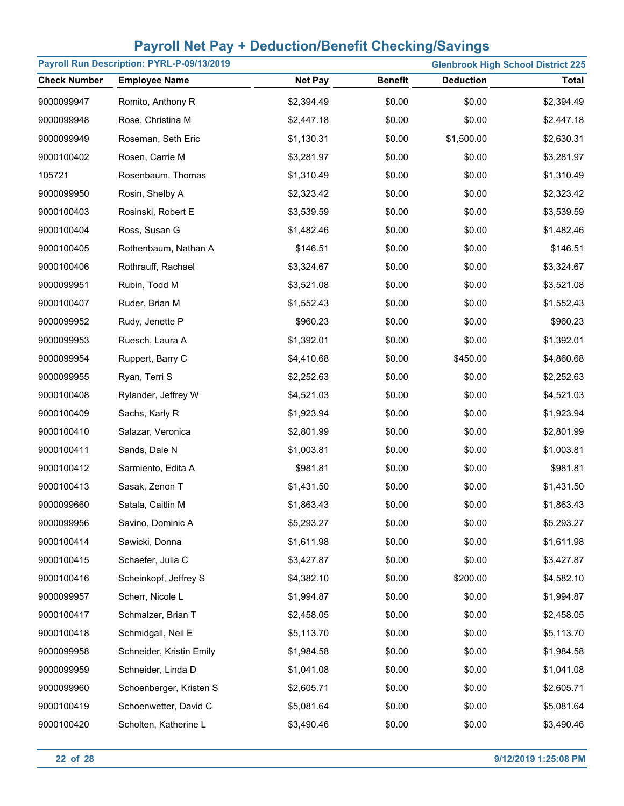| Payroll Run Description: PYRL-P-09/13/2019 |                          |                |                |                  | <b>Glenbrook High School District 225</b> |
|--------------------------------------------|--------------------------|----------------|----------------|------------------|-------------------------------------------|
| <b>Check Number</b>                        | <b>Employee Name</b>     | <b>Net Pay</b> | <b>Benefit</b> | <b>Deduction</b> | <b>Total</b>                              |
| 9000099947                                 | Romito, Anthony R        | \$2,394.49     | \$0.00         | \$0.00           | \$2,394.49                                |
| 9000099948                                 | Rose, Christina M        | \$2,447.18     | \$0.00         | \$0.00           | \$2,447.18                                |
| 9000099949                                 | Roseman, Seth Eric       | \$1,130.31     | \$0.00         | \$1,500.00       | \$2,630.31                                |
| 9000100402                                 | Rosen, Carrie M          | \$3,281.97     | \$0.00         | \$0.00           | \$3,281.97                                |
| 105721                                     | Rosenbaum, Thomas        | \$1,310.49     | \$0.00         | \$0.00           | \$1,310.49                                |
| 9000099950                                 | Rosin, Shelby A          | \$2,323.42     | \$0.00         | \$0.00           | \$2,323.42                                |
| 9000100403                                 | Rosinski, Robert E       | \$3,539.59     | \$0.00         | \$0.00           | \$3,539.59                                |
| 9000100404                                 | Ross, Susan G            | \$1,482.46     | \$0.00         | \$0.00           | \$1,482.46                                |
| 9000100405                                 | Rothenbaum, Nathan A     | \$146.51       | \$0.00         | \$0.00           | \$146.51                                  |
| 9000100406                                 | Rothrauff, Rachael       | \$3,324.67     | \$0.00         | \$0.00           | \$3,324.67                                |
| 9000099951                                 | Rubin, Todd M            | \$3,521.08     | \$0.00         | \$0.00           | \$3,521.08                                |
| 9000100407                                 | Ruder, Brian M           | \$1,552.43     | \$0.00         | \$0.00           | \$1,552.43                                |
| 9000099952                                 | Rudy, Jenette P          | \$960.23       | \$0.00         | \$0.00           | \$960.23                                  |
| 9000099953                                 | Ruesch, Laura A          | \$1,392.01     | \$0.00         | \$0.00           | \$1,392.01                                |
| 9000099954                                 | Ruppert, Barry C         | \$4,410.68     | \$0.00         | \$450.00         | \$4,860.68                                |
| 9000099955                                 | Ryan, Terri S            | \$2,252.63     | \$0.00         | \$0.00           | \$2,252.63                                |
| 9000100408                                 | Rylander, Jeffrey W      | \$4,521.03     | \$0.00         | \$0.00           | \$4,521.03                                |
| 9000100409                                 | Sachs, Karly R           | \$1,923.94     | \$0.00         | \$0.00           | \$1,923.94                                |
| 9000100410                                 | Salazar, Veronica        | \$2,801.99     | \$0.00         | \$0.00           | \$2,801.99                                |
| 9000100411                                 | Sands, Dale N            | \$1,003.81     | \$0.00         | \$0.00           | \$1,003.81                                |
| 9000100412                                 | Sarmiento, Edita A       | \$981.81       | \$0.00         | \$0.00           | \$981.81                                  |
| 9000100413                                 | Sasak, Zenon T           | \$1,431.50     | \$0.00         | \$0.00           | \$1,431.50                                |
| 9000099660                                 | Satala, Caitlin M        | \$1,863.43     | \$0.00         | \$0.00           | \$1,863.43                                |
| 9000099956                                 | Savino, Dominic A        | \$5,293.27     | \$0.00         | \$0.00           | \$5,293.27                                |
| 9000100414                                 | Sawicki, Donna           | \$1,611.98     | \$0.00         | \$0.00           | \$1,611.98                                |
| 9000100415                                 | Schaefer, Julia C        | \$3,427.87     | \$0.00         | \$0.00           | \$3,427.87                                |
| 9000100416                                 | Scheinkopf, Jeffrey S    | \$4,382.10     | \$0.00         | \$200.00         | \$4,582.10                                |
| 9000099957                                 | Scherr, Nicole L         | \$1,994.87     | \$0.00         | \$0.00           | \$1,994.87                                |
| 9000100417                                 | Schmalzer, Brian T       | \$2,458.05     | \$0.00         | \$0.00           | \$2,458.05                                |
| 9000100418                                 | Schmidgall, Neil E       | \$5,113.70     | \$0.00         | \$0.00           | \$5,113.70                                |
| 9000099958                                 | Schneider, Kristin Emily | \$1,984.58     | \$0.00         | \$0.00           | \$1,984.58                                |
| 9000099959                                 | Schneider, Linda D       | \$1,041.08     | \$0.00         | \$0.00           | \$1,041.08                                |
| 9000099960                                 | Schoenberger, Kristen S  | \$2,605.71     | \$0.00         | \$0.00           | \$2,605.71                                |
| 9000100419                                 | Schoenwetter, David C    | \$5,081.64     | \$0.00         | \$0.00           | \$5,081.64                                |
| 9000100420                                 | Scholten, Katherine L    | \$3,490.46     | \$0.00         | \$0.00           | \$3,490.46                                |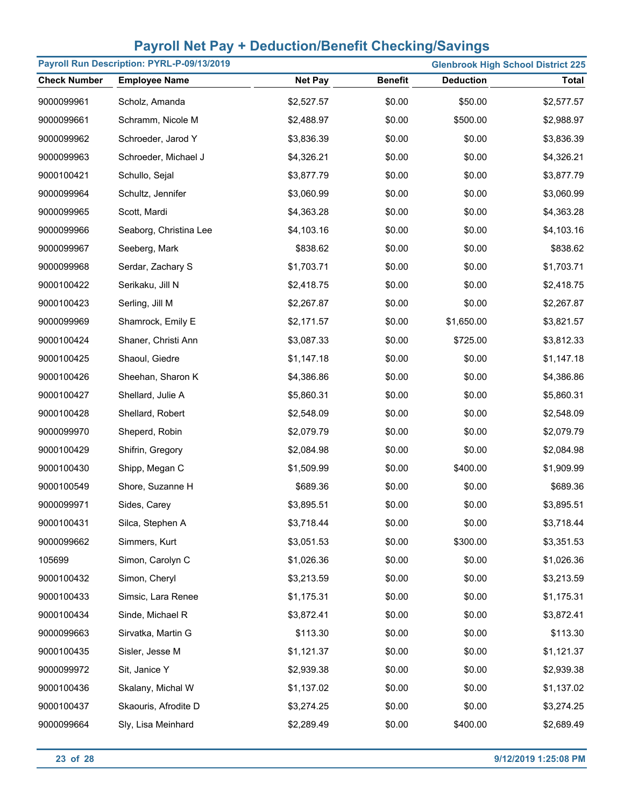| Payroll Run Description: PYRL-P-09/13/2019<br><b>Glenbrook High School District 225</b> |                        |                |                |                  |              |
|-----------------------------------------------------------------------------------------|------------------------|----------------|----------------|------------------|--------------|
| <b>Check Number</b>                                                                     | <b>Employee Name</b>   | <b>Net Pay</b> | <b>Benefit</b> | <b>Deduction</b> | <b>Total</b> |
| 9000099961                                                                              | Scholz, Amanda         | \$2,527.57     | \$0.00         | \$50.00          | \$2,577.57   |
| 9000099661                                                                              | Schramm, Nicole M      | \$2,488.97     | \$0.00         | \$500.00         | \$2,988.97   |
| 9000099962                                                                              | Schroeder, Jarod Y     | \$3,836.39     | \$0.00         | \$0.00           | \$3,836.39   |
| 9000099963                                                                              | Schroeder, Michael J   | \$4,326.21     | \$0.00         | \$0.00           | \$4,326.21   |
| 9000100421                                                                              | Schullo, Sejal         | \$3,877.79     | \$0.00         | \$0.00           | \$3,877.79   |
| 9000099964                                                                              | Schultz, Jennifer      | \$3,060.99     | \$0.00         | \$0.00           | \$3,060.99   |
| 9000099965                                                                              | Scott, Mardi           | \$4,363.28     | \$0.00         | \$0.00           | \$4,363.28   |
| 9000099966                                                                              | Seaborg, Christina Lee | \$4,103.16     | \$0.00         | \$0.00           | \$4,103.16   |
| 9000099967                                                                              | Seeberg, Mark          | \$838.62       | \$0.00         | \$0.00           | \$838.62     |
| 9000099968                                                                              | Serdar, Zachary S      | \$1,703.71     | \$0.00         | \$0.00           | \$1,703.71   |
| 9000100422                                                                              | Serikaku, Jill N       | \$2,418.75     | \$0.00         | \$0.00           | \$2,418.75   |
| 9000100423                                                                              | Serling, Jill M        | \$2,267.87     | \$0.00         | \$0.00           | \$2,267.87   |
| 9000099969                                                                              | Shamrock, Emily E      | \$2,171.57     | \$0.00         | \$1,650.00       | \$3,821.57   |
| 9000100424                                                                              | Shaner, Christi Ann    | \$3,087.33     | \$0.00         | \$725.00         | \$3,812.33   |
| 9000100425                                                                              | Shaoul, Giedre         | \$1,147.18     | \$0.00         | \$0.00           | \$1,147.18   |
| 9000100426                                                                              | Sheehan, Sharon K      | \$4,386.86     | \$0.00         | \$0.00           | \$4,386.86   |
| 9000100427                                                                              | Shellard, Julie A      | \$5,860.31     | \$0.00         | \$0.00           | \$5,860.31   |
| 9000100428                                                                              | Shellard, Robert       | \$2,548.09     | \$0.00         | \$0.00           | \$2,548.09   |
| 9000099970                                                                              | Sheperd, Robin         | \$2,079.79     | \$0.00         | \$0.00           | \$2,079.79   |
| 9000100429                                                                              | Shifrin, Gregory       | \$2,084.98     | \$0.00         | \$0.00           | \$2,084.98   |
| 9000100430                                                                              | Shipp, Megan C         | \$1,509.99     | \$0.00         | \$400.00         | \$1,909.99   |
| 9000100549                                                                              | Shore, Suzanne H       | \$689.36       | \$0.00         | \$0.00           | \$689.36     |
| 9000099971                                                                              | Sides, Carey           | \$3,895.51     | \$0.00         | \$0.00           | \$3,895.51   |
| 9000100431                                                                              | Silca, Stephen A       | \$3,718.44     | \$0.00         | \$0.00           | \$3,718.44   |
| 9000099662                                                                              | Simmers, Kurt          | \$3,051.53     | \$0.00         | \$300.00         | \$3,351.53   |
| 105699                                                                                  | Simon, Carolyn C       | \$1,026.36     | \$0.00         | \$0.00           | \$1,026.36   |
| 9000100432                                                                              | Simon, Cheryl          | \$3,213.59     | \$0.00         | \$0.00           | \$3,213.59   |
| 9000100433                                                                              | Simsic, Lara Renee     | \$1,175.31     | \$0.00         | \$0.00           | \$1,175.31   |
| 9000100434                                                                              | Sinde, Michael R       | \$3,872.41     | \$0.00         | \$0.00           | \$3,872.41   |
| 9000099663                                                                              | Sirvatka, Martin G     | \$113.30       | \$0.00         | \$0.00           | \$113.30     |
| 9000100435                                                                              | Sisler, Jesse M        | \$1,121.37     | \$0.00         | \$0.00           | \$1,121.37   |
| 9000099972                                                                              | Sit, Janice Y          | \$2,939.38     | \$0.00         | \$0.00           | \$2,939.38   |
| 9000100436                                                                              | Skalany, Michal W      | \$1,137.02     | \$0.00         | \$0.00           | \$1,137.02   |
| 9000100437                                                                              | Skaouris, Afrodite D   | \$3,274.25     | \$0.00         | \$0.00           | \$3,274.25   |
| 9000099664                                                                              | Sly, Lisa Meinhard     | \$2,289.49     | \$0.00         | \$400.00         | \$2,689.49   |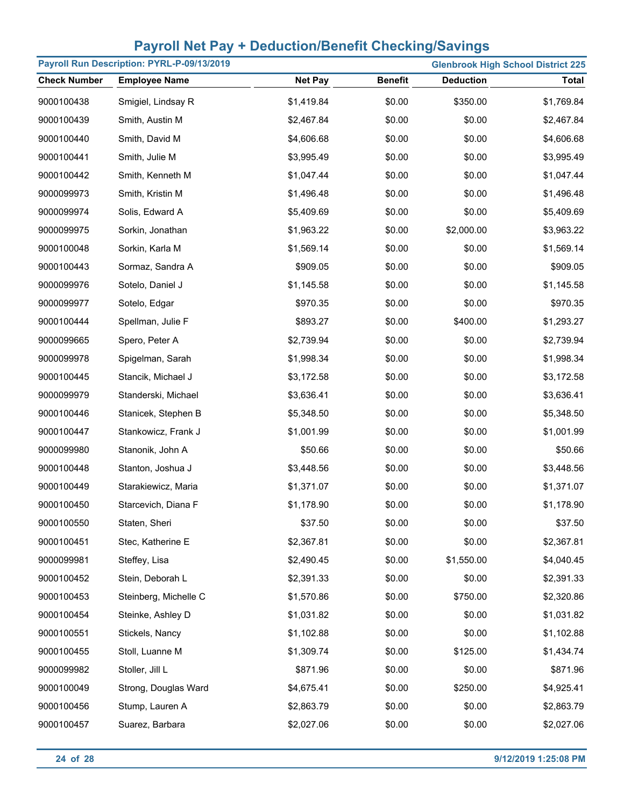| Payroll Run Description: PYRL-P-09/13/2019 |                       | <b>Glenbrook High School District 225</b> |                |                  |              |
|--------------------------------------------|-----------------------|-------------------------------------------|----------------|------------------|--------------|
| <b>Check Number</b>                        | <b>Employee Name</b>  | <b>Net Pay</b>                            | <b>Benefit</b> | <b>Deduction</b> | <b>Total</b> |
| 9000100438                                 | Smigiel, Lindsay R    | \$1,419.84                                | \$0.00         | \$350.00         | \$1,769.84   |
| 9000100439                                 | Smith, Austin M       | \$2,467.84                                | \$0.00         | \$0.00           | \$2,467.84   |
| 9000100440                                 | Smith, David M        | \$4,606.68                                | \$0.00         | \$0.00           | \$4,606.68   |
| 9000100441                                 | Smith, Julie M        | \$3,995.49                                | \$0.00         | \$0.00           | \$3,995.49   |
| 9000100442                                 | Smith, Kenneth M      | \$1,047.44                                | \$0.00         | \$0.00           | \$1,047.44   |
| 9000099973                                 | Smith, Kristin M      | \$1,496.48                                | \$0.00         | \$0.00           | \$1,496.48   |
| 9000099974                                 | Solis, Edward A       | \$5,409.69                                | \$0.00         | \$0.00           | \$5,409.69   |
| 9000099975                                 | Sorkin, Jonathan      | \$1,963.22                                | \$0.00         | \$2,000.00       | \$3,963.22   |
| 9000100048                                 | Sorkin, Karla M       | \$1,569.14                                | \$0.00         | \$0.00           | \$1,569.14   |
| 9000100443                                 | Sormaz, Sandra A      | \$909.05                                  | \$0.00         | \$0.00           | \$909.05     |
| 9000099976                                 | Sotelo, Daniel J      | \$1,145.58                                | \$0.00         | \$0.00           | \$1,145.58   |
| 9000099977                                 | Sotelo, Edgar         | \$970.35                                  | \$0.00         | \$0.00           | \$970.35     |
| 9000100444                                 | Spellman, Julie F     | \$893.27                                  | \$0.00         | \$400.00         | \$1,293.27   |
| 9000099665                                 | Spero, Peter A        | \$2,739.94                                | \$0.00         | \$0.00           | \$2,739.94   |
| 9000099978                                 | Spigelman, Sarah      | \$1,998.34                                | \$0.00         | \$0.00           | \$1,998.34   |
| 9000100445                                 | Stancik, Michael J    | \$3,172.58                                | \$0.00         | \$0.00           | \$3,172.58   |
| 9000099979                                 | Standerski, Michael   | \$3,636.41                                | \$0.00         | \$0.00           | \$3,636.41   |
| 9000100446                                 | Stanicek, Stephen B   | \$5,348.50                                | \$0.00         | \$0.00           | \$5,348.50   |
| 9000100447                                 | Stankowicz, Frank J   | \$1,001.99                                | \$0.00         | \$0.00           | \$1,001.99   |
| 9000099980                                 | Stanonik, John A      | \$50.66                                   | \$0.00         | \$0.00           | \$50.66      |
| 9000100448                                 | Stanton, Joshua J     | \$3,448.56                                | \$0.00         | \$0.00           | \$3,448.56   |
| 9000100449                                 | Starakiewicz, Maria   | \$1,371.07                                | \$0.00         | \$0.00           | \$1,371.07   |
| 9000100450                                 | Starcevich, Diana F   | \$1,178.90                                | \$0.00         | \$0.00           | \$1,178.90   |
| 9000100550                                 | Staten, Sheri         | \$37.50                                   | \$0.00         | \$0.00           | \$37.50      |
| 9000100451                                 | Stec, Katherine E     | \$2,367.81                                | \$0.00         | \$0.00           | \$2,367.81   |
| 9000099981                                 | Steffey, Lisa         | \$2,490.45                                | \$0.00         | \$1,550.00       | \$4,040.45   |
| 9000100452                                 | Stein, Deborah L      | \$2,391.33                                | \$0.00         | \$0.00           | \$2,391.33   |
| 9000100453                                 | Steinberg, Michelle C | \$1,570.86                                | \$0.00         | \$750.00         | \$2,320.86   |
| 9000100454                                 | Steinke, Ashley D     | \$1,031.82                                | \$0.00         | \$0.00           | \$1,031.82   |
| 9000100551                                 | Stickels, Nancy       | \$1,102.88                                | \$0.00         | \$0.00           | \$1,102.88   |
| 9000100455                                 | Stoll, Luanne M       | \$1,309.74                                | \$0.00         | \$125.00         | \$1,434.74   |
| 9000099982                                 | Stoller, Jill L       | \$871.96                                  | \$0.00         | \$0.00           | \$871.96     |
| 9000100049                                 | Strong, Douglas Ward  | \$4,675.41                                | \$0.00         | \$250.00         | \$4,925.41   |
| 9000100456                                 | Stump, Lauren A       | \$2,863.79                                | \$0.00         | \$0.00           | \$2,863.79   |
| 9000100457                                 | Suarez, Barbara       | \$2,027.06                                | \$0.00         | \$0.00           | \$2,027.06   |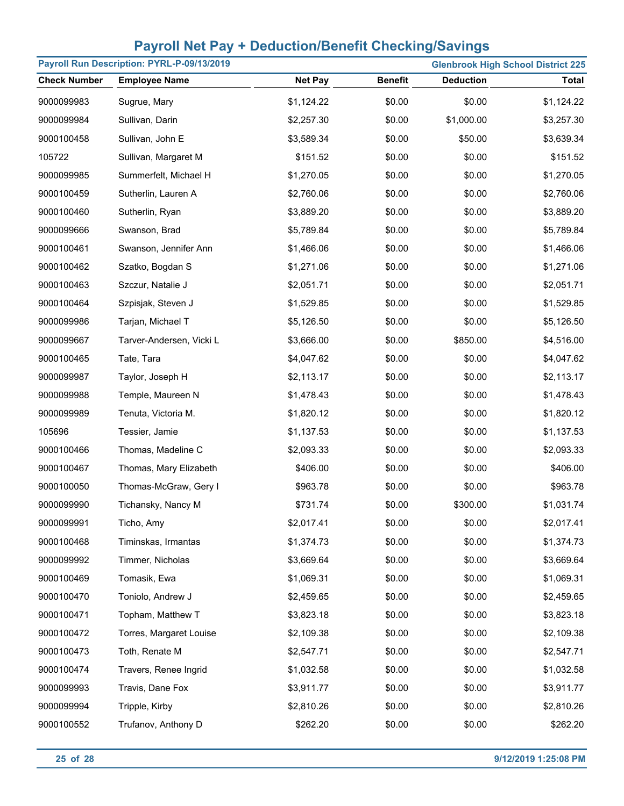| Payroll Run Description: PYRL-P-09/13/2019<br><b>Glenbrook High School District 225</b> |                          |                |                |                  |              |
|-----------------------------------------------------------------------------------------|--------------------------|----------------|----------------|------------------|--------------|
| <b>Check Number</b>                                                                     | <b>Employee Name</b>     | <b>Net Pay</b> | <b>Benefit</b> | <b>Deduction</b> | <b>Total</b> |
| 9000099983                                                                              | Sugrue, Mary             | \$1,124.22     | \$0.00         | \$0.00           | \$1,124.22   |
| 9000099984                                                                              | Sullivan, Darin          | \$2,257.30     | \$0.00         | \$1,000.00       | \$3,257.30   |
| 9000100458                                                                              | Sullivan, John E         | \$3,589.34     | \$0.00         | \$50.00          | \$3,639.34   |
| 105722                                                                                  | Sullivan, Margaret M     | \$151.52       | \$0.00         | \$0.00           | \$151.52     |
| 9000099985                                                                              | Summerfelt, Michael H    | \$1,270.05     | \$0.00         | \$0.00           | \$1,270.05   |
| 9000100459                                                                              | Sutherlin, Lauren A      | \$2,760.06     | \$0.00         | \$0.00           | \$2,760.06   |
| 9000100460                                                                              | Sutherlin, Ryan          | \$3,889.20     | \$0.00         | \$0.00           | \$3,889.20   |
| 9000099666                                                                              | Swanson, Brad            | \$5,789.84     | \$0.00         | \$0.00           | \$5,789.84   |
| 9000100461                                                                              | Swanson, Jennifer Ann    | \$1,466.06     | \$0.00         | \$0.00           | \$1,466.06   |
| 9000100462                                                                              | Szatko, Bogdan S         | \$1,271.06     | \$0.00         | \$0.00           | \$1,271.06   |
| 9000100463                                                                              | Szczur, Natalie J        | \$2,051.71     | \$0.00         | \$0.00           | \$2,051.71   |
| 9000100464                                                                              | Szpisjak, Steven J       | \$1,529.85     | \$0.00         | \$0.00           | \$1,529.85   |
| 9000099986                                                                              | Tarjan, Michael T        | \$5,126.50     | \$0.00         | \$0.00           | \$5,126.50   |
| 9000099667                                                                              | Tarver-Andersen, Vicki L | \$3,666.00     | \$0.00         | \$850.00         | \$4,516.00   |
| 9000100465                                                                              | Tate, Tara               | \$4,047.62     | \$0.00         | \$0.00           | \$4,047.62   |
| 9000099987                                                                              | Taylor, Joseph H         | \$2,113.17     | \$0.00         | \$0.00           | \$2,113.17   |
| 9000099988                                                                              | Temple, Maureen N        | \$1,478.43     | \$0.00         | \$0.00           | \$1,478.43   |
| 9000099989                                                                              | Tenuta, Victoria M.      | \$1,820.12     | \$0.00         | \$0.00           | \$1,820.12   |
| 105696                                                                                  | Tessier, Jamie           | \$1,137.53     | \$0.00         | \$0.00           | \$1,137.53   |
| 9000100466                                                                              | Thomas, Madeline C       | \$2,093.33     | \$0.00         | \$0.00           | \$2,093.33   |
| 9000100467                                                                              | Thomas, Mary Elizabeth   | \$406.00       | \$0.00         | \$0.00           | \$406.00     |
| 9000100050                                                                              | Thomas-McGraw, Gery I    | \$963.78       | \$0.00         | \$0.00           | \$963.78     |
| 9000099990                                                                              | Tichansky, Nancy M       | \$731.74       | \$0.00         | \$300.00         | \$1,031.74   |
| 9000099991                                                                              | Ticho, Amy               | \$2,017.41     | \$0.00         | \$0.00           | \$2,017.41   |
| 9000100468                                                                              | Timinskas, Irmantas      | \$1,374.73     | \$0.00         | \$0.00           | \$1,374.73   |
| 9000099992                                                                              | Timmer, Nicholas         | \$3,669.64     | \$0.00         | \$0.00           | \$3,669.64   |
| 9000100469                                                                              | Tomasik, Ewa             | \$1,069.31     | \$0.00         | \$0.00           | \$1,069.31   |
| 9000100470                                                                              | Toniolo, Andrew J        | \$2,459.65     | \$0.00         | \$0.00           | \$2,459.65   |
| 9000100471                                                                              | Topham, Matthew T        | \$3,823.18     | \$0.00         | \$0.00           | \$3,823.18   |
| 9000100472                                                                              | Torres, Margaret Louise  | \$2,109.38     | \$0.00         | \$0.00           | \$2,109.38   |
| 9000100473                                                                              | Toth, Renate M           | \$2,547.71     | \$0.00         | \$0.00           | \$2,547.71   |
| 9000100474                                                                              | Travers, Renee Ingrid    | \$1,032.58     | \$0.00         | \$0.00           | \$1,032.58   |
| 9000099993                                                                              | Travis, Dane Fox         | \$3,911.77     | \$0.00         | \$0.00           | \$3,911.77   |
| 9000099994                                                                              | Tripple, Kirby           | \$2,810.26     | \$0.00         | \$0.00           | \$2,810.26   |
| 9000100552                                                                              | Trufanov, Anthony D      | \$262.20       | \$0.00         | \$0.00           | \$262.20     |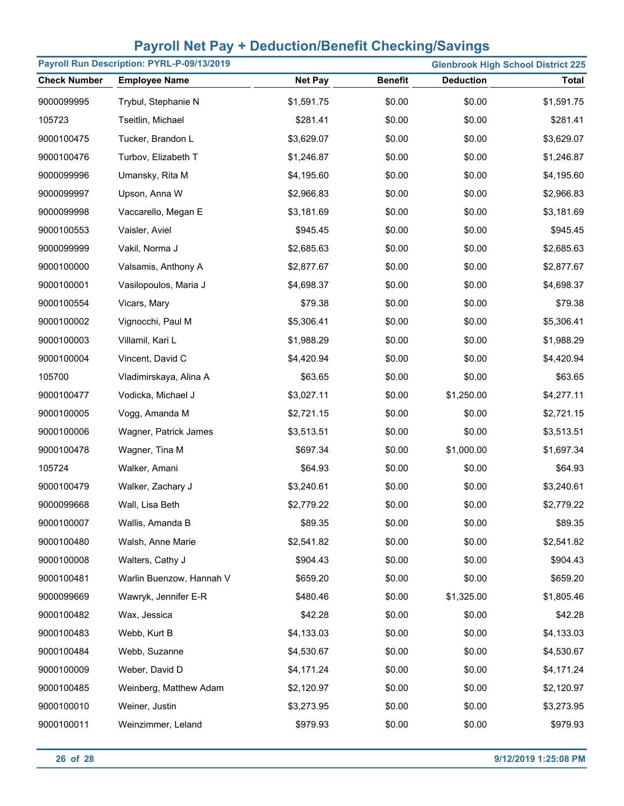|                     | Payroll Run Description: PYRL-P-09/13/2019 | <b>Glenbrook High School District 225</b> |                |                  |              |  |
|---------------------|--------------------------------------------|-------------------------------------------|----------------|------------------|--------------|--|
| <b>Check Number</b> | <b>Employee Name</b>                       | <b>Net Pay</b>                            | <b>Benefit</b> | <b>Deduction</b> | <b>Total</b> |  |
| 9000099995          | Trybul, Stephanie N                        | \$1,591.75                                | \$0.00         | \$0.00           | \$1,591.75   |  |
| 105723              | Tseitlin, Michael                          | \$281.41                                  | \$0.00         | \$0.00           | \$281.41     |  |
| 9000100475          | Tucker, Brandon L                          | \$3,629.07                                | \$0.00         | \$0.00           | \$3,629.07   |  |
| 9000100476          | Turbov, Elizabeth T                        | \$1,246.87                                | \$0.00         | \$0.00           | \$1,246.87   |  |
| 9000099996          | Umansky, Rita M                            | \$4,195.60                                | \$0.00         | \$0.00           | \$4,195.60   |  |
| 9000099997          | Upson, Anna W                              | \$2,966.83                                | \$0.00         | \$0.00           | \$2,966.83   |  |
| 9000099998          | Vaccarello, Megan E                        | \$3,181.69                                | \$0.00         | \$0.00           | \$3,181.69   |  |
| 9000100553          | Vaisler, Aviel                             | \$945.45                                  | \$0.00         | \$0.00           | \$945.45     |  |
| 9000099999          | Vakil, Norma J                             | \$2,685.63                                | \$0.00         | \$0.00           | \$2,685.63   |  |
| 9000100000          | Valsamis, Anthony A                        | \$2,877.67                                | \$0.00         | \$0.00           | \$2,877.67   |  |
| 9000100001          | Vasilopoulos, Maria J                      | \$4,698.37                                | \$0.00         | \$0.00           | \$4,698.37   |  |
| 9000100554          | Vicars, Mary                               | \$79.38                                   | \$0.00         | \$0.00           | \$79.38      |  |
| 9000100002          | Vignocchi, Paul M                          | \$5,306.41                                | \$0.00         | \$0.00           | \$5,306.41   |  |
| 9000100003          | Villamil, Kari L                           | \$1,988.29                                | \$0.00         | \$0.00           | \$1,988.29   |  |
| 9000100004          | Vincent, David C                           | \$4,420.94                                | \$0.00         | \$0.00           | \$4,420.94   |  |
| 105700              | Vladimirskaya, Alina A                     | \$63.65                                   | \$0.00         | \$0.00           | \$63.65      |  |
| 9000100477          | Vodicka, Michael J                         | \$3,027.11                                | \$0.00         | \$1,250.00       | \$4,277.11   |  |
| 9000100005          | Vogg, Amanda M                             | \$2,721.15                                | \$0.00         | \$0.00           | \$2,721.15   |  |
| 9000100006          | Wagner, Patrick James                      | \$3,513.51                                | \$0.00         | \$0.00           | \$3,513.51   |  |
| 9000100478          | Wagner, Tina M                             | \$697.34                                  | \$0.00         | \$1,000.00       | \$1,697.34   |  |
| 105724              | Walker, Amani                              | \$64.93                                   | \$0.00         | \$0.00           | \$64.93      |  |
| 9000100479          | Walker, Zachary J                          | \$3,240.61                                | \$0.00         | \$0.00           | \$3,240.61   |  |
| 9000099668          | Wall, Lisa Beth                            | \$2,779.22                                | \$0.00         | \$0.00           | \$2,779.22   |  |
| 9000100007          | Wallis, Amanda B                           | \$89.35                                   | \$0.00         | \$0.00           | \$89.35      |  |
| 9000100480          | Walsh, Anne Marie                          | \$2,541.82                                | \$0.00         | \$0.00           | \$2,541.82   |  |
| 9000100008          | Walters, Cathy J                           | \$904.43                                  | \$0.00         | \$0.00           | \$904.43     |  |
| 9000100481          | Warlin Buenzow, Hannah V                   | \$659.20                                  | \$0.00         | \$0.00           | \$659.20     |  |
| 9000099669          | Wawryk, Jennifer E-R                       | \$480.46                                  | \$0.00         | \$1,325.00       | \$1,805.46   |  |
| 9000100482          | Wax, Jessica                               | \$42.28                                   | \$0.00         | \$0.00           | \$42.28      |  |
| 9000100483          | Webb, Kurt B                               | \$4,133.03                                | \$0.00         | \$0.00           | \$4,133.03   |  |
| 9000100484          | Webb, Suzanne                              | \$4,530.67                                | \$0.00         | \$0.00           | \$4,530.67   |  |
| 9000100009          | Weber, David D                             | \$4,171.24                                | \$0.00         | \$0.00           | \$4,171.24   |  |
| 9000100485          | Weinberg, Matthew Adam                     | \$2,120.97                                | \$0.00         | \$0.00           | \$2,120.97   |  |
| 9000100010          | Weiner, Justin                             | \$3,273.95                                | \$0.00         | \$0.00           | \$3,273.95   |  |
| 9000100011          | Weinzimmer, Leland                         | \$979.93                                  | \$0.00         | \$0.00           | \$979.93     |  |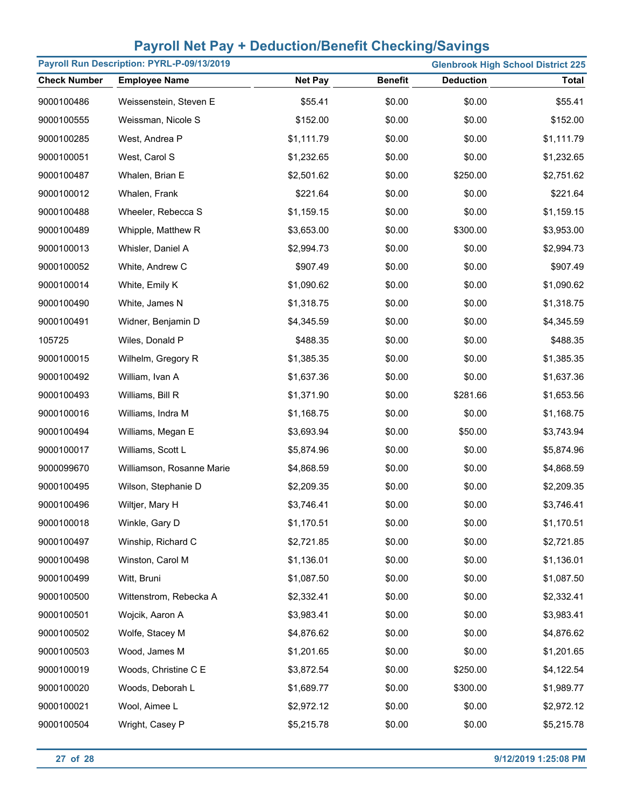|                     | Payroll Run Description: PYRL-P-09/13/2019 | <b>Glenbrook High School District 225</b> |                |                  |              |  |
|---------------------|--------------------------------------------|-------------------------------------------|----------------|------------------|--------------|--|
| <b>Check Number</b> | <b>Employee Name</b>                       | <b>Net Pay</b>                            | <b>Benefit</b> | <b>Deduction</b> | <b>Total</b> |  |
| 9000100486          | Weissenstein, Steven E                     | \$55.41                                   | \$0.00         | \$0.00           | \$55.41      |  |
| 9000100555          | Weissman, Nicole S                         | \$152.00                                  | \$0.00         | \$0.00           | \$152.00     |  |
| 9000100285          | West, Andrea P                             | \$1,111.79                                | \$0.00         | \$0.00           | \$1,111.79   |  |
| 9000100051          | West, Carol S                              | \$1,232.65                                | \$0.00         | \$0.00           | \$1,232.65   |  |
| 9000100487          | Whalen, Brian E                            | \$2,501.62                                | \$0.00         | \$250.00         | \$2,751.62   |  |
| 9000100012          | Whalen, Frank                              | \$221.64                                  | \$0.00         | \$0.00           | \$221.64     |  |
| 9000100488          | Wheeler, Rebecca S                         | \$1,159.15                                | \$0.00         | \$0.00           | \$1,159.15   |  |
| 9000100489          | Whipple, Matthew R                         | \$3,653.00                                | \$0.00         | \$300.00         | \$3,953.00   |  |
| 9000100013          | Whisler, Daniel A                          | \$2,994.73                                | \$0.00         | \$0.00           | \$2,994.73   |  |
| 9000100052          | White, Andrew C                            | \$907.49                                  | \$0.00         | \$0.00           | \$907.49     |  |
| 9000100014          | White, Emily K                             | \$1,090.62                                | \$0.00         | \$0.00           | \$1,090.62   |  |
| 9000100490          | White, James N                             | \$1,318.75                                | \$0.00         | \$0.00           | \$1,318.75   |  |
| 9000100491          | Widner, Benjamin D                         | \$4,345.59                                | \$0.00         | \$0.00           | \$4,345.59   |  |
| 105725              | Wiles, Donald P                            | \$488.35                                  | \$0.00         | \$0.00           | \$488.35     |  |
| 9000100015          | Wilhelm, Gregory R                         | \$1,385.35                                | \$0.00         | \$0.00           | \$1,385.35   |  |
| 9000100492          | William, Ivan A                            | \$1,637.36                                | \$0.00         | \$0.00           | \$1,637.36   |  |
| 9000100493          | Williams, Bill R                           | \$1,371.90                                | \$0.00         | \$281.66         | \$1,653.56   |  |
| 9000100016          | Williams, Indra M                          | \$1,168.75                                | \$0.00         | \$0.00           | \$1,168.75   |  |
| 9000100494          | Williams, Megan E                          | \$3,693.94                                | \$0.00         | \$50.00          | \$3,743.94   |  |
| 9000100017          | Williams, Scott L                          | \$5,874.96                                | \$0.00         | \$0.00           | \$5,874.96   |  |
| 9000099670          | Williamson, Rosanne Marie                  | \$4,868.59                                | \$0.00         | \$0.00           | \$4,868.59   |  |
| 9000100495          | Wilson, Stephanie D                        | \$2,209.35                                | \$0.00         | \$0.00           | \$2,209.35   |  |
| 9000100496          | Wiltjer, Mary H                            | \$3,746.41                                | \$0.00         | \$0.00           | \$3,746.41   |  |
| 9000100018          | Winkle, Gary D                             | \$1,170.51                                | \$0.00         | \$0.00           | \$1,170.51   |  |
| 9000100497          | Winship, Richard C                         | \$2,721.85                                | \$0.00         | \$0.00           | \$2,721.85   |  |
| 9000100498          | Winston, Carol M                           | \$1,136.01                                | \$0.00         | \$0.00           | \$1,136.01   |  |
| 9000100499          | Witt, Bruni                                | \$1,087.50                                | \$0.00         | \$0.00           | \$1,087.50   |  |
| 9000100500          | Wittenstrom, Rebecka A                     | \$2,332.41                                | \$0.00         | \$0.00           | \$2,332.41   |  |
| 9000100501          | Wojcik, Aaron A                            | \$3,983.41                                | \$0.00         | \$0.00           | \$3,983.41   |  |
| 9000100502          | Wolfe, Stacey M                            | \$4,876.62                                | \$0.00         | \$0.00           | \$4,876.62   |  |
| 9000100503          | Wood, James M                              | \$1,201.65                                | \$0.00         | \$0.00           | \$1,201.65   |  |
| 9000100019          | Woods, Christine C E                       | \$3,872.54                                | \$0.00         | \$250.00         | \$4,122.54   |  |
| 9000100020          | Woods, Deborah L                           | \$1,689.77                                | \$0.00         | \$300.00         | \$1,989.77   |  |
| 9000100021          | Wool, Aimee L                              | \$2,972.12                                | \$0.00         | \$0.00           | \$2,972.12   |  |
| 9000100504          | Wright, Casey P                            | \$5,215.78                                | \$0.00         | \$0.00           | \$5,215.78   |  |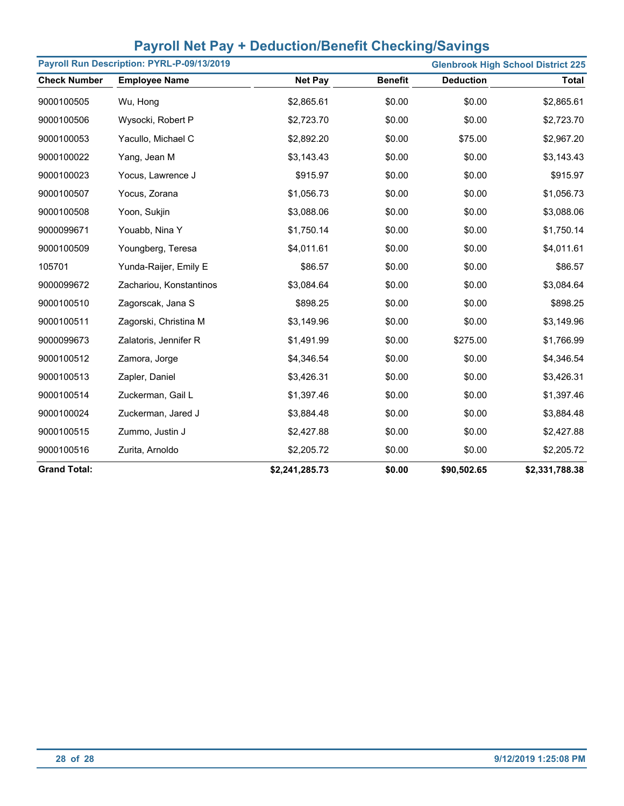| Payroll Run Description: PYRL-P-09/13/2019<br><b>Glenbrook High School District 225</b> |                         |                |                |                  |                |
|-----------------------------------------------------------------------------------------|-------------------------|----------------|----------------|------------------|----------------|
| <b>Check Number</b>                                                                     | <b>Employee Name</b>    | <b>Net Pay</b> | <b>Benefit</b> | <b>Deduction</b> | <b>Total</b>   |
| 9000100505                                                                              | Wu, Hong                | \$2,865.61     | \$0.00         | \$0.00           | \$2,865.61     |
| 9000100506                                                                              | Wysocki, Robert P       | \$2,723.70     | \$0.00         | \$0.00           | \$2,723.70     |
| 9000100053                                                                              | Yacullo, Michael C      | \$2,892.20     | \$0.00         | \$75.00          | \$2,967.20     |
| 9000100022                                                                              | Yang, Jean M            | \$3,143.43     | \$0.00         | \$0.00           | \$3,143.43     |
| 9000100023                                                                              | Yocus, Lawrence J       | \$915.97       | \$0.00         | \$0.00           | \$915.97       |
| 9000100507                                                                              | Yocus, Zorana           | \$1,056.73     | \$0.00         | \$0.00           | \$1,056.73     |
| 9000100508                                                                              | Yoon, Sukjin            | \$3,088.06     | \$0.00         | \$0.00           | \$3,088.06     |
| 9000099671                                                                              | Youabb, Nina Y          | \$1,750.14     | \$0.00         | \$0.00           | \$1,750.14     |
| 9000100509                                                                              | Youngberg, Teresa       | \$4,011.61     | \$0.00         | \$0.00           | \$4,011.61     |
| 105701                                                                                  | Yunda-Raijer, Emily E   | \$86.57        | \$0.00         | \$0.00           | \$86.57        |
| 9000099672                                                                              | Zachariou, Konstantinos | \$3,084.64     | \$0.00         | \$0.00           | \$3,084.64     |
| 9000100510                                                                              | Zagorscak, Jana S       | \$898.25       | \$0.00         | \$0.00           | \$898.25       |
| 9000100511                                                                              | Zagorski, Christina M   | \$3,149.96     | \$0.00         | \$0.00           | \$3,149.96     |
| 9000099673                                                                              | Zalatoris, Jennifer R   | \$1,491.99     | \$0.00         | \$275.00         | \$1,766.99     |
| 9000100512                                                                              | Zamora, Jorge           | \$4,346.54     | \$0.00         | \$0.00           | \$4,346.54     |
| 9000100513                                                                              | Zapler, Daniel          | \$3,426.31     | \$0.00         | \$0.00           | \$3,426.31     |
| 9000100514                                                                              | Zuckerman, Gail L       | \$1,397.46     | \$0.00         | \$0.00           | \$1,397.46     |
| 9000100024                                                                              | Zuckerman, Jared J      | \$3,884.48     | \$0.00         | \$0.00           | \$3,884.48     |
| 9000100515                                                                              | Zummo, Justin J         | \$2,427.88     | \$0.00         | \$0.00           | \$2,427.88     |
| 9000100516                                                                              | Zurita, Arnoldo         | \$2,205.72     | \$0.00         | \$0.00           | \$2,205.72     |
| <b>Grand Total:</b>                                                                     |                         | \$2,241,285.73 | \$0.00         | \$90,502.65      | \$2,331,788.38 |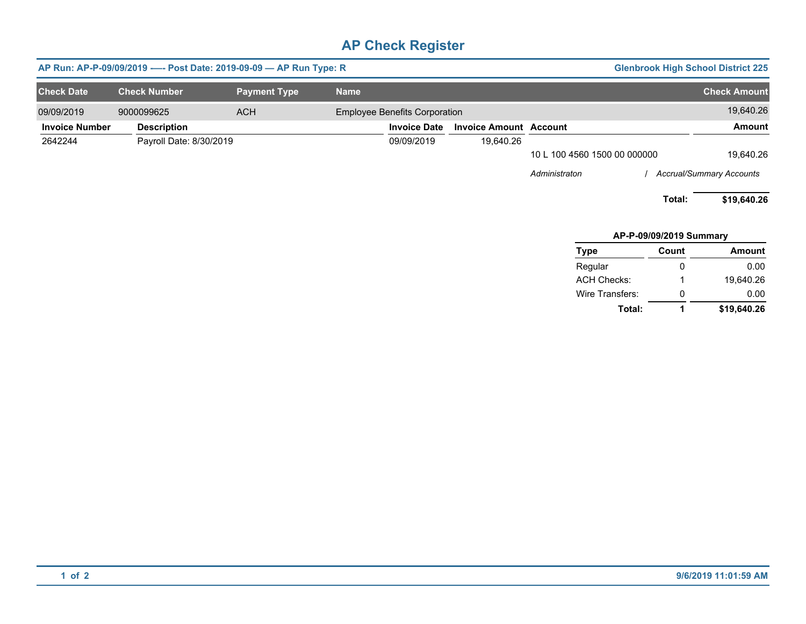|                       | AP Run: AP-P-09/09/2019 ---- Post Date: 2019-09-09 -- AP Run Type: R |                     |                                      |                               |                              | <b>Glenbrook High School District 225</b> |                                 |
|-----------------------|----------------------------------------------------------------------|---------------------|--------------------------------------|-------------------------------|------------------------------|-------------------------------------------|---------------------------------|
| <b>Check Date</b>     | <b>Check Number</b>                                                  | <b>Payment Type</b> | <b>Name</b>                          |                               |                              |                                           | <b>Check Amount</b>             |
| 09/09/2019            | 9000099625                                                           | <b>ACH</b>          | <b>Employee Benefits Corporation</b> |                               |                              |                                           | 19,640.26                       |
| <b>Invoice Number</b> | <b>Description</b>                                                   |                     | <b>Invoice Date</b>                  | <b>Invoice Amount Account</b> |                              |                                           | Amount                          |
| 2642244               | Payroll Date: 8/30/2019                                              |                     | 09/09/2019                           | 19,640.26                     |                              |                                           |                                 |
|                       |                                                                      |                     |                                      |                               | 10 L 100 4560 1500 00 000000 |                                           | 19,640.26                       |
|                       |                                                                      |                     |                                      |                               | Administraton                |                                           | <b>Accrual/Summary Accounts</b> |
|                       |                                                                      |                     |                                      |                               |                              | Total:                                    | \$19,640.26                     |
|                       |                                                                      |                     |                                      |                               |                              | AP-P-09/09/2019 Summary                   |                                 |
|                       |                                                                      |                     |                                      |                               | Type                         | Count                                     | <b>Amount</b>                   |

| l ype           | Count | Amount      |
|-----------------|-------|-------------|
| Regular         | 0     | 0.00        |
| ACH Checks:     | 1     | 19.640.26   |
| Wire Transfers: | 0     | 0.00        |
| Total:          | 1     | \$19,640.26 |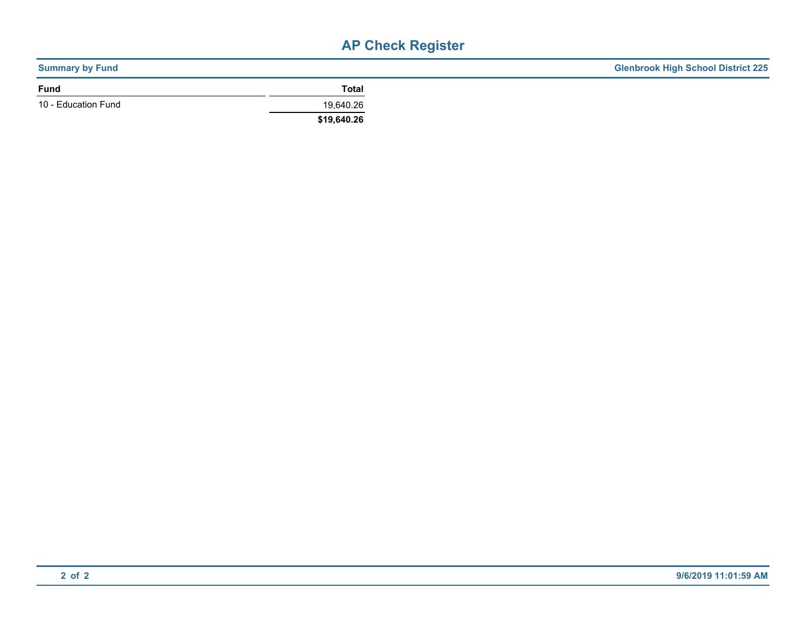| <b>Summary by Fund</b> |              | <b>Glenbrook High School District 225</b> |
|------------------------|--------------|-------------------------------------------|
| <b>Fund</b>            | <b>Total</b> |                                           |
| 10 - Education Fund    | 19,640.26    |                                           |
|                        | \$19,640.26  |                                           |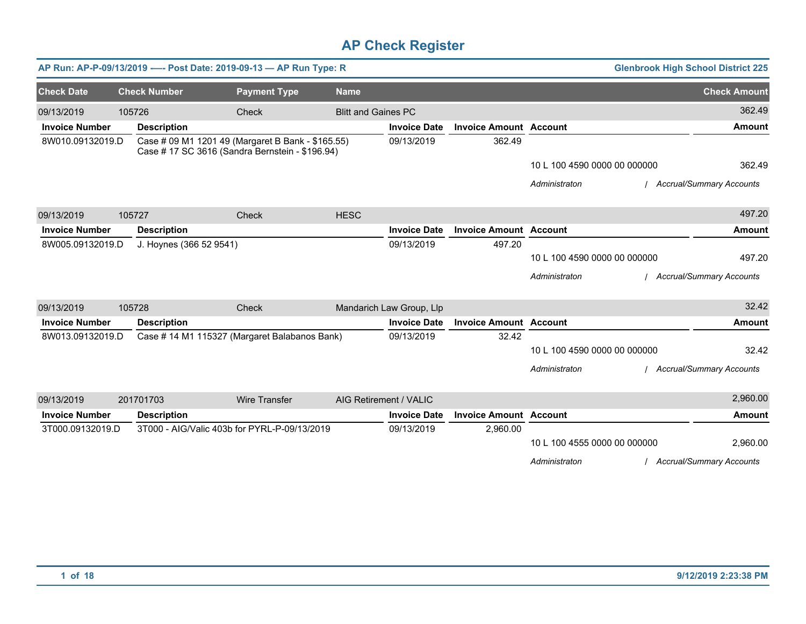|                       |        |                         | AP Run: AP-P-09/13/2019 ---- Post Date: 2019-09-13 - AP Run Type: R                                  |                            |                          |                               |                              | <b>Glenbrook High School District 225</b> |
|-----------------------|--------|-------------------------|------------------------------------------------------------------------------------------------------|----------------------------|--------------------------|-------------------------------|------------------------------|-------------------------------------------|
| <b>Check Date</b>     |        | <b>Check Number</b>     | <b>Payment Type</b>                                                                                  | <b>Name</b>                |                          |                               |                              | <b>Check Amount</b>                       |
| 09/13/2019            | 105726 |                         | Check                                                                                                | <b>Blitt and Gaines PC</b> |                          |                               |                              | 362.49                                    |
| <b>Invoice Number</b> |        | <b>Description</b>      |                                                                                                      |                            | <b>Invoice Date</b>      | <b>Invoice Amount Account</b> |                              | <b>Amount</b>                             |
| 8W010.09132019.D      |        |                         | Case # 09 M1 1201 49 (Margaret B Bank - \$165.55)<br>Case # 17 SC 3616 (Sandra Bernstein - \$196.94) |                            | 09/13/2019               | 362.49                        |                              |                                           |
|                       |        |                         |                                                                                                      |                            |                          |                               | 10 L 100 4590 0000 00 000000 | 362.49                                    |
|                       |        |                         |                                                                                                      |                            |                          |                               | Administraton                | <b>Accrual/Summary Accounts</b>           |
| 09/13/2019            | 105727 |                         | Check                                                                                                | <b>HESC</b>                |                          |                               |                              | 497.20                                    |
| <b>Invoice Number</b> |        | <b>Description</b>      |                                                                                                      |                            | <b>Invoice Date</b>      | <b>Invoice Amount Account</b> |                              | <b>Amount</b>                             |
| 8W005.09132019.D      |        | J. Hoynes (366 52 9541) |                                                                                                      |                            | 09/13/2019               | 497.20                        |                              |                                           |
|                       |        |                         |                                                                                                      |                            |                          |                               | 10 L 100 4590 0000 00 000000 | 497.20                                    |
|                       |        |                         |                                                                                                      |                            |                          |                               | Administraton                | / Accrual/Summary Accounts                |
| 09/13/2019            | 105728 |                         | Check                                                                                                |                            | Mandarich Law Group, Llp |                               |                              | 32.42                                     |
| <b>Invoice Number</b> |        | <b>Description</b>      |                                                                                                      |                            | <b>Invoice Date</b>      | <b>Invoice Amount Account</b> |                              | <b>Amount</b>                             |
| 8W013.09132019.D      |        |                         | Case # 14 M1 115327 (Margaret Balabanos Bank)                                                        |                            | 09/13/2019               | 32.42                         |                              |                                           |
|                       |        |                         |                                                                                                      |                            |                          |                               | 10 L 100 4590 0000 00 000000 | 32.42                                     |
|                       |        |                         |                                                                                                      |                            |                          |                               | Administraton                | <b>Accrual/Summary Accounts</b>           |
| 09/13/2019            |        | 201701703               | <b>Wire Transfer</b>                                                                                 |                            | AIG Retirement / VALIC   |                               |                              | 2,960.00                                  |
| <b>Invoice Number</b> |        | <b>Description</b>      |                                                                                                      |                            | <b>Invoice Date</b>      | <b>Invoice Amount Account</b> |                              | <b>Amount</b>                             |
| 3T000.09132019.D      |        |                         | 3T000 - AIG/Valic 403b for PYRL-P-09/13/2019                                                         |                            | 09/13/2019               | 2,960.00                      |                              |                                           |
|                       |        |                         |                                                                                                      |                            |                          |                               | 10 L 100 4555 0000 00 000000 | 2,960.00                                  |
|                       |        |                         |                                                                                                      |                            |                          |                               | Administraton                | <b>Accrual/Summary Accounts</b>           |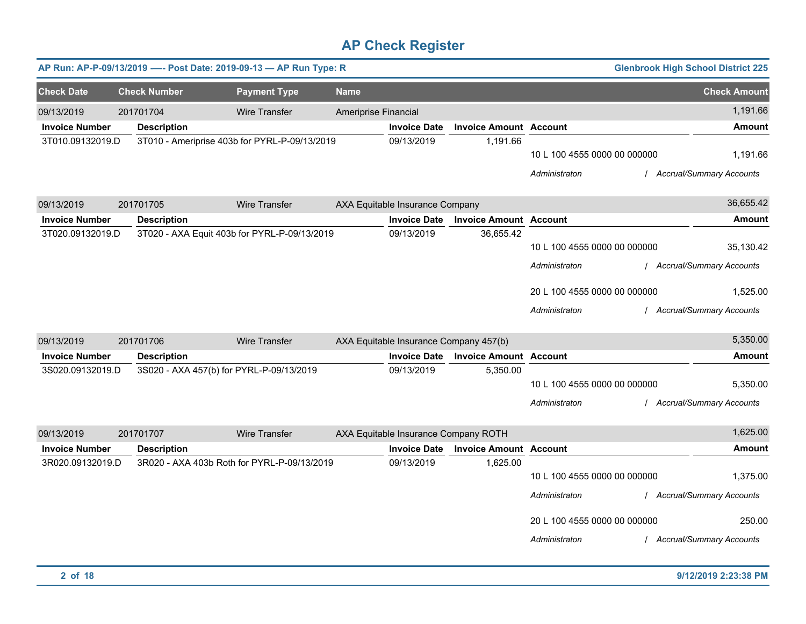|                       |                     | AP Run: AP-P-09/13/2019 ---- Post Date: 2019-09-13 - AP Run Type: R |                      |                                        |                               |                              | <b>Glenbrook High School District 225</b> |                            |
|-----------------------|---------------------|---------------------------------------------------------------------|----------------------|----------------------------------------|-------------------------------|------------------------------|-------------------------------------------|----------------------------|
| <b>Check Date</b>     | <b>Check Number</b> | <b>Payment Type</b>                                                 | <b>Name</b>          |                                        |                               |                              |                                           | <b>Check Amount</b>        |
| 09/13/2019            | 201701704           | <b>Wire Transfer</b>                                                | Ameriprise Financial |                                        |                               |                              |                                           | 1,191.66                   |
| <b>Invoice Number</b> | <b>Description</b>  |                                                                     |                      | <b>Invoice Date</b>                    | <b>Invoice Amount Account</b> |                              |                                           | <b>Amount</b>              |
| 3T010.09132019.D      |                     | 3T010 - Ameriprise 403b for PYRL-P-09/13/2019                       |                      | 09/13/2019                             | 1,191.66                      |                              |                                           |                            |
|                       |                     |                                                                     |                      |                                        |                               | 10 L 100 4555 0000 00 000000 |                                           | 1,191.66                   |
|                       |                     |                                                                     |                      |                                        |                               | Administraton                |                                           | / Accrual/Summary Accounts |
| 09/13/2019            | 201701705           | <b>Wire Transfer</b>                                                |                      | AXA Equitable Insurance Company        |                               |                              |                                           | 36,655.42                  |
| <b>Invoice Number</b> | <b>Description</b>  |                                                                     |                      | <b>Invoice Date</b>                    | <b>Invoice Amount Account</b> |                              |                                           | Amount                     |
| 3T020.09132019.D      |                     | 3T020 - AXA Equit 403b for PYRL-P-09/13/2019                        |                      | 09/13/2019                             | 36,655.42                     |                              |                                           |                            |
|                       |                     |                                                                     |                      |                                        |                               | 10 L 100 4555 0000 00 000000 |                                           | 35,130.42                  |
|                       |                     |                                                                     |                      |                                        |                               | Administraton                |                                           | / Accrual/Summary Accounts |
|                       |                     |                                                                     |                      |                                        |                               | 20 L 100 4555 0000 00 000000 |                                           | 1.525.00                   |
|                       |                     |                                                                     |                      |                                        |                               | Administraton                |                                           | / Accrual/Summary Accounts |
| 09/13/2019            | 201701706           | Wire Transfer                                                       |                      | AXA Equitable Insurance Company 457(b) |                               |                              |                                           | 5,350.00                   |
| <b>Invoice Number</b> | <b>Description</b>  |                                                                     |                      | <b>Invoice Date</b>                    | <b>Invoice Amount Account</b> |                              |                                           | <b>Amount</b>              |
| 3S020.09132019.D      |                     | 3S020 - AXA 457(b) for PYRL-P-09/13/2019                            |                      | 09/13/2019                             | 5,350.00                      |                              |                                           |                            |
|                       |                     |                                                                     |                      |                                        |                               | 10 L 100 4555 0000 00 000000 |                                           | 5,350.00                   |
|                       |                     |                                                                     |                      |                                        |                               | Administraton                |                                           | / Accrual/Summary Accounts |
| 09/13/2019            | 201701707           | <b>Wire Transfer</b>                                                |                      | AXA Equitable Insurance Company ROTH   |                               |                              |                                           | 1,625.00                   |
| <b>Invoice Number</b> | <b>Description</b>  |                                                                     |                      | <b>Invoice Date</b>                    | <b>Invoice Amount Account</b> |                              |                                           | <b>Amount</b>              |
| 3R020.09132019.D      |                     | 3R020 - AXA 403b Roth for PYRL-P-09/13/2019                         |                      | 09/13/2019                             | 1,625.00                      |                              |                                           |                            |
|                       |                     |                                                                     |                      |                                        |                               | 10 L 100 4555 0000 00 000000 |                                           | 1,375.00                   |
|                       |                     |                                                                     |                      |                                        |                               | Administraton                |                                           | / Accrual/Summary Accounts |
|                       |                     |                                                                     |                      |                                        |                               | 20 L 100 4555 0000 00 000000 |                                           | 250.00                     |
|                       |                     |                                                                     |                      |                                        |                               | Administraton                |                                           | / Accrual/Summary Accounts |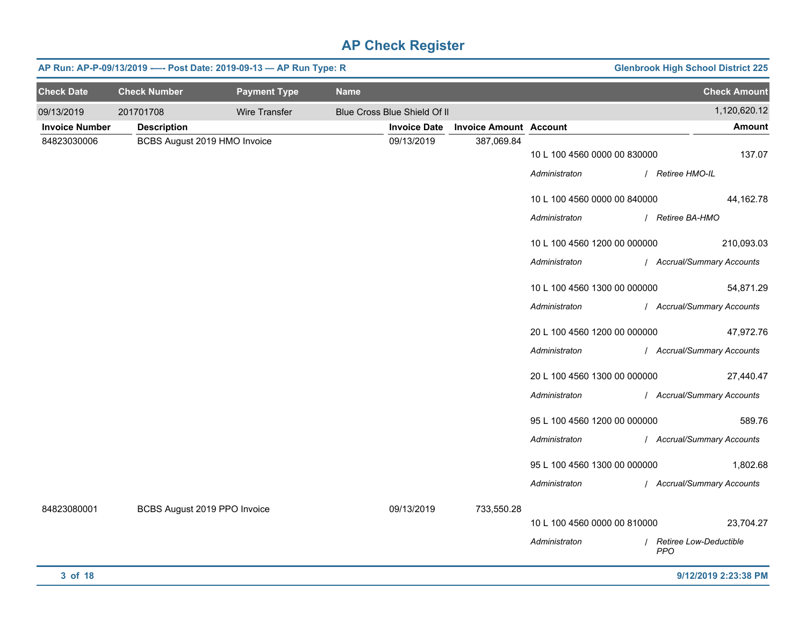|                       | AP Run: AP-P-09/13/2019 ---- Post Date: 2019-09-13 - AP Run Type: R |                     |             |                              |                               |                              | <b>Glenbrook High School District 225</b> |
|-----------------------|---------------------------------------------------------------------|---------------------|-------------|------------------------------|-------------------------------|------------------------------|-------------------------------------------|
| <b>Check Date</b>     | <b>Check Number</b>                                                 | <b>Payment Type</b> | <b>Name</b> |                              |                               |                              | <b>Check Amount</b>                       |
| 09/13/2019            | 201701708                                                           | Wire Transfer       |             | Blue Cross Blue Shield Of II |                               |                              | 1,120,620.12                              |
| <b>Invoice Number</b> | <b>Description</b>                                                  |                     |             | <b>Invoice Date</b>          | <b>Invoice Amount Account</b> |                              | <b>Amount</b>                             |
| 84823030006           | BCBS August 2019 HMO Invoice                                        |                     |             | 09/13/2019                   | 387,069.84                    | 10 L 100 4560 0000 00 830000 | 137.07                                    |
|                       |                                                                     |                     |             |                              |                               | Administraton                | / Retiree HMO-IL                          |
|                       |                                                                     |                     |             |                              |                               | 10 L 100 4560 0000 00 840000 | 44,162.78                                 |
|                       |                                                                     |                     |             |                              |                               | Administraton                | / Retiree BA-HMO                          |
|                       |                                                                     |                     |             |                              |                               | 10 L 100 4560 1200 00 000000 | 210,093.03                                |
|                       |                                                                     |                     |             |                              |                               | Administraton                | / Accrual/Summary Accounts                |
|                       |                                                                     |                     |             |                              |                               | 10 L 100 4560 1300 00 000000 | 54,871.29                                 |
|                       |                                                                     |                     |             |                              |                               | Administraton                | / Accrual/Summary Accounts                |
|                       |                                                                     |                     |             |                              |                               | 20 L 100 4560 1200 00 000000 | 47,972.76                                 |
|                       |                                                                     |                     |             |                              |                               | Administraton                | / Accrual/Summary Accounts                |
|                       |                                                                     |                     |             |                              |                               | 20 L 100 4560 1300 00 000000 | 27,440.47                                 |
|                       |                                                                     |                     |             |                              |                               | Administraton                | / Accrual/Summary Accounts                |
|                       |                                                                     |                     |             |                              |                               |                              |                                           |
|                       |                                                                     |                     |             |                              |                               | 95 L 100 4560 1200 00 000000 | 589.76                                    |
|                       |                                                                     |                     |             |                              |                               | Administraton                | / Accrual/Summary Accounts                |
|                       |                                                                     |                     |             |                              |                               | 95 L 100 4560 1300 00 000000 | 1,802.68                                  |
|                       |                                                                     |                     |             |                              |                               | Administraton                | / Accrual/Summary Accounts                |
| 84823080001           | BCBS August 2019 PPO Invoice                                        |                     |             | 09/13/2019                   | 733,550.28                    |                              |                                           |
|                       |                                                                     |                     |             |                              |                               | 10 L 100 4560 0000 00 810000 | 23,704.27                                 |
|                       |                                                                     |                     |             |                              |                               | Administraton                | / Retiree Low-Deductible<br><b>PPO</b>    |
| 3 of 18               |                                                                     |                     |             |                              |                               |                              | 9/12/2019 2:23:38 PM                      |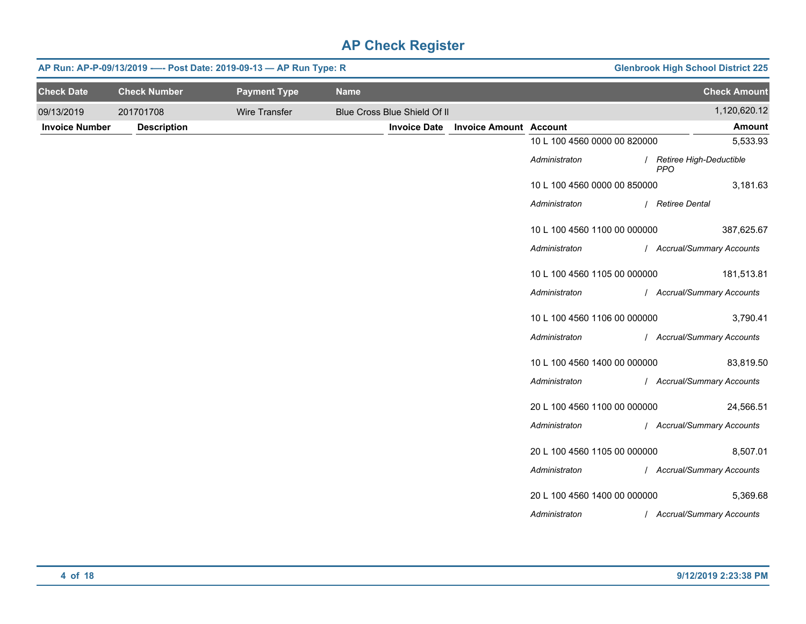|                       | AP Run: AP-P-09/13/2019 ---- Post Date: 2019-09-13 - AP Run Type: R |                      |             | <b>Glenbrook High School District 225</b> |                               |                              |                                         |
|-----------------------|---------------------------------------------------------------------|----------------------|-------------|-------------------------------------------|-------------------------------|------------------------------|-----------------------------------------|
| <b>Check Date</b>     | <b>Check Number</b>                                                 | <b>Payment Type</b>  | <b>Name</b> |                                           |                               |                              | <b>Check Amount</b>                     |
| 09/13/2019            | 201701708                                                           | <b>Wire Transfer</b> |             | Blue Cross Blue Shield Of II              |                               |                              | 1,120,620.12                            |
| <b>Invoice Number</b> | <b>Description</b>                                                  |                      |             | <b>Invoice Date</b>                       | <b>Invoice Amount Account</b> |                              | <b>Amount</b>                           |
|                       |                                                                     |                      |             |                                           |                               | 10 L 100 4560 0000 00 820000 | 5,533.93                                |
|                       |                                                                     |                      |             |                                           |                               | Administraton                | / Retiree High-Deductible<br><b>PPO</b> |
|                       |                                                                     |                      |             |                                           |                               | 10 L 100 4560 0000 00 850000 | 3,181.63                                |
|                       |                                                                     |                      |             |                                           |                               | Administraton                | / Retiree Dental                        |
|                       |                                                                     |                      |             |                                           |                               | 10 L 100 4560 1100 00 000000 | 387,625.67                              |
|                       |                                                                     |                      |             |                                           |                               | Administraton                | / Accrual/Summary Accounts              |
|                       |                                                                     |                      |             |                                           |                               | 10 L 100 4560 1105 00 000000 | 181,513.81                              |
|                       |                                                                     |                      |             |                                           |                               | Administraton                | / Accrual/Summary Accounts              |
|                       |                                                                     |                      |             |                                           |                               | 10 L 100 4560 1106 00 000000 | 3,790.41                                |
|                       |                                                                     |                      |             |                                           |                               | Administraton                | / Accrual/Summary Accounts              |
|                       |                                                                     |                      |             |                                           |                               | 10 L 100 4560 1400 00 000000 | 83,819.50                               |
|                       |                                                                     |                      |             |                                           |                               | Administraton                | / Accrual/Summary Accounts              |
|                       |                                                                     |                      |             |                                           |                               | 20 L 100 4560 1100 00 000000 | 24,566.51                               |
|                       |                                                                     |                      |             |                                           |                               | Administraton                | / Accrual/Summary Accounts              |
|                       |                                                                     |                      |             |                                           |                               | 20 L 100 4560 1105 00 000000 | 8,507.01                                |
|                       |                                                                     |                      |             |                                           |                               | Administraton                | / Accrual/Summary Accounts              |
|                       |                                                                     |                      |             |                                           |                               | 20 L 100 4560 1400 00 000000 | 5,369.68                                |
|                       |                                                                     |                      |             |                                           |                               | Administraton                | / Accrual/Summary Accounts              |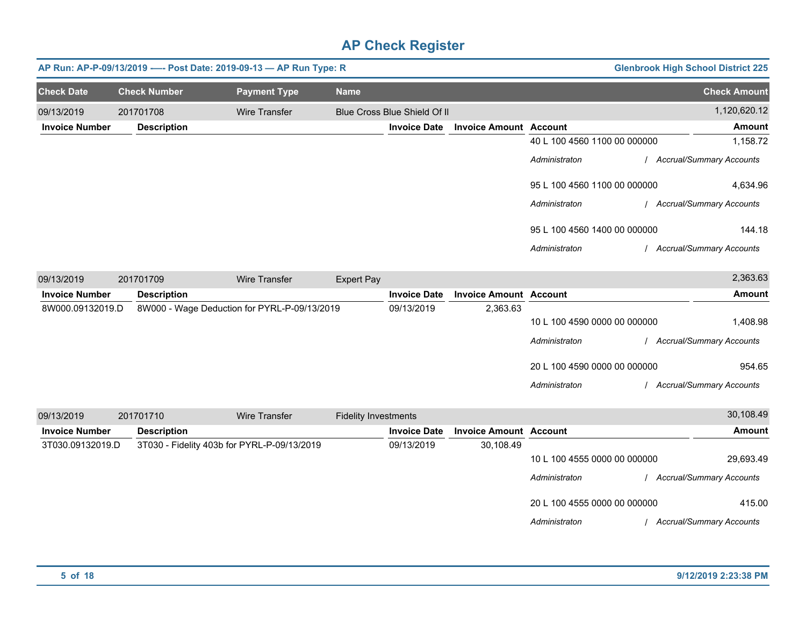|                       |                     | AP Run: AP-P-09/13/2019 ---- Post Date: 2019-09-13 - AP Run Type: R |                   |                              |                               |                              | <b>Glenbrook High School District 225</b> |
|-----------------------|---------------------|---------------------------------------------------------------------|-------------------|------------------------------|-------------------------------|------------------------------|-------------------------------------------|
| <b>Check Date</b>     | <b>Check Number</b> | <b>Payment Type</b>                                                 | <b>Name</b>       |                              |                               |                              | <b>Check Amount</b>                       |
| 09/13/2019            | 201701708           | <b>Wire Transfer</b>                                                |                   | Blue Cross Blue Shield Of II |                               |                              | 1,120,620.12                              |
| <b>Invoice Number</b> | <b>Description</b>  |                                                                     |                   | <b>Invoice Date</b>          | <b>Invoice Amount Account</b> |                              | <b>Amount</b>                             |
|                       |                     |                                                                     |                   |                              |                               | 40 L 100 4560 1100 00 000000 | 1,158.72                                  |
|                       |                     |                                                                     |                   |                              |                               | Administraton                | <b>Accrual/Summary Accounts</b>           |
|                       |                     |                                                                     |                   |                              |                               | 95 L 100 4560 1100 00 000000 | 4,634.96                                  |
|                       |                     |                                                                     |                   |                              |                               | Administraton                | <b>Accrual/Summary Accounts</b>           |
|                       |                     |                                                                     |                   |                              |                               | 95 L 100 4560 1400 00 000000 | 144.18                                    |
|                       |                     |                                                                     |                   |                              |                               | Administraton                | <b>Accrual/Summary Accounts</b>           |
| 09/13/2019            | 201701709           | <b>Wire Transfer</b>                                                | <b>Expert Pay</b> |                              |                               |                              | 2,363.63                                  |
| <b>Invoice Number</b> | <b>Description</b>  |                                                                     |                   | <b>Invoice Date</b>          | <b>Invoice Amount Account</b> |                              | Amount                                    |
| 8W000.09132019.D      |                     | 8W000 - Wage Deduction for PYRL-P-09/13/2019                        |                   | 09/13/2019                   | 2,363.63                      |                              |                                           |
|                       |                     |                                                                     |                   |                              |                               | 10 L 100 4590 0000 00 000000 | 1,408.98                                  |
|                       |                     |                                                                     |                   |                              |                               | Administraton                | <b>Accrual/Summary Accounts</b>           |

*Administraton* / *Accrual/Summary Accounts*

20 L 100 4590 0000 00 000000

| 09/13/2019            | 201701710          | Wire Transfer                               | <b>Fidelity Investments</b> |                               |                              | 30,108.49                       |
|-----------------------|--------------------|---------------------------------------------|-----------------------------|-------------------------------|------------------------------|---------------------------------|
| <b>Invoice Number</b> | <b>Description</b> |                                             | <b>Invoice Date</b>         | <b>Invoice Amount Account</b> |                              | Amount                          |
| 3T030.09132019.D      |                    | 3T030 - Fidelity 403b for PYRL-P-09/13/2019 | 09/13/2019                  | 30,108.49                     |                              |                                 |
|                       |                    |                                             |                             |                               | 10 L 100 4555 0000 00 000000 | 29,693.49                       |
|                       |                    |                                             |                             |                               | Administraton                | <b>Accrual/Summary Accounts</b> |
|                       |                    |                                             |                             |                               | 20 L 100 4555 0000 00 000000 | 415.00                          |
|                       |                    |                                             |                             |                               | Administraton                | <b>Accrual/Summary Accounts</b> |

954.65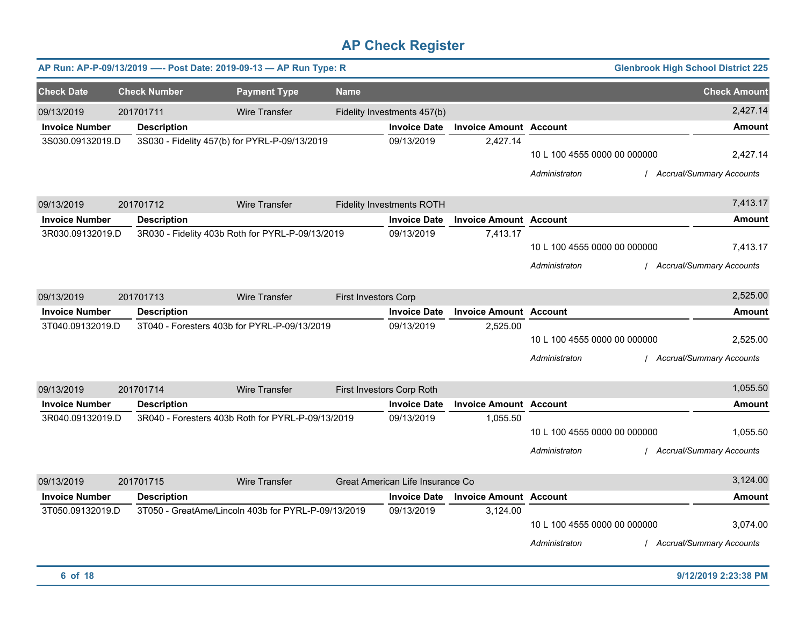|                       |                     | AP Run: AP-P-09/13/2019 ---- Post Date: 2019-09-13 - AP Run Type: R |                      |                                  |                               |                                               | <b>Glenbrook High School District 225</b>   |
|-----------------------|---------------------|---------------------------------------------------------------------|----------------------|----------------------------------|-------------------------------|-----------------------------------------------|---------------------------------------------|
| <b>Check Date</b>     | <b>Check Number</b> | <b>Payment Type</b>                                                 | <b>Name</b>          |                                  |                               |                                               | <b>Check Amount</b>                         |
| 09/13/2019            | 201701711           | Wire Transfer                                                       |                      | Fidelity Investments 457(b)      |                               |                                               | 2,427.14                                    |
| <b>Invoice Number</b> | <b>Description</b>  |                                                                     |                      | <b>Invoice Date</b>              | <b>Invoice Amount Account</b> |                                               | <b>Amount</b>                               |
| 3S030.09132019.D      |                     | 3S030 - Fidelity 457(b) for PYRL-P-09/13/2019                       |                      | 09/13/2019                       | 2,427.14                      | 10 L 100 4555 0000 00 000000<br>Administraton | 2,427.14<br><b>Accrual/Summary Accounts</b> |
| 09/13/2019            | 201701712           | <b>Wire Transfer</b>                                                |                      | <b>Fidelity Investments ROTH</b> |                               |                                               | 7,413.17                                    |
| <b>Invoice Number</b> | <b>Description</b>  |                                                                     |                      | <b>Invoice Date</b>              | <b>Invoice Amount Account</b> |                                               | <b>Amount</b>                               |
| 3R030.09132019.D      |                     | 3R030 - Fidelity 403b Roth for PYRL-P-09/13/2019                    |                      | 09/13/2019                       | 7,413.17                      | 10 L 100 4555 0000 00 000000<br>Administraton | 7,413.17<br><b>Accrual/Summary Accounts</b> |
| 09/13/2019            | 201701713           | Wire Transfer                                                       | First Investors Corp |                                  |                               |                                               | 2,525.00                                    |
| <b>Invoice Number</b> | <b>Description</b>  |                                                                     |                      | <b>Invoice Date</b>              | <b>Invoice Amount Account</b> |                                               | Amount                                      |
| 3T040.09132019.D      |                     | 3T040 - Foresters 403b for PYRL-P-09/13/2019                        |                      | 09/13/2019                       | 2,525.00                      | 10 L 100 4555 0000 00 000000<br>Administraton | 2,525.00<br><b>Accrual/Summary Accounts</b> |
| 09/13/2019            | 201701714           | <b>Wire Transfer</b>                                                |                      | First Investors Corp Roth        |                               |                                               | 1,055.50                                    |
| <b>Invoice Number</b> | <b>Description</b>  |                                                                     |                      | <b>Invoice Date</b>              | <b>Invoice Amount Account</b> |                                               | <b>Amount</b>                               |
| 3R040.09132019.D      |                     | 3R040 - Foresters 403b Roth for PYRL-P-09/13/2019                   |                      | 09/13/2019                       | 1,055.50                      | 10 L 100 4555 0000 00 000000<br>Administraton | 1,055.50<br>/ Accrual/Summary Accounts      |
| 09/13/2019            | 201701715           | Wire Transfer                                                       |                      | Great American Life Insurance Co |                               |                                               | 3,124.00                                    |
| <b>Invoice Number</b> | <b>Description</b>  |                                                                     |                      | <b>Invoice Date</b>              | <b>Invoice Amount Account</b> |                                               | <b>Amount</b>                               |
| 3T050.09132019.D      |                     | 3T050 - GreatAme/Lincoln 403b for PYRL-P-09/13/2019                 |                      | 09/13/2019                       | 3,124.00                      | 10 L 100 4555 0000 00 000000<br>Administraton | 3,074.00<br>/ Accrual/Summary Accounts      |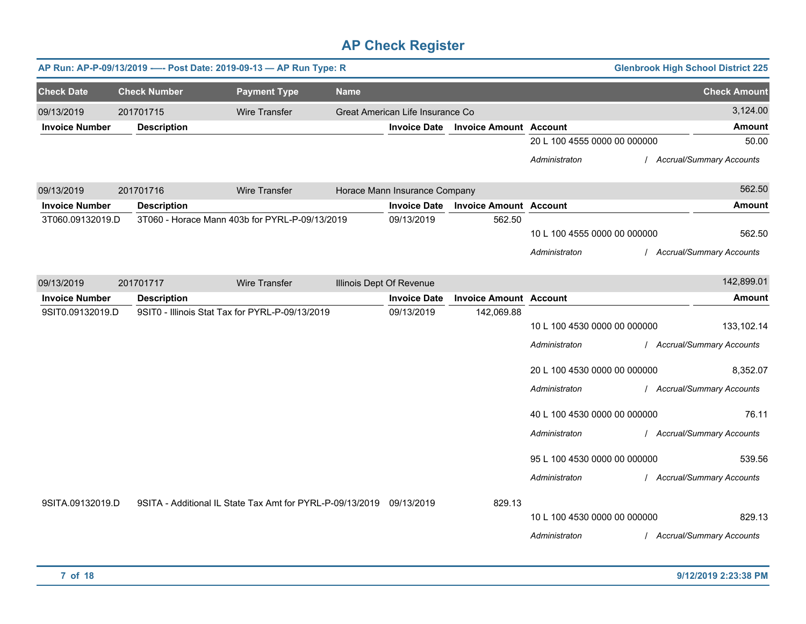|                       |                     | AP Run: AP-P-09/13/2019 ---- Post Date: 2019-09-13 - AP Run Type: R  |                          |                                  |                               |                              | <b>Glenbrook High School District 225</b> |
|-----------------------|---------------------|----------------------------------------------------------------------|--------------------------|----------------------------------|-------------------------------|------------------------------|-------------------------------------------|
| <b>Check Date</b>     | <b>Check Number</b> | <b>Payment Type</b>                                                  | <b>Name</b>              |                                  |                               |                              | <b>Check Amount</b>                       |
| 09/13/2019            | 201701715           | <b>Wire Transfer</b>                                                 |                          | Great American Life Insurance Co |                               |                              | 3,124.00                                  |
| <b>Invoice Number</b> | <b>Description</b>  |                                                                      |                          | <b>Invoice Date</b>              | <b>Invoice Amount Account</b> |                              | <b>Amount</b>                             |
|                       |                     |                                                                      |                          |                                  |                               | 20 L 100 4555 0000 00 000000 | 50.00                                     |
|                       |                     |                                                                      |                          |                                  |                               | Administraton                | / Accrual/Summary Accounts                |
| 09/13/2019            | 201701716           | <b>Wire Transfer</b>                                                 |                          | Horace Mann Insurance Company    |                               |                              | 562.50                                    |
| <b>Invoice Number</b> | <b>Description</b>  |                                                                      |                          | <b>Invoice Date</b>              | <b>Invoice Amount Account</b> |                              | Amount                                    |
| 3T060.09132019.D      |                     | 3T060 - Horace Mann 403b for PYRL-P-09/13/2019                       |                          | 09/13/2019                       | 562.50                        |                              |                                           |
|                       |                     |                                                                      |                          |                                  |                               | 10 L 100 4555 0000 00 000000 | 562.50                                    |
|                       |                     |                                                                      |                          |                                  |                               | Administraton                | / Accrual/Summary Accounts                |
| 09/13/2019            | 201701717           | Wire Transfer                                                        | Illinois Dept Of Revenue |                                  |                               |                              | 142,899.01                                |
| <b>Invoice Number</b> | <b>Description</b>  |                                                                      |                          | <b>Invoice Date</b>              | <b>Invoice Amount Account</b> |                              | <b>Amount</b>                             |
| 9SIT0.09132019.D      |                     | 9SIT0 - Illinois Stat Tax for PYRL-P-09/13/2019                      |                          | 09/13/2019                       | 142,069.88                    |                              |                                           |
|                       |                     |                                                                      |                          |                                  |                               | 10 L 100 4530 0000 00 000000 | 133,102.14                                |
|                       |                     |                                                                      |                          |                                  |                               | Administraton                | / Accrual/Summary Accounts                |
|                       |                     |                                                                      |                          |                                  |                               | 20 L 100 4530 0000 00 000000 | 8,352.07                                  |
|                       |                     |                                                                      |                          |                                  |                               | Administraton                | / Accrual/Summary Accounts                |
|                       |                     |                                                                      |                          |                                  |                               | 40 L 100 4530 0000 00 000000 | 76.11                                     |
|                       |                     |                                                                      |                          |                                  |                               | Administraton                | / Accrual/Summary Accounts                |
|                       |                     |                                                                      |                          |                                  |                               | 95 L 100 4530 0000 00 000000 | 539.56                                    |
|                       |                     |                                                                      |                          |                                  |                               | Administraton                | / Accrual/Summary Accounts                |
| 9SITA.09132019.D      |                     | 9SITA - Additional IL State Tax Amt for PYRL-P-09/13/2019 09/13/2019 |                          |                                  | 829.13                        |                              |                                           |
|                       |                     |                                                                      |                          |                                  |                               | 10 L 100 4530 0000 00 000000 | 829.13                                    |
|                       |                     |                                                                      |                          |                                  |                               | Administraton                | / Accrual/Summary Accounts                |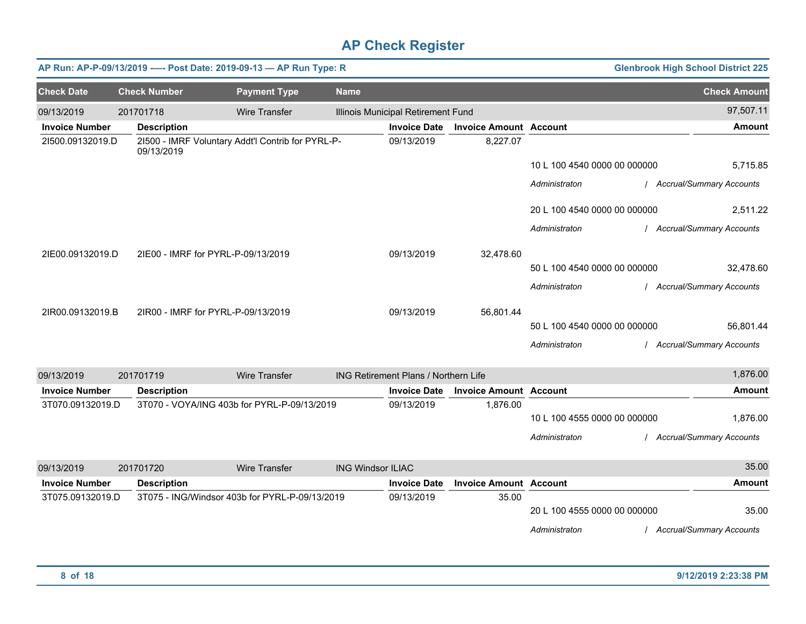|                       |                     |                                    | AP Run: AP-P-09/13/2019 ---- Post Date: 2019-09-13 - AP Run Type: R |                          |                                      |                               |                              | <b>Glenbrook High School District 225</b> |
|-----------------------|---------------------|------------------------------------|---------------------------------------------------------------------|--------------------------|--------------------------------------|-------------------------------|------------------------------|-------------------------------------------|
| <b>Check Date</b>     | <b>Check Number</b> |                                    | <b>Payment Type</b>                                                 | <b>Name</b>              |                                      |                               |                              | <b>Check Amount</b>                       |
| 09/13/2019            | 201701718           |                                    | Wire Transfer                                                       |                          | Illinois Municipal Retirement Fund   |                               |                              | 97,507.11                                 |
| <b>Invoice Number</b> |                     | <b>Description</b>                 |                                                                     |                          | <b>Invoice Date</b>                  | <b>Invoice Amount Account</b> |                              | <b>Amount</b>                             |
| 21500.09132019.D      |                     | 09/13/2019                         | 21500 - IMRF Voluntary Addt'l Contrib for PYRL-P-                   |                          | 09/13/2019                           | 8,227.07                      |                              |                                           |
|                       |                     |                                    |                                                                     |                          |                                      |                               | 10 L 100 4540 0000 00 000000 | 5,715.85                                  |
|                       |                     |                                    |                                                                     |                          |                                      |                               | Administraton                | / Accrual/Summary Accounts                |
|                       |                     |                                    |                                                                     |                          |                                      |                               | 20 L 100 4540 0000 00 000000 | 2,511.22                                  |
|                       |                     |                                    |                                                                     |                          |                                      |                               | Administraton                | / Accrual/Summary Accounts                |
| 2IE00.09132019.D      |                     | 2IE00 - IMRF for PYRL-P-09/13/2019 |                                                                     |                          | 09/13/2019                           | 32,478.60                     |                              |                                           |
|                       |                     |                                    |                                                                     |                          |                                      |                               | 50 L 100 4540 0000 00 000000 | 32,478.60                                 |
|                       |                     |                                    |                                                                     |                          |                                      |                               | Administraton                | / Accrual/Summary Accounts                |
| 2IR00.09132019.B      |                     | 2IR00 - IMRF for PYRL-P-09/13/2019 |                                                                     |                          | 09/13/2019                           | 56,801.44                     |                              |                                           |
|                       |                     |                                    |                                                                     |                          |                                      |                               | 50 L 100 4540 0000 00 000000 | 56,801.44                                 |
|                       |                     |                                    |                                                                     |                          |                                      |                               | Administraton                | / Accrual/Summary Accounts                |
| 09/13/2019            | 201701719           |                                    | <b>Wire Transfer</b>                                                |                          | ING Retirement Plans / Northern Life |                               |                              | 1,876.00                                  |
| <b>Invoice Number</b> |                     | <b>Description</b>                 |                                                                     |                          | <b>Invoice Date</b>                  | <b>Invoice Amount Account</b> |                              | <b>Amount</b>                             |
| 3T070.09132019.D      |                     |                                    | 3T070 - VOYA/ING 403b for PYRL-P-09/13/2019                         |                          | 09/13/2019                           | 1,876.00                      | 10 L 100 4555 0000 00 000000 | 1,876.00                                  |
|                       |                     |                                    |                                                                     |                          |                                      |                               | Administraton                | / Accrual/Summary Accounts                |
| 09/13/2019            | 201701720           |                                    | <b>Wire Transfer</b>                                                | <b>ING Windsor ILIAC</b> |                                      |                               |                              | 35.00                                     |
| <b>Invoice Number</b> |                     | <b>Description</b>                 |                                                                     |                          | <b>Invoice Date</b>                  | <b>Invoice Amount Account</b> |                              | <b>Amount</b>                             |
| 3T075.09132019.D      |                     |                                    | 3T075 - ING/Windsor 403b for PYRL-P-09/13/2019                      |                          | 09/13/2019                           | 35.00                         |                              |                                           |
|                       |                     |                                    |                                                                     |                          |                                      |                               | 20 L 100 4555 0000 00 000000 | 35.00                                     |
|                       |                     |                                    |                                                                     |                          |                                      |                               | Administraton                | / Accrual/Summary Accounts                |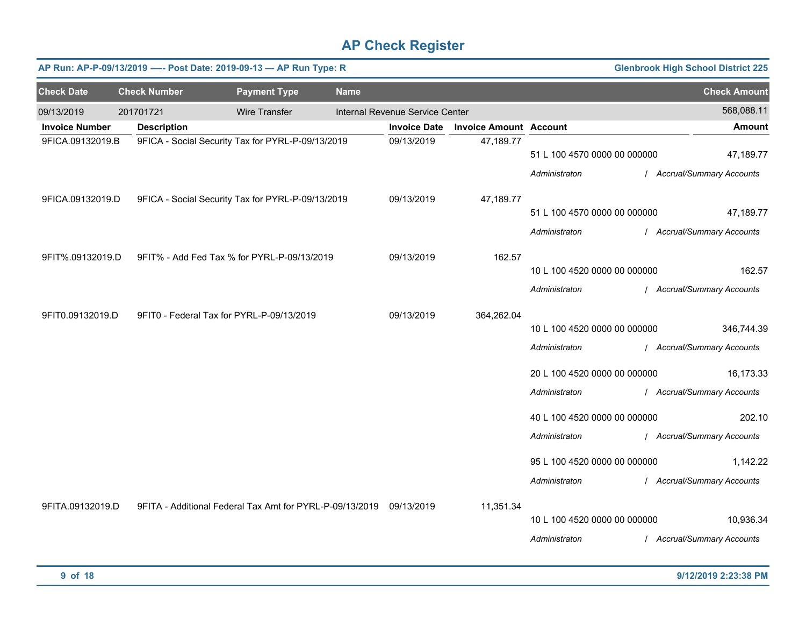|                       | AP Run: AP-P-09/13/2019 ---- Post Date: 2019-09-13 - AP Run Type: R |                                                                     |             |                                 |                               |                              | <b>Glenbrook High School District 225</b> |
|-----------------------|---------------------------------------------------------------------|---------------------------------------------------------------------|-------------|---------------------------------|-------------------------------|------------------------------|-------------------------------------------|
| <b>Check Date</b>     | <b>Check Number</b>                                                 | <b>Payment Type</b>                                                 | <b>Name</b> |                                 |                               |                              | <b>Check Amount</b>                       |
| 09/13/2019            | 201701721                                                           | <b>Wire Transfer</b>                                                |             | Internal Revenue Service Center |                               |                              | 568,088.11                                |
| <b>Invoice Number</b> | <b>Description</b>                                                  |                                                                     |             | <b>Invoice Date</b>             | <b>Invoice Amount Account</b> |                              | <b>Amount</b>                             |
| 9FICA.09132019.B      |                                                                     | 9FICA - Social Security Tax for PYRL-P-09/13/2019                   |             | 09/13/2019                      | 47,189.77                     | 51 L 100 4570 0000 00 000000 | 47,189.77                                 |
| 9FICA.09132019.D      |                                                                     | 9FICA - Social Security Tax for PYRL-P-09/13/2019                   |             | 09/13/2019                      | 47,189.77                     | Administraton                | / Accrual/Summary Accounts                |
|                       |                                                                     |                                                                     |             |                                 |                               | 51 L 100 4570 0000 00 000000 | 47,189.77                                 |
|                       |                                                                     |                                                                     |             |                                 |                               | Administraton                | / Accrual/Summary Accounts                |
| 9FIT%.09132019.D      | 9FIT% - Add Fed Tax % for PYRL-P-09/13/2019                         |                                                                     |             | 09/13/2019                      | 162.57                        |                              |                                           |
|                       |                                                                     |                                                                     |             |                                 |                               | 10 L 100 4520 0000 00 000000 | 162.57                                    |
|                       |                                                                     |                                                                     |             |                                 |                               | Administraton                | / Accrual/Summary Accounts                |
| 9FIT0.09132019.D      | 9FIT0 - Federal Tax for PYRL-P-09/13/2019                           |                                                                     |             | 09/13/2019                      | 364,262.04                    | 10 L 100 4520 0000 00 000000 | 346,744.39                                |
|                       |                                                                     |                                                                     |             |                                 |                               | Administraton                | / Accrual/Summary Accounts                |
|                       |                                                                     |                                                                     |             |                                 |                               | 20 L 100 4520 0000 00 000000 | 16,173.33                                 |
|                       |                                                                     |                                                                     |             |                                 |                               | Administraton                | / Accrual/Summary Accounts                |
|                       |                                                                     |                                                                     |             |                                 |                               | 40 L 100 4520 0000 00 000000 | 202.10                                    |
|                       |                                                                     |                                                                     |             |                                 |                               | Administraton                | / Accrual/Summary Accounts                |
|                       |                                                                     |                                                                     |             |                                 |                               | 95 L 100 4520 0000 00 000000 | 1,142.22                                  |
|                       |                                                                     |                                                                     |             |                                 |                               | Administraton                | / Accrual/Summary Accounts                |
| 9FITA.09132019.D      |                                                                     | 9FITA - Additional Federal Tax Amt for PYRL-P-09/13/2019 09/13/2019 |             |                                 | 11,351.34                     | 10 L 100 4520 0000 00 000000 | 10,936.34                                 |
|                       |                                                                     |                                                                     |             |                                 |                               | Administraton                | / Accrual/Summary Accounts                |
|                       |                                                                     |                                                                     |             |                                 |                               |                              |                                           |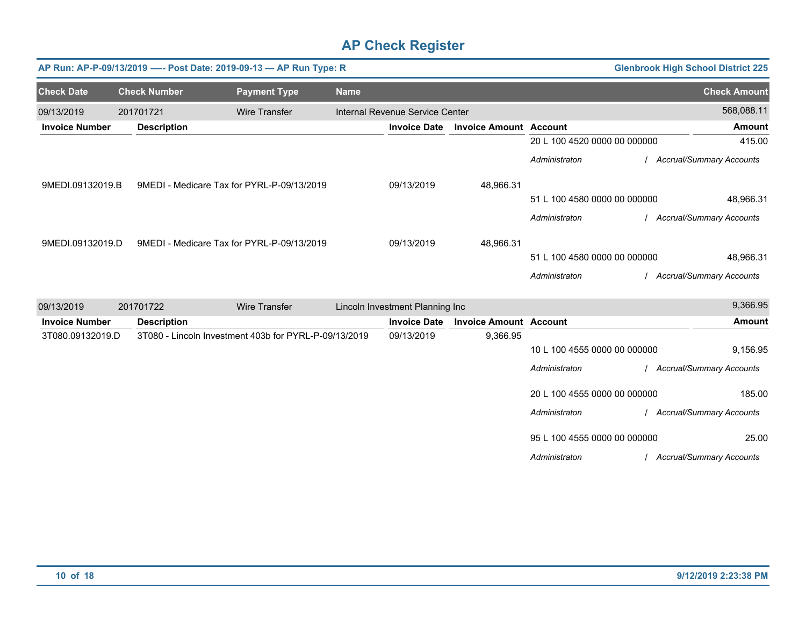|                       |                     | AP Run: AP-P-09/13/2019 ---- Post Date: 2019-09-13 - AP Run Type: R |             |                                 |                               |                              | <b>Glenbrook High School District 225</b> |
|-----------------------|---------------------|---------------------------------------------------------------------|-------------|---------------------------------|-------------------------------|------------------------------|-------------------------------------------|
| <b>Check Date</b>     | <b>Check Number</b> | <b>Payment Type</b>                                                 | <b>Name</b> |                                 |                               |                              | <b>Check Amount</b>                       |
| 09/13/2019            | 201701721           | <b>Wire Transfer</b>                                                |             | Internal Revenue Service Center |                               |                              | 568,088.11                                |
| <b>Invoice Number</b> | <b>Description</b>  |                                                                     |             | <b>Invoice Date</b>             | <b>Invoice Amount Account</b> |                              | <b>Amount</b>                             |
|                       |                     |                                                                     |             |                                 |                               | 20 L 100 4520 0000 00 000000 | 415.00                                    |
|                       |                     |                                                                     |             |                                 |                               | Administraton                | / Accrual/Summary Accounts                |
| 9MEDI.09132019.B      |                     | 9MEDI - Medicare Tax for PYRL-P-09/13/2019                          |             | 09/13/2019                      | 48,966.31                     |                              |                                           |
|                       |                     |                                                                     |             |                                 |                               | 51 L 100 4580 0000 00 000000 | 48,966.31                                 |
|                       |                     |                                                                     |             |                                 |                               | Administraton                | <b>Accrual/Summary Accounts</b>           |
| 9MEDI.09132019.D      |                     | 9MEDI - Medicare Tax for PYRL-P-09/13/2019                          |             | 09/13/2019                      | 48,966.31                     |                              |                                           |
|                       |                     |                                                                     |             |                                 |                               | 51 L 100 4580 0000 00 000000 | 48,966.31                                 |
|                       |                     |                                                                     |             |                                 |                               | Administraton                | / Accrual/Summary Accounts                |
| 09/13/2019            | 201701722           | <b>Wire Transfer</b>                                                |             | Lincoln Investment Planning Inc |                               |                              | 9,366.95                                  |
| <b>Invoice Number</b> | <b>Description</b>  |                                                                     |             | <b>Invoice Date</b>             | <b>Invoice Amount Account</b> |                              | <b>Amount</b>                             |
| 3T080.09132019.D      |                     | 3T080 - Lincoln Investment 403b for PYRL-P-09/13/2019               |             | 09/13/2019                      | 9,366.95                      | 10 L 100 4555 0000 00 000000 | 9,156.95                                  |
|                       |                     |                                                                     |             |                                 |                               | Administraton                | / Accrual/Summary Accounts                |
|                       |                     |                                                                     |             |                                 |                               | 20 L 100 4555 0000 00 000000 | 185.00                                    |
|                       |                     |                                                                     |             |                                 |                               | Administraton                | / Accrual/Summary Accounts                |
|                       |                     |                                                                     |             |                                 |                               | 95 L 100 4555 0000 00 000000 | 25.00                                     |
|                       |                     |                                                                     |             |                                 |                               | Administraton                | / Accrual/Summary Accounts                |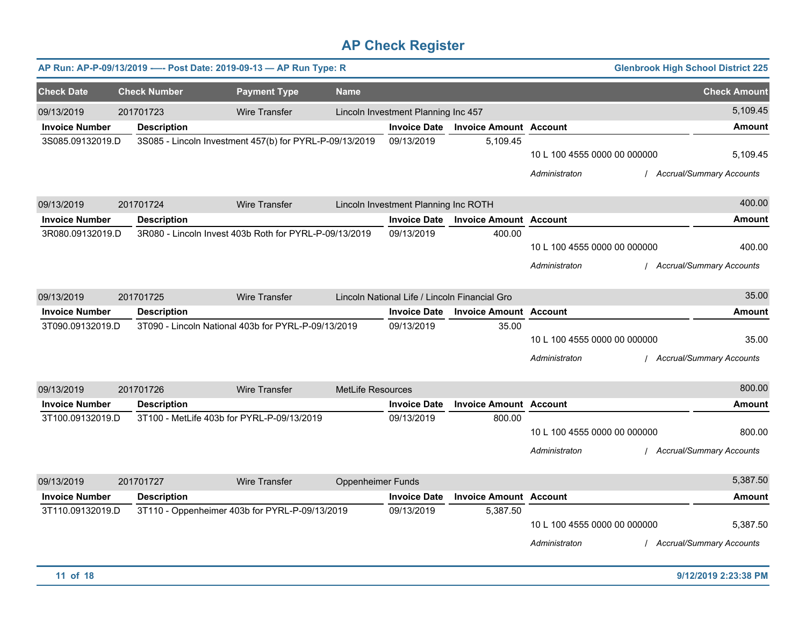|                       |                     |                    | AP Run: AP-P-09/13/2019 ---- Post Date: 2019-09-13 - AP Run Type: R |                          |                                               |                               |                                               | <b>Glenbrook High School District 225</b>   |
|-----------------------|---------------------|--------------------|---------------------------------------------------------------------|--------------------------|-----------------------------------------------|-------------------------------|-----------------------------------------------|---------------------------------------------|
| <b>Check Date</b>     | <b>Check Number</b> |                    | <b>Payment Type</b>                                                 | <b>Name</b>              |                                               |                               |                                               | <b>Check Amount</b>                         |
| 09/13/2019            | 201701723           |                    | Wire Transfer                                                       |                          | Lincoln Investment Planning Inc 457           |                               |                                               | 5,109.45                                    |
| <b>Invoice Number</b> |                     | <b>Description</b> |                                                                     |                          | <b>Invoice Date</b>                           | <b>Invoice Amount Account</b> |                                               | <b>Amount</b>                               |
| 3S085.09132019.D      |                     |                    | 3S085 - Lincoln Investment 457(b) for PYRL-P-09/13/2019             |                          | 09/13/2019                                    | 5,109.45                      | 10 L 100 4555 0000 00 000000<br>Administraton | 5,109.45<br><b>Accrual/Summary Accounts</b> |
| 09/13/2019            | 201701724           |                    | Wire Transfer                                                       |                          | Lincoln Investment Planning Inc ROTH          |                               |                                               | 400.00                                      |
| <b>Invoice Number</b> |                     | <b>Description</b> |                                                                     |                          | <b>Invoice Date</b>                           | <b>Invoice Amount Account</b> |                                               | <b>Amount</b>                               |
| 3R080.09132019.D      |                     |                    | 3R080 - Lincoln Invest 403b Roth for PYRL-P-09/13/2019              |                          | 09/13/2019                                    | 400.00                        | 10 L 100 4555 0000 00 000000<br>Administraton | 400.00<br><b>Accrual/Summary Accounts</b>   |
| 09/13/2019            | 201701725           |                    | Wire Transfer                                                       |                          | Lincoln National Life / Lincoln Financial Gro |                               |                                               | 35.00                                       |
| <b>Invoice Number</b> |                     | <b>Description</b> |                                                                     |                          | <b>Invoice Date</b>                           | <b>Invoice Amount Account</b> |                                               | <b>Amount</b>                               |
| 3T090.09132019.D      |                     |                    | 3T090 - Lincoln National 403b for PYRL-P-09/13/2019                 |                          | 09/13/2019                                    | 35.00                         | 10 L 100 4555 0000 00 000000<br>Administraton | 35.00<br><b>Accrual/Summary Accounts</b>    |
| 09/13/2019            | 201701726           |                    | <b>Wire Transfer</b>                                                | MetLife Resources        |                                               |                               |                                               | 800.00                                      |
| <b>Invoice Number</b> |                     | <b>Description</b> |                                                                     |                          | <b>Invoice Date</b>                           | <b>Invoice Amount Account</b> |                                               | Amount                                      |
| 3T100.09132019.D      |                     |                    | 3T100 - MetLife 403b for PYRL-P-09/13/2019                          |                          | 09/13/2019                                    | 800.00                        | 10 L 100 4555 0000 00 000000<br>Administraton | 800.00<br><b>Accrual/Summary Accounts</b>   |
| 09/13/2019            | 201701727           |                    | <b>Wire Transfer</b>                                                | <b>Oppenheimer Funds</b> |                                               |                               |                                               | 5,387.50                                    |
| <b>Invoice Number</b> |                     | <b>Description</b> |                                                                     |                          | <b>Invoice Date</b>                           | <b>Invoice Amount Account</b> |                                               | Amount                                      |
| 3T110.09132019.D      |                     |                    | 3T110 - Oppenheimer 403b for PYRL-P-09/13/2019                      |                          | 09/13/2019                                    | 5,387.50                      | 10 L 100 4555 0000 00 000000<br>Administraton | 5,387.50<br><b>Accrual/Summary Accounts</b> |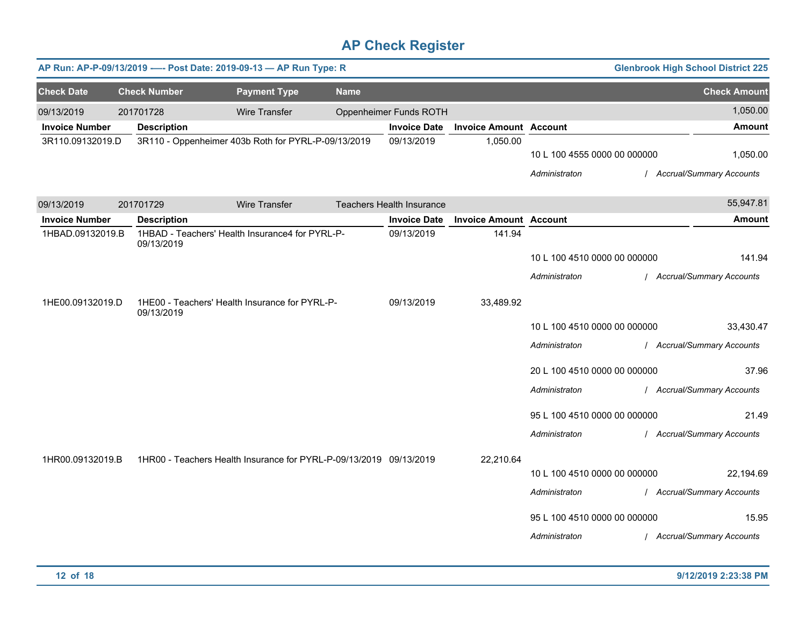|                       |                     | AP Run: AP-P-09/13/2019 ---- Post Date: 2019-09-13 - AP Run Type: R |             |                                  |                               |                              | <b>Glenbrook High School District 225</b> |
|-----------------------|---------------------|---------------------------------------------------------------------|-------------|----------------------------------|-------------------------------|------------------------------|-------------------------------------------|
| <b>Check Date</b>     | <b>Check Number</b> | <b>Payment Type</b>                                                 | <b>Name</b> |                                  |                               |                              | <b>Check Amount</b>                       |
| 09/13/2019            | 201701728           | <b>Wire Transfer</b>                                                |             | Oppenheimer Funds ROTH           |                               |                              | 1,050.00                                  |
| <b>Invoice Number</b> | <b>Description</b>  |                                                                     |             | <b>Invoice Date</b>              | <b>Invoice Amount Account</b> |                              | <b>Amount</b>                             |
| 3R110.09132019.D      |                     | 3R110 - Oppenheimer 403b Roth for PYRL-P-09/13/2019                 |             | 09/13/2019                       | 1,050.00                      | 10 L 100 4555 0000 00 000000 | 1,050.00                                  |
|                       |                     |                                                                     |             |                                  |                               | Administraton                | / Accrual/Summary Accounts                |
|                       |                     |                                                                     |             |                                  |                               |                              |                                           |
| 09/13/2019            | 201701729           | Wire Transfer                                                       |             | <b>Teachers Health Insurance</b> |                               |                              | 55,947.81                                 |
| <b>Invoice Number</b> | <b>Description</b>  |                                                                     |             | <b>Invoice Date</b>              | <b>Invoice Amount Account</b> |                              | <b>Amount</b>                             |
| 1HBAD.09132019.B      | 09/13/2019          | 1HBAD - Teachers' Health Insurance4 for PYRL-P-                     |             | 09/13/2019                       | 141.94                        |                              |                                           |
|                       |                     |                                                                     |             |                                  |                               | 10 L 100 4510 0000 00 000000 | 141.94                                    |
|                       |                     |                                                                     |             |                                  |                               | Administraton                | / Accrual/Summary Accounts                |
| 1HE00.09132019.D      |                     | 1HE00 - Teachers' Health Insurance for PYRL-P-                      |             | 09/13/2019                       | 33,489.92                     |                              |                                           |
|                       | 09/13/2019          |                                                                     |             |                                  |                               |                              |                                           |
|                       |                     |                                                                     |             |                                  |                               | 10 L 100 4510 0000 00 000000 | 33,430.47                                 |
|                       |                     |                                                                     |             |                                  |                               | Administraton                | / Accrual/Summary Accounts                |
|                       |                     |                                                                     |             |                                  |                               | 20 L 100 4510 0000 00 000000 | 37.96                                     |
|                       |                     |                                                                     |             |                                  |                               | Administraton                | / Accrual/Summary Accounts                |
|                       |                     |                                                                     |             |                                  |                               | 95 L 100 4510 0000 00 000000 | 21.49                                     |
|                       |                     |                                                                     |             |                                  |                               | Administraton                | / Accrual/Summary Accounts                |
|                       |                     |                                                                     |             |                                  |                               |                              |                                           |
| 1HR00.09132019.B      |                     | 1HR00 - Teachers Health Insurance for PYRL-P-09/13/2019 09/13/2019  |             |                                  | 22,210.64                     | 10 L 100 4510 0000 00 000000 | 22,194.69                                 |
|                       |                     |                                                                     |             |                                  |                               | Administraton                | / Accrual/Summary Accounts                |
|                       |                     |                                                                     |             |                                  |                               |                              |                                           |
|                       |                     |                                                                     |             |                                  |                               | 95 L 100 4510 0000 00 000000 | 15.95                                     |
|                       |                     |                                                                     |             |                                  |                               | Administraton                | / Accrual/Summary Accounts                |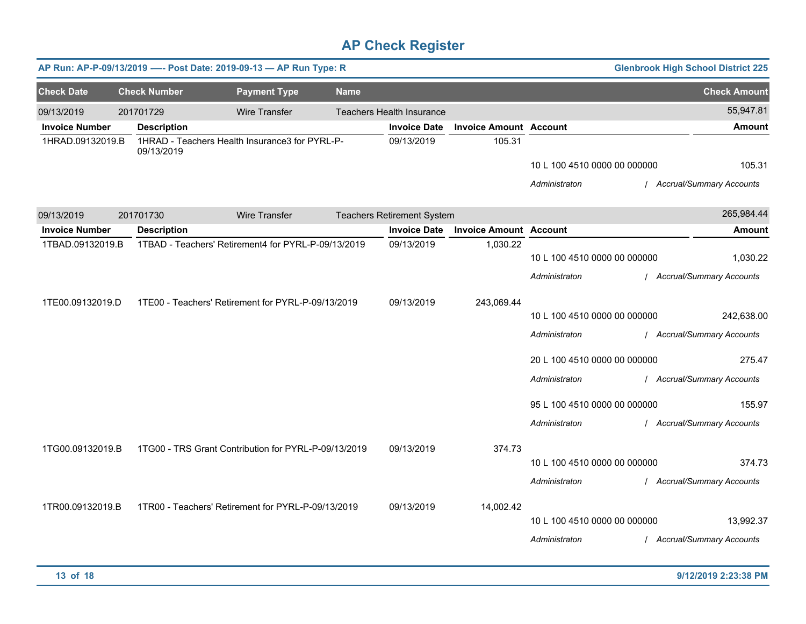|                       |                     | AP Run: AP-P-09/13/2019 ---- Post Date: 2019-09-13 - AP Run Type: R |                      |             |                                   |                               |                                                                                                                                                 | <b>Glenbrook High School District 225</b>                                                                                |
|-----------------------|---------------------|---------------------------------------------------------------------|----------------------|-------------|-----------------------------------|-------------------------------|-------------------------------------------------------------------------------------------------------------------------------------------------|--------------------------------------------------------------------------------------------------------------------------|
| <b>Check Date</b>     | <b>Check Number</b> |                                                                     | <b>Payment Type</b>  | <b>Name</b> |                                   |                               |                                                                                                                                                 | <b>Check Amount</b>                                                                                                      |
| 09/13/2019            | 201701729           |                                                                     | <b>Wire Transfer</b> |             | Teachers Health Insurance         |                               |                                                                                                                                                 | 55,947.81                                                                                                                |
| <b>Invoice Number</b> | <b>Description</b>  |                                                                     |                      |             | <b>Invoice Date</b>               | <b>Invoice Amount Account</b> |                                                                                                                                                 | <b>Amount</b>                                                                                                            |
| 1HRAD.09132019.B      | 09/13/2019          | 1HRAD - Teachers Health Insurance3 for PYRL-P-                      |                      |             | 09/13/2019                        | 105.31                        | 10 L 100 4510 0000 00 000000<br>Administraton                                                                                                   | 105.31<br>/ Accrual/Summary Accounts                                                                                     |
| 09/13/2019            | 201701730           |                                                                     | Wire Transfer        |             | <b>Teachers Retirement System</b> |                               |                                                                                                                                                 | 265,984.44                                                                                                               |
| <b>Invoice Number</b> | <b>Description</b>  |                                                                     |                      |             | <b>Invoice Date</b>               | <b>Invoice Amount Account</b> |                                                                                                                                                 | <b>Amount</b>                                                                                                            |
| 1TBAD.09132019.B      |                     | 1TBAD - Teachers' Retirement4 for PYRL-P-09/13/2019                 |                      |             | 09/13/2019                        | 1,030.22                      | 10 L 100 4510 0000 00 000000<br>Administraton                                                                                                   | 1,030.22<br>/ Accrual/Summary Accounts                                                                                   |
| 1TE00.09132019.D      |                     | 1TE00 - Teachers' Retirement for PYRL-P-09/13/2019                  |                      |             | 09/13/2019                        | 243,069.44                    | 10 L 100 4510 0000 00 000000<br>Administraton<br>20 L 100 4510 0000 00 000000<br>Administraton<br>95 L 100 4510 0000 00 000000<br>Administraton | 242,638.00<br>/ Accrual/Summary Accounts<br>275.47<br>/ Accrual/Summary Accounts<br>155.97<br>/ Accrual/Summary Accounts |
| 1TG00.09132019.B      |                     | 1TG00 - TRS Grant Contribution for PYRL-P-09/13/2019                |                      |             | 09/13/2019                        | 374.73                        | 10 L 100 4510 0000 00 000000<br>Administraton                                                                                                   | 374.73<br>/ Accrual/Summary Accounts                                                                                     |
| 1TR00.09132019.B      |                     | 1TR00 - Teachers' Retirement for PYRL-P-09/13/2019                  |                      |             | 09/13/2019                        | 14,002.42                     | 10 L 100 4510 0000 00 000000<br>Administraton                                                                                                   | 13,992.37<br>/ Accrual/Summary Accounts                                                                                  |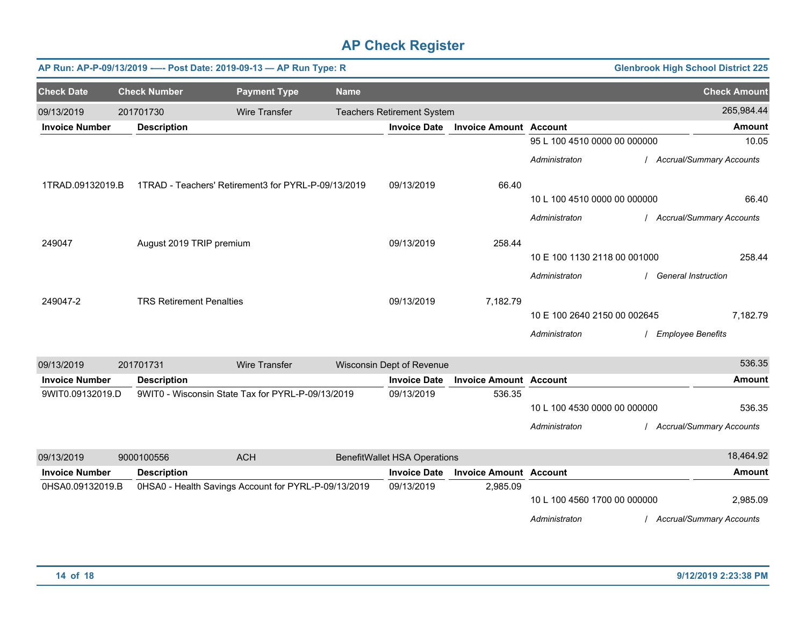|                       |                                 | AP Run: AP-P-09/13/2019 ---- Post Date: 2019-09-13 - AP Run Type: R |             |                                     |                               |                              | <b>Glenbrook High School District 225</b> |                            |
|-----------------------|---------------------------------|---------------------------------------------------------------------|-------------|-------------------------------------|-------------------------------|------------------------------|-------------------------------------------|----------------------------|
| <b>Check Date</b>     | <b>Check Number</b>             | <b>Payment Type</b>                                                 | <b>Name</b> |                                     |                               |                              |                                           | <b>Check Amount</b>        |
| 09/13/2019            | 201701730                       | <b>Wire Transfer</b>                                                |             | <b>Teachers Retirement System</b>   |                               |                              |                                           | 265,984.44                 |
| <b>Invoice Number</b> | <b>Description</b>              |                                                                     |             | <b>Invoice Date</b>                 | <b>Invoice Amount Account</b> |                              |                                           | <b>Amount</b>              |
|                       |                                 |                                                                     |             |                                     |                               | 95 L 100 4510 0000 00 000000 |                                           | 10.05                      |
|                       |                                 |                                                                     |             |                                     |                               | Administraton                |                                           | / Accrual/Summary Accounts |
| 1TRAD.09132019.B      |                                 | 1TRAD - Teachers' Retirement3 for PYRL-P-09/13/2019                 |             | 09/13/2019                          | 66.40                         |                              |                                           |                            |
|                       |                                 |                                                                     |             |                                     |                               | 10 L 100 4510 0000 00 000000 |                                           | 66.40                      |
|                       |                                 |                                                                     |             |                                     |                               | Administraton                |                                           | / Accrual/Summary Accounts |
| 249047                | August 2019 TRIP premium        |                                                                     |             | 09/13/2019                          | 258.44                        |                              |                                           |                            |
|                       |                                 |                                                                     |             |                                     |                               | 10 E 100 1130 2118 00 001000 |                                           | 258.44                     |
|                       |                                 |                                                                     |             |                                     |                               | Administraton                | <b>General Instruction</b>                |                            |
| 249047-2              | <b>TRS Retirement Penalties</b> |                                                                     |             | 09/13/2019                          | 7,182.79                      |                              |                                           |                            |
|                       |                                 |                                                                     |             |                                     |                               | 10 E 100 2640 2150 00 002645 |                                           | 7,182.79                   |
|                       |                                 |                                                                     |             |                                     |                               | Administraton                | <b>Employee Benefits</b>                  |                            |
| 09/13/2019            | 201701731                       | <b>Wire Transfer</b>                                                |             | Wisconsin Dept of Revenue           |                               |                              |                                           | 536.35                     |
| <b>Invoice Number</b> | <b>Description</b>              |                                                                     |             | <b>Invoice Date</b>                 | <b>Invoice Amount Account</b> |                              |                                           | <b>Amount</b>              |
| 9WIT0.09132019.D      |                                 | 9WIT0 - Wisconsin State Tax for PYRL-P-09/13/2019                   |             | 09/13/2019                          | 536.35                        |                              |                                           |                            |
|                       |                                 |                                                                     |             |                                     |                               | 10 L 100 4530 0000 00 000000 |                                           | 536.35                     |
|                       |                                 |                                                                     |             |                                     |                               | Administraton                |                                           | / Accrual/Summary Accounts |
| 09/13/2019            | 9000100556                      | <b>ACH</b>                                                          |             | <b>BenefitWallet HSA Operations</b> |                               |                              |                                           | 18,464.92                  |
| <b>Invoice Number</b> | <b>Description</b>              |                                                                     |             | <b>Invoice Date</b>                 | <b>Invoice Amount Account</b> |                              |                                           | Amount                     |
| 0HSA0.09132019.B      |                                 | 0HSA0 - Health Savings Account for PYRL-P-09/13/2019                |             | 09/13/2019                          | 2,985.09                      |                              |                                           |                            |
|                       |                                 |                                                                     |             |                                     |                               | 10 L 100 4560 1700 00 000000 |                                           | 2,985.09                   |
|                       |                                 |                                                                     |             |                                     |                               | Administraton                |                                           | / Accrual/Summary Accounts |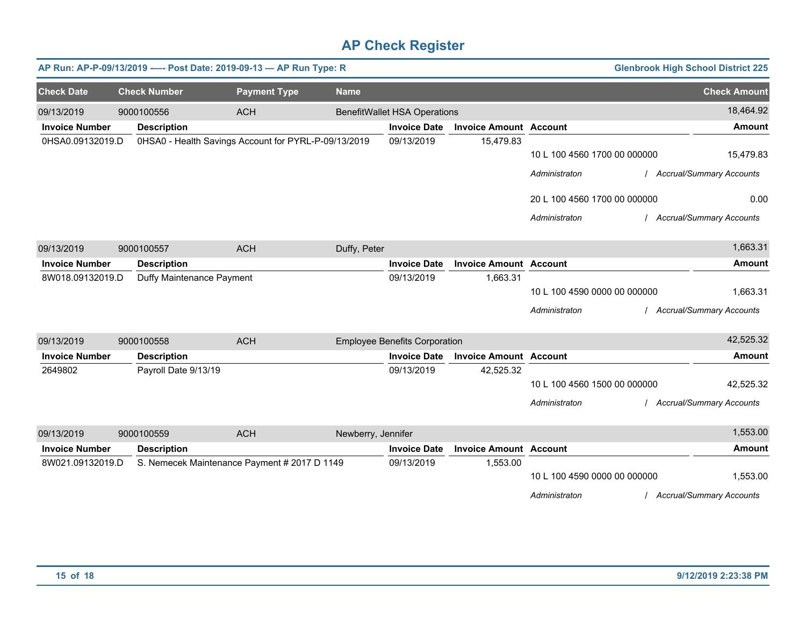|                       |                           | AP Run: AP-P-09/13/2019 ---- Post Date: 2019-09-13 - AP Run Type: R |                    |                                      |                               |                              | <b>Glenbrook High School District 225</b> |
|-----------------------|---------------------------|---------------------------------------------------------------------|--------------------|--------------------------------------|-------------------------------|------------------------------|-------------------------------------------|
| <b>Check Date</b>     | <b>Check Number</b>       | <b>Payment Type</b>                                                 | <b>Name</b>        |                                      |                               |                              | <b>Check Amount</b>                       |
| 09/13/2019            | 9000100556                | <b>ACH</b>                                                          |                    | <b>BenefitWallet HSA Operations</b>  |                               |                              | 18,464.92                                 |
| <b>Invoice Number</b> | <b>Description</b>        |                                                                     |                    | <b>Invoice Date</b>                  | <b>Invoice Amount Account</b> |                              | <b>Amount</b>                             |
| 0HSA0.09132019.D      |                           | 0HSA0 - Health Savings Account for PYRL-P-09/13/2019                |                    | 09/13/2019                           | 15,479.83                     |                              |                                           |
|                       |                           |                                                                     |                    |                                      |                               | 10 L 100 4560 1700 00 000000 | 15,479.83                                 |
|                       |                           |                                                                     |                    |                                      |                               | Administraton                | <b>Accrual/Summary Accounts</b>           |
|                       |                           |                                                                     |                    |                                      |                               | 20 L 100 4560 1700 00 000000 | 0.00                                      |
|                       |                           |                                                                     |                    |                                      |                               | Administraton                | <b>Accrual/Summary Accounts</b>           |
| 09/13/2019            | 9000100557                | <b>ACH</b>                                                          | Duffy, Peter       |                                      |                               |                              | 1,663.31                                  |
| <b>Invoice Number</b> | <b>Description</b>        |                                                                     |                    | <b>Invoice Date</b>                  | <b>Invoice Amount Account</b> |                              | <b>Amount</b>                             |
| 8W018.09132019.D      | Duffy Maintenance Payment |                                                                     |                    | 09/13/2019                           | 1,663.31                      |                              |                                           |
|                       |                           |                                                                     |                    |                                      |                               | 10 L 100 4590 0000 00 000000 | 1,663.31                                  |
|                       |                           |                                                                     |                    |                                      |                               | Administraton                | <b>Accrual/Summary Accounts</b>           |
| 09/13/2019            | 9000100558                | <b>ACH</b>                                                          |                    | <b>Employee Benefits Corporation</b> |                               |                              | 42,525.32                                 |
| <b>Invoice Number</b> | <b>Description</b>        |                                                                     |                    | <b>Invoice Date</b>                  | <b>Invoice Amount Account</b> |                              | <b>Amount</b>                             |
| 2649802               | Payroll Date 9/13/19      |                                                                     |                    | 09/13/2019                           | 42,525.32                     |                              |                                           |
|                       |                           |                                                                     |                    |                                      |                               | 10 L 100 4560 1500 00 000000 | 42,525.32                                 |
|                       |                           |                                                                     |                    |                                      |                               | Administraton                | <b>Accrual/Summary Accounts</b>           |
| 09/13/2019            | 9000100559                | <b>ACH</b>                                                          | Newberry, Jennifer |                                      |                               |                              | 1,553.00                                  |
| <b>Invoice Number</b> | <b>Description</b>        |                                                                     |                    | <b>Invoice Date</b>                  | <b>Invoice Amount Account</b> |                              | <b>Amount</b>                             |
| 8W021.09132019.D      |                           | S. Nemecek Maintenance Payment # 2017 D 1149                        |                    | 09/13/2019                           | 1,553.00                      |                              |                                           |
|                       |                           |                                                                     |                    |                                      |                               | 10 L 100 4590 0000 00 000000 | 1,553.00                                  |
|                       |                           |                                                                     |                    |                                      |                               | Administraton                | <b>Accrual/Summary Accounts</b>           |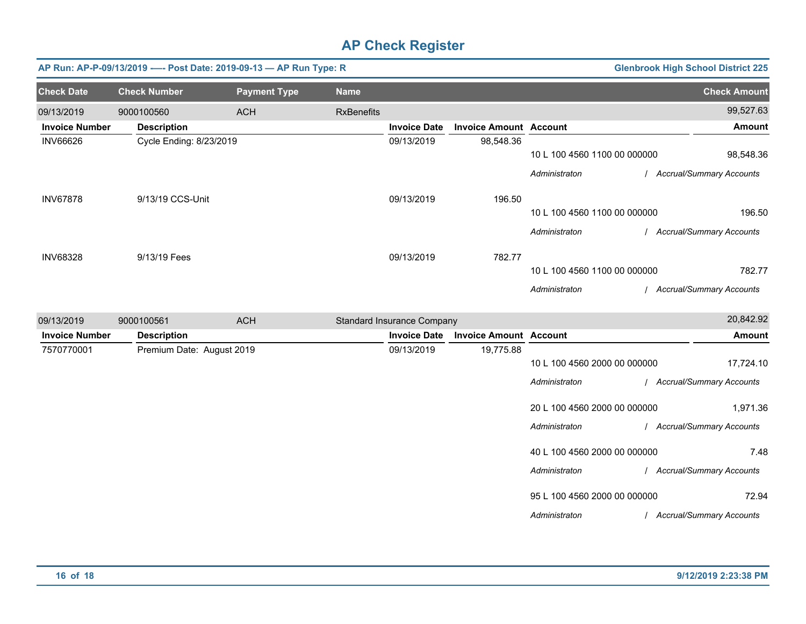| AP Run: AP-P-09/13/2019 ---- Post Date: 2019-09-13 - AP Run Type: R<br><b>Glenbrook High School District 225</b> |                           |                     |                   |                                   |                               |                              |                            |
|------------------------------------------------------------------------------------------------------------------|---------------------------|---------------------|-------------------|-----------------------------------|-------------------------------|------------------------------|----------------------------|
| <b>Check Date</b>                                                                                                | <b>Check Number</b>       | <b>Payment Type</b> | <b>Name</b>       |                                   |                               |                              | <b>Check Amount</b>        |
| 09/13/2019                                                                                                       | 9000100560                | <b>ACH</b>          | <b>RxBenefits</b> |                                   |                               |                              | 99,527.63                  |
| <b>Invoice Number</b>                                                                                            | <b>Description</b>        |                     |                   | <b>Invoice Date</b>               | <b>Invoice Amount Account</b> |                              | <b>Amount</b>              |
| <b>INV66626</b>                                                                                                  | Cycle Ending: 8/23/2019   |                     |                   | 09/13/2019                        | 98,548.36                     | 10 L 100 4560 1100 00 000000 | 98,548.36                  |
|                                                                                                                  |                           |                     |                   |                                   |                               | Administraton                | / Accrual/Summary Accounts |
| <b>INV67878</b>                                                                                                  | 9/13/19 CCS-Unit          |                     |                   | 09/13/2019                        | 196.50                        |                              |                            |
|                                                                                                                  |                           |                     |                   |                                   |                               | 10 L 100 4560 1100 00 000000 | 196.50                     |
|                                                                                                                  |                           |                     |                   |                                   |                               | Administraton                | / Accrual/Summary Accounts |
| <b>INV68328</b>                                                                                                  | 9/13/19 Fees              |                     |                   | 09/13/2019                        | 782.77                        |                              |                            |
|                                                                                                                  |                           |                     |                   |                                   |                               | 10 L 100 4560 1100 00 000000 | 782.77                     |
|                                                                                                                  |                           |                     |                   |                                   |                               | Administraton                | / Accrual/Summary Accounts |
| 09/13/2019                                                                                                       | 9000100561                | <b>ACH</b>          |                   | <b>Standard Insurance Company</b> |                               |                              | 20,842.92                  |
| <b>Invoice Number</b>                                                                                            | <b>Description</b>        |                     |                   | <b>Invoice Date</b>               | <b>Invoice Amount Account</b> |                              | <b>Amount</b>              |
| 7570770001                                                                                                       | Premium Date: August 2019 |                     |                   | 09/13/2019                        | 19,775.88                     |                              |                            |
|                                                                                                                  |                           |                     |                   |                                   |                               | 10 L 100 4560 2000 00 000000 | 17,724.10                  |
|                                                                                                                  |                           |                     |                   |                                   |                               | Administraton                | / Accrual/Summary Accounts |
|                                                                                                                  |                           |                     |                   |                                   |                               | 20 L 100 4560 2000 00 000000 | 1,971.36                   |
|                                                                                                                  |                           |                     |                   |                                   |                               | Administraton                | / Accrual/Summary Accounts |
|                                                                                                                  |                           |                     |                   |                                   |                               | 40 L 100 4560 2000 00 000000 | 7.48                       |
|                                                                                                                  |                           |                     |                   |                                   |                               | Administraton                | / Accrual/Summary Accounts |
|                                                                                                                  |                           |                     |                   |                                   |                               | 95 L 100 4560 2000 00 000000 | 72.94                      |
|                                                                                                                  |                           |                     |                   |                                   |                               | Administraton                | / Accrual/Summary Accounts |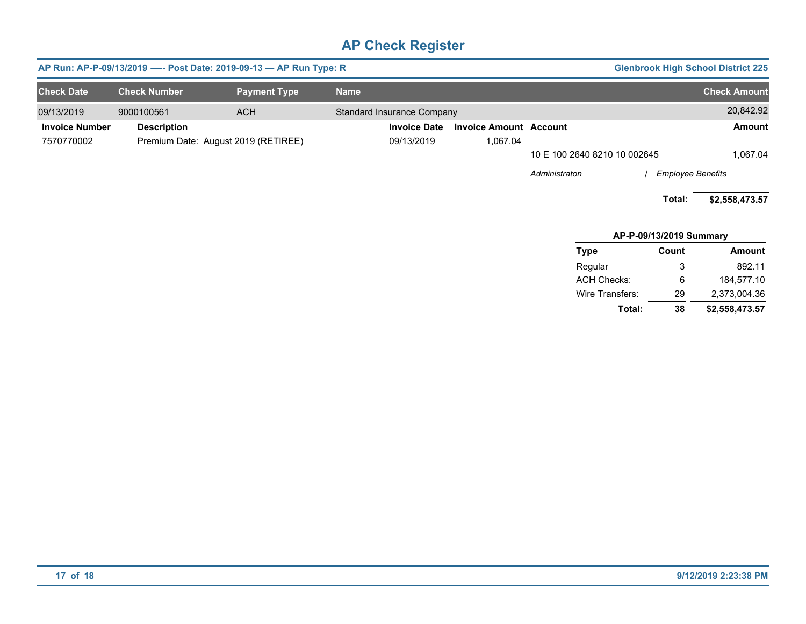| AP Run: AP-P-09/13/2019 ---- Post Date: 2019-09-13 - AP Run Type: R<br><b>Glenbrook High School District 225</b> |                     |                                     |             |                            |                               |                              |                          |                     |
|------------------------------------------------------------------------------------------------------------------|---------------------|-------------------------------------|-------------|----------------------------|-------------------------------|------------------------------|--------------------------|---------------------|
| <b>Check Date</b>                                                                                                | <b>Check Number</b> | <b>Payment Type</b>                 | <b>Name</b> |                            |                               |                              |                          | <b>Check Amount</b> |
| 09/13/2019                                                                                                       | 9000100561          | <b>ACH</b>                          |             | Standard Insurance Company |                               |                              |                          | 20,842.92           |
| <b>Invoice Number</b>                                                                                            | <b>Description</b>  |                                     |             | <b>Invoice Date</b>        | <b>Invoice Amount Account</b> |                              |                          | <b>Amount</b>       |
| 7570770002                                                                                                       |                     | Premium Date: August 2019 (RETIREE) |             | 09/13/2019                 | 1,067.04                      |                              |                          |                     |
|                                                                                                                  |                     |                                     |             |                            |                               | 10 E 100 2640 8210 10 002645 |                          | 1,067.04            |
|                                                                                                                  |                     |                                     |             |                            |                               | Administraton                | <b>Employee Benefits</b> |                     |
|                                                                                                                  |                     |                                     |             |                            |                               |                              | Total:                   | \$2,558,473.57      |
|                                                                                                                  |                     |                                     |             |                            |                               |                              | AP-P-09/13/2019 Summary  |                     |
|                                                                                                                  |                     |                                     |             |                            |                               | Type                         | Count                    | Amount              |
|                                                                                                                  |                     |                                     |             |                            |                               | Regular                      | 3                        | 892.11              |
|                                                                                                                  |                     |                                     |             |                            |                               | <b>ACH Checks:</b>           | 6                        | 184,577.10          |
|                                                                                                                  |                     |                                     |             |                            |                               | Wire Transfers:              | 29                       | 2,373,004.36        |

**Total: 38 \$2,558,473.57**